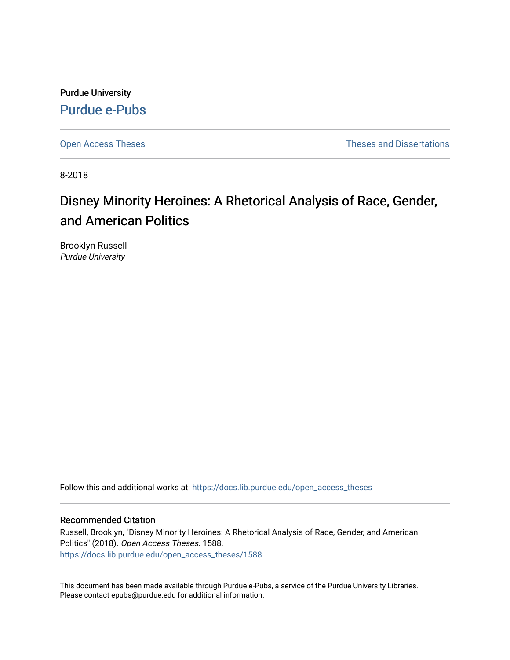Purdue University [Purdue e-Pubs](https://docs.lib.purdue.edu/)

[Open Access Theses](https://docs.lib.purdue.edu/open_access_theses) **Theses Theses Theses** and Dissertations

8-2018

# Disney Minority Heroines: A Rhetorical Analysis of Race, Gender, and American Politics

Brooklyn Russell Purdue University

Follow this and additional works at: [https://docs.lib.purdue.edu/open\\_access\\_theses](https://docs.lib.purdue.edu/open_access_theses?utm_source=docs.lib.purdue.edu%2Fopen_access_theses%2F1588&utm_medium=PDF&utm_campaign=PDFCoverPages) 

### Recommended Citation

Russell, Brooklyn, "Disney Minority Heroines: A Rhetorical Analysis of Race, Gender, and American Politics" (2018). Open Access Theses. 1588. [https://docs.lib.purdue.edu/open\\_access\\_theses/1588](https://docs.lib.purdue.edu/open_access_theses/1588?utm_source=docs.lib.purdue.edu%2Fopen_access_theses%2F1588&utm_medium=PDF&utm_campaign=PDFCoverPages) 

This document has been made available through Purdue e-Pubs, a service of the Purdue University Libraries. Please contact epubs@purdue.edu for additional information.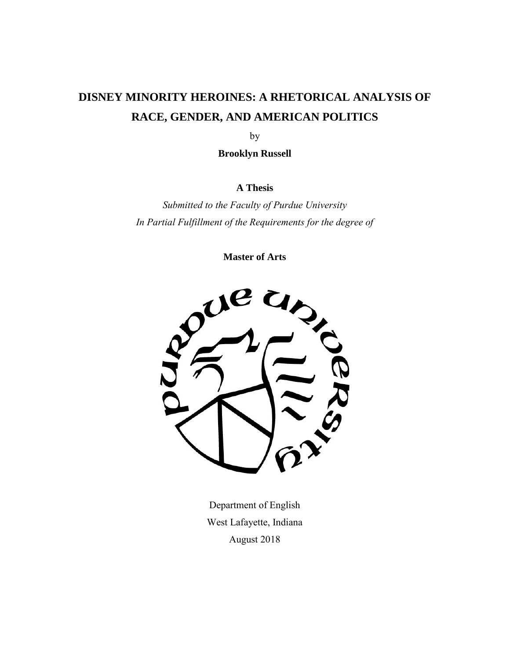## **DISNEY MINORITY HEROINES: A RHETORICAL ANALYSIS OF RACE, GENDER, AND AMERICAN POLITICS**

by

**Brooklyn Russell** 

## **A Thesis**

*Submitted to the Faculty of Purdue University In Partial Fulfillment of the Requirements for the degree of*

**Master of Arts**



Department of English West Lafayette, Indiana August 2018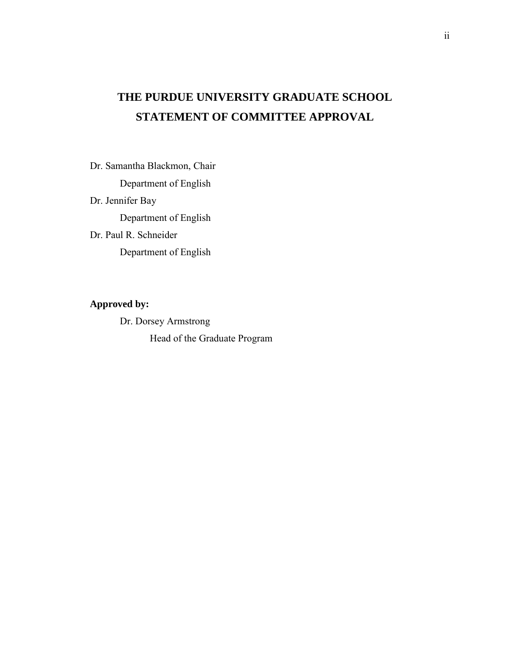## **THE PURDUE UNIVERSITY GRADUATE SCHOOL STATEMENT OF COMMITTEE APPROVAL**

Dr. Samantha Blackmon, Chair Department of English Dr. Jennifer Bay Department of English Dr. Paul R. Schneider Department of English

**Approved by:**

Dr. Dorsey Armstrong Head of the Graduate Program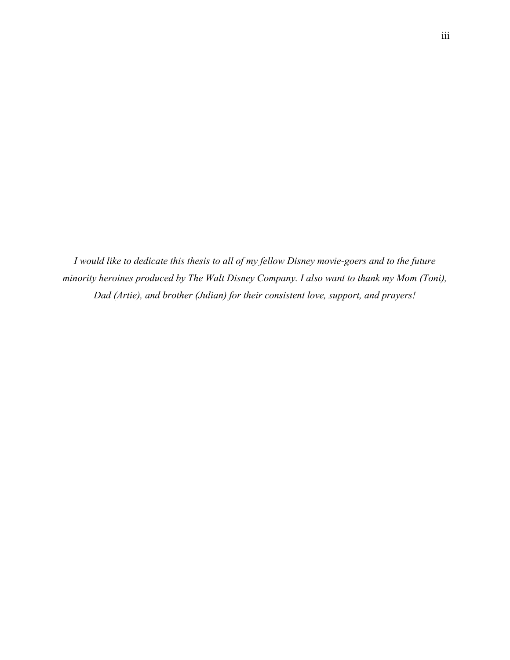*I would like to dedicate this thesis to all of my fellow Disney movie-goers and to the future minority heroines produced by The Walt Disney Company. I also want to thank my Mom (Toni), Dad (Artie), and brother (Julian) for their consistent love, support, and prayers!*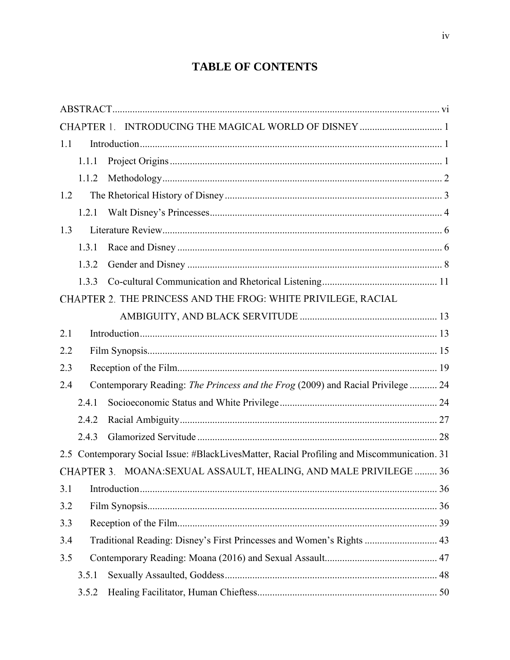## **TABLE OF CONTENTS**

| 1.1 |                                                                       |                                                                                             |  |
|-----|-----------------------------------------------------------------------|---------------------------------------------------------------------------------------------|--|
|     | 1.1.1                                                                 |                                                                                             |  |
|     | 1.1.2                                                                 |                                                                                             |  |
| 1.2 |                                                                       |                                                                                             |  |
|     | 1.2.1                                                                 |                                                                                             |  |
| 1.3 |                                                                       |                                                                                             |  |
|     | 1.3.1                                                                 |                                                                                             |  |
|     | 1.3.2                                                                 |                                                                                             |  |
|     | 1.3.3                                                                 |                                                                                             |  |
|     |                                                                       | CHAPTER 2. THE PRINCESS AND THE FROG: WHITE PRIVILEGE, RACIAL                               |  |
|     |                                                                       |                                                                                             |  |
| 2.1 |                                                                       |                                                                                             |  |
| 2.2 |                                                                       |                                                                                             |  |
| 2.3 |                                                                       |                                                                                             |  |
| 2.4 |                                                                       | Contemporary Reading: The Princess and the Frog (2009) and Racial Privilege  24             |  |
|     | 2.4.1                                                                 |                                                                                             |  |
|     | 2.4.2                                                                 |                                                                                             |  |
|     | 2.4.3                                                                 |                                                                                             |  |
|     |                                                                       | 2.5 Contemporary Social Issue: #BlackLivesMatter, Racial Profiling and Miscommunication. 31 |  |
|     |                                                                       | CHAPTER 3. MOANA:SEXUAL ASSAULT, HEALING, AND MALE PRIVILEGE  36                            |  |
| 3.1 |                                                                       |                                                                                             |  |
| 3.2 |                                                                       |                                                                                             |  |
| 3.3 |                                                                       |                                                                                             |  |
| 3.4 | Traditional Reading: Disney's First Princesses and Women's Rights  43 |                                                                                             |  |
| 3.5 |                                                                       |                                                                                             |  |
|     | 3.5.1                                                                 |                                                                                             |  |
|     | 3.5.2                                                                 |                                                                                             |  |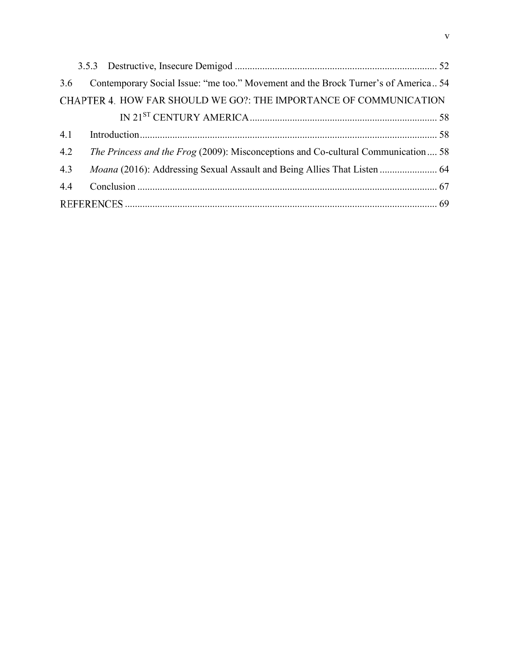| 3.6 | Contemporary Social Issue: "me too." Movement and the Brock Turner's of America 54       |  |
|-----|------------------------------------------------------------------------------------------|--|
|     | CHAPTER 4. HOW FAR SHOULD WE GO?: THE IMPORTANCE OF COMMUNICATION                        |  |
|     |                                                                                          |  |
| 4.1 |                                                                                          |  |
| 4.2 | <i>The Princess and the Frog</i> (2009): Misconceptions and Co-cultural Communication 58 |  |
| 4.3 |                                                                                          |  |
| 4.4 |                                                                                          |  |
|     |                                                                                          |  |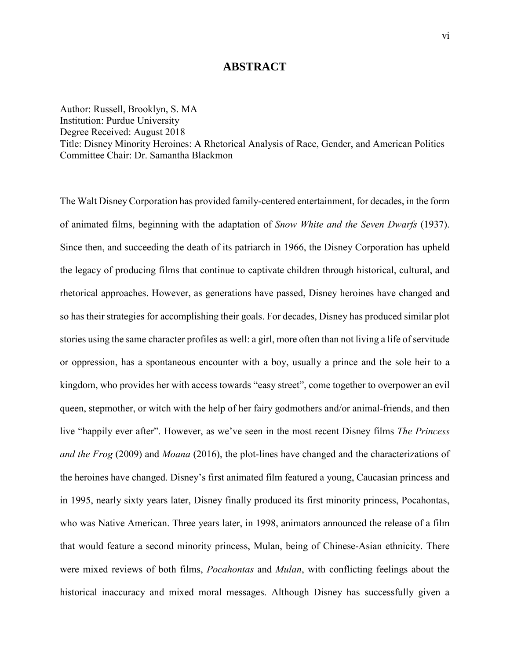## **ABSTRACT**

Author: Russell, Brooklyn, S. MA Institution: Purdue University Degree Received: August 2018 Title: Disney Minority Heroines: A Rhetorical Analysis of Race, Gender, and American Politics Committee Chair: Dr. Samantha Blackmon

The Walt Disney Corporation has provided family-centered entertainment, for decades, in the form of animated films, beginning with the adaptation of *Snow White and the Seven Dwarfs* (1937). Since then, and succeeding the death of its patriarch in 1966, the Disney Corporation has upheld the legacy of producing films that continue to captivate children through historical, cultural, and rhetorical approaches. However, as generations have passed, Disney heroines have changed and so has their strategies for accomplishing their goals. For decades, Disney has produced similar plot stories using the same character profiles as well: a girl, more often than not living a life of servitude or oppression, has a spontaneous encounter with a boy, usually a prince and the sole heir to a kingdom, who provides her with access towards "easy street", come together to overpower an evil queen, stepmother, or witch with the help of her fairy godmothers and/or animal-friends, and then live "happily ever after". However, as we've seen in the most recent Disney films *The Princess and the Frog* (2009) and *Moana* (2016), the plot-lines have changed and the characterizations of the heroines have changed. Disney's first animated film featured a young, Caucasian princess and in 1995, nearly sixty years later, Disney finally produced its first minority princess, Pocahontas, who was Native American. Three years later, in 1998, animators announced the release of a film that would feature a second minority princess, Mulan, being of Chinese-Asian ethnicity. There were mixed reviews of both films, *Pocahontas* and *Mulan*, with conflicting feelings about the historical inaccuracy and mixed moral messages. Although Disney has successfully given a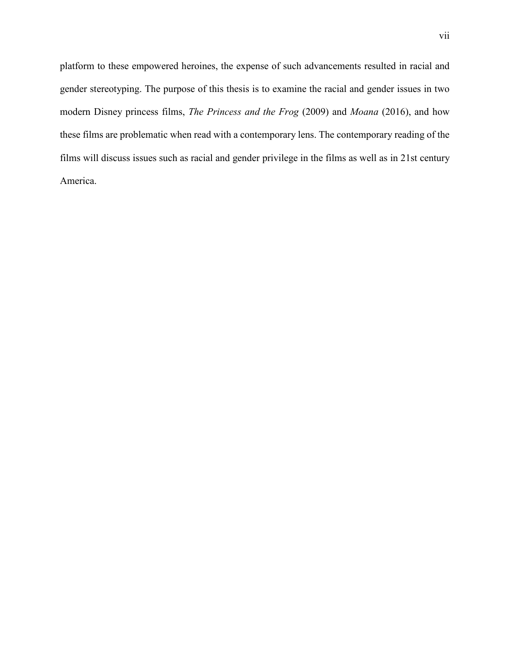platform to these empowered heroines, the expense of such advancements resulted in racial and gender stereotyping. The purpose of this thesis is to examine the racial and gender issues in two modern Disney princess films, *The Princess and the Frog* (2009) and *Moana* (2016), and how these films are problematic when read with a contemporary lens. The contemporary reading of the films will discuss issues such as racial and gender privilege in the films as well as in 21st century America.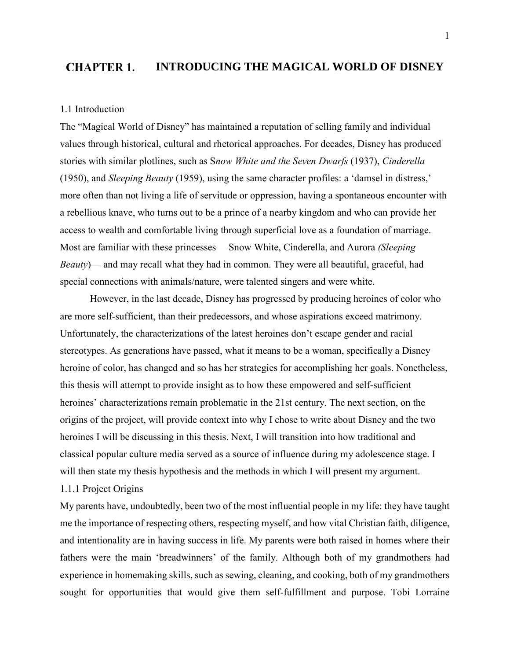#### **CHAPTER 1. INTRODUCING THE MAGICAL WORLD OF DISNEY**

## 1.1 Introduction

The "Magical World of Disney" has maintained a reputation of selling family and individual values through historical, cultural and rhetorical approaches. For decades, Disney has produced stories with similar plotlines, such as S*now White and the Seven Dwarfs* (1937), *Cinderella* (1950), and *Sleeping Beauty* (1959), using the same character profiles: a 'damsel in distress,' more often than not living a life of servitude or oppression, having a spontaneous encounter with a rebellious knave, who turns out to be a prince of a nearby kingdom and who can provide her access to wealth and comfortable living through superficial love as a foundation of marriage. Most are familiar with these princesses–– Snow White, Cinderella, and Aurora *(Sleeping Beauty*)— and may recall what they had in common. They were all beautiful, graceful, had special connections with animals/nature, were talented singers and were white.

However, in the last decade, Disney has progressed by producing heroines of color who are more self-sufficient, than their predecessors, and whose aspirations exceed matrimony. Unfortunately, the characterizations of the latest heroines don't escape gender and racial stereotypes. As generations have passed, what it means to be a woman, specifically a Disney heroine of color, has changed and so has her strategies for accomplishing her goals. Nonetheless, this thesis will attempt to provide insight as to how these empowered and self-sufficient heroines' characterizations remain problematic in the 21st century. The next section, on the origins of the project, will provide context into why I chose to write about Disney and the two heroines I will be discussing in this thesis. Next, I will transition into how traditional and classical popular culture media served as a source of influence during my adolescence stage. I will then state my thesis hypothesis and the methods in which I will present my argument. 1.1.1 Project Origins

My parents have, undoubtedly, been two of the most influential people in my life: they have taught me the importance of respecting others, respecting myself, and how vital Christian faith, diligence, and intentionality are in having success in life. My parents were both raised in homes where their fathers were the main 'breadwinners' of the family. Although both of my grandmothers had experience in homemaking skills, such as sewing, cleaning, and cooking, both of my grandmothers sought for opportunities that would give them self-fulfillment and purpose. Tobi Lorraine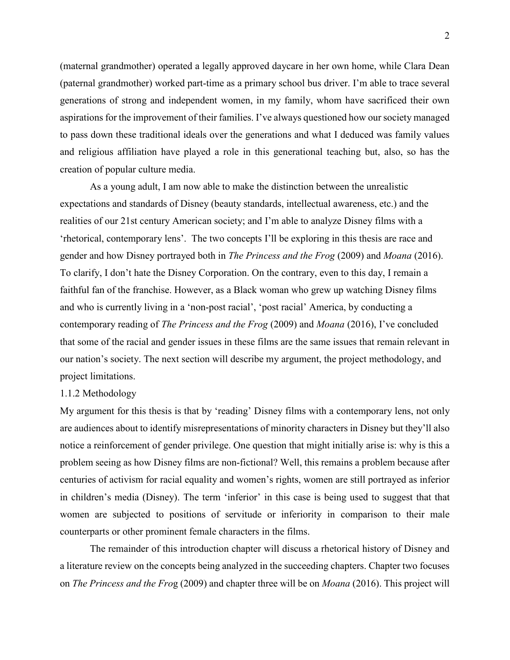(maternal grandmother) operated a legally approved daycare in her own home, while Clara Dean (paternal grandmother) worked part-time as a primary school bus driver. I'm able to trace several generations of strong and independent women, in my family, whom have sacrificed their own aspirations for the improvement of their families. I've always questioned how our society managed to pass down these traditional ideals over the generations and what I deduced was family values and religious affiliation have played a role in this generational teaching but, also, so has the creation of popular culture media.

As a young adult, I am now able to make the distinction between the unrealistic expectations and standards of Disney (beauty standards, intellectual awareness, etc.) and the realities of our 21st century American society; and I'm able to analyze Disney films with a 'rhetorical, contemporary lens'. The two concepts I'll be exploring in this thesis are race and gender and how Disney portrayed both in *The Princess and the Frog* (2009) and *Moana* (2016). To clarify, I don't hate the Disney Corporation. On the contrary, even to this day, I remain a faithful fan of the franchise. However, as a Black woman who grew up watching Disney films and who is currently living in a 'non-post racial', 'post racial' America, by conducting a contemporary reading of *The Princess and the Frog* (2009) and *Moana* (2016), I've concluded that some of the racial and gender issues in these films are the same issues that remain relevant in our nation's society. The next section will describe my argument, the project methodology, and project limitations.

## 1.1.2 Methodology

My argument for this thesis is that by 'reading' Disney films with a contemporary lens, not only are audiences about to identify misrepresentations of minority characters in Disney but they'll also notice a reinforcement of gender privilege. One question that might initially arise is: why is this a problem seeing as how Disney films are non-fictional? Well, this remains a problem because after centuries of activism for racial equality and women's rights, women are still portrayed as inferior in children's media (Disney). The term 'inferior' in this case is being used to suggest that that women are subjected to positions of servitude or inferiority in comparison to their male counterparts or other prominent female characters in the films.

The remainder of this introduction chapter will discuss a rhetorical history of Disney and a literature review on the concepts being analyzed in the succeeding chapters. Chapter two focuses on *The Princess and the Fro*g (2009) and chapter three will be on *Moana* (2016). This project will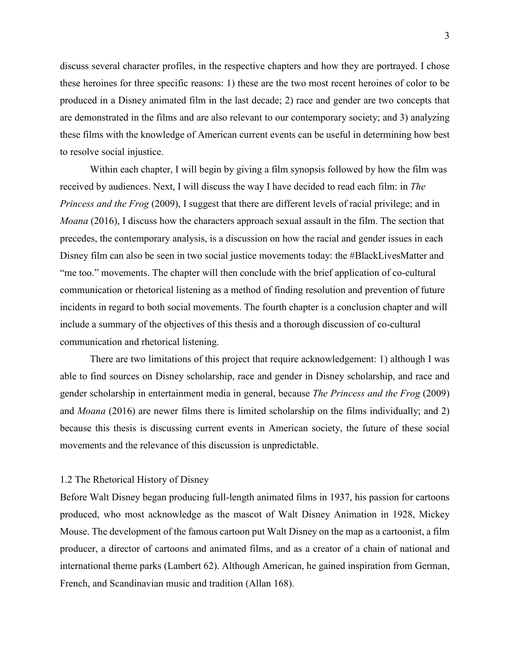discuss several character profiles, in the respective chapters and how they are portrayed. I chose these heroines for three specific reasons: 1) these are the two most recent heroines of color to be produced in a Disney animated film in the last decade; 2) race and gender are two concepts that are demonstrated in the films and are also relevant to our contemporary society; and 3) analyzing these films with the knowledge of American current events can be useful in determining how best to resolve social injustice.

Within each chapter, I will begin by giving a film synopsis followed by how the film was received by audiences. Next, I will discuss the way I have decided to read each film: in *The Princess and the Frog* (2009), I suggest that there are different levels of racial privilege; and in *Moana* (2016), I discuss how the characters approach sexual assault in the film. The section that precedes, the contemporary analysis, is a discussion on how the racial and gender issues in each Disney film can also be seen in two social justice movements today: the #BlackLivesMatter and "me too." movements. The chapter will then conclude with the brief application of co-cultural communication or rhetorical listening as a method of finding resolution and prevention of future incidents in regard to both social movements. The fourth chapter is a conclusion chapter and will include a summary of the objectives of this thesis and a thorough discussion of co-cultural communication and rhetorical listening.

There are two limitations of this project that require acknowledgement: 1) although I was able to find sources on Disney scholarship, race and gender in Disney scholarship, and race and gender scholarship in entertainment media in general, because *The Princess and the Frog* (2009) and *Moana* (2016) are newer films there is limited scholarship on the films individually; and 2) because this thesis is discussing current events in American society, the future of these social movements and the relevance of this discussion is unpredictable.

### 1.2 The Rhetorical History of Disney

Before Walt Disney began producing full-length animated films in 1937, his passion for cartoons produced, who most acknowledge as the mascot of Walt Disney Animation in 1928, Mickey Mouse. The development of the famous cartoon put Walt Disney on the map as a cartoonist, a film producer, a director of cartoons and animated films, and as a creator of a chain of national and international theme parks (Lambert 62). Although American, he gained inspiration from German, French, and Scandinavian music and tradition (Allan 168).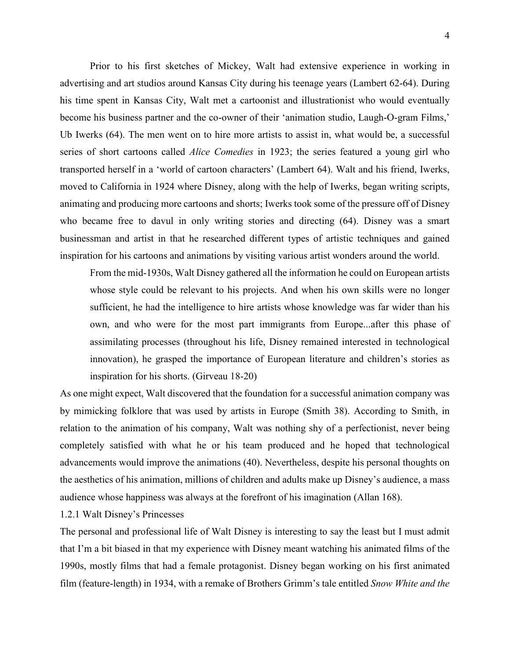Prior to his first sketches of Mickey, Walt had extensive experience in working in advertising and art studios around Kansas City during his teenage years (Lambert 62-64). During his time spent in Kansas City, Walt met a cartoonist and illustrationist who would eventually become his business partner and the co-owner of their 'animation studio, Laugh-O-gram Films,' Ub Iwerks (64). The men went on to hire more artists to assist in, what would be, a successful series of short cartoons called *Alice Comedies* in 1923; the series featured a young girl who transported herself in a 'world of cartoon characters' (Lambert 64). Walt and his friend, Iwerks, moved to California in 1924 where Disney, along with the help of Iwerks, began writing scripts, animating and producing more cartoons and shorts; Iwerks took some of the pressure off of Disney who became free to davul in only writing stories and directing (64). Disney was a smart businessman and artist in that he researched different types of artistic techniques and gained inspiration for his cartoons and animations by visiting various artist wonders around the world.

From the mid-1930s, Walt Disney gathered all the information he could on European artists whose style could be relevant to his projects. And when his own skills were no longer sufficient, he had the intelligence to hire artists whose knowledge was far wider than his own, and who were for the most part immigrants from Europe...after this phase of assimilating processes (throughout his life, Disney remained interested in technological innovation), he grasped the importance of European literature and children's stories as inspiration for his shorts. (Girveau 18-20)

As one might expect, Walt discovered that the foundation for a successful animation company was by mimicking folklore that was used by artists in Europe (Smith 38). According to Smith, in relation to the animation of his company, Walt was nothing shy of a perfectionist, never being completely satisfied with what he or his team produced and he hoped that technological advancements would improve the animations (40). Nevertheless, despite his personal thoughts on the aesthetics of his animation, millions of children and adults make up Disney's audience, a mass audience whose happiness was always at the forefront of his imagination (Allan 168).

1.2.1 Walt Disney's Princesses

The personal and professional life of Walt Disney is interesting to say the least but I must admit that I'm a bit biased in that my experience with Disney meant watching his animated films of the 1990s, mostly films that had a female protagonist. Disney began working on his first animated film (feature-length) in 1934, with a remake of Brothers Grimm's tale entitled *Snow White and the*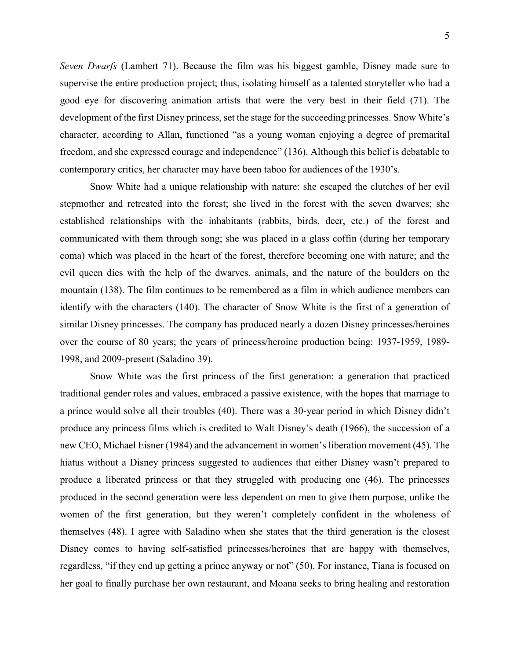*Seven Dwarfs* (Lambert 71). Because the film was his biggest gamble, Disney made sure to supervise the entire production project; thus, isolating himself as a talented storyteller who had a good eye for discovering animation artists that were the very best in their field (71). The development of the first Disney princess, set the stage for the succeeding princesses. Snow White's character, according to Allan, functioned "as a young woman enjoying a degree of premarital freedom, and she expressed courage and independence" (136). Although this belief is debatable to contemporary critics, her character may have been taboo for audiences of the 1930's.

Snow White had a unique relationship with nature: she escaped the clutches of her evil stepmother and retreated into the forest; she lived in the forest with the seven dwarves; she established relationships with the inhabitants (rabbits, birds, deer, etc.) of the forest and communicated with them through song; she was placed in a glass coffin (during her temporary coma) which was placed in the heart of the forest, therefore becoming one with nature; and the evil queen dies with the help of the dwarves, animals, and the nature of the boulders on the mountain (138). The film continues to be remembered as a film in which audience members can identify with the characters (140). The character of Snow White is the first of a generation of similar Disney princesses. The company has produced nearly a dozen Disney princesses/heroines over the course of 80 years; the years of princess/heroine production being: 1937-1959, 1989- 1998, and 2009-present (Saladino 39).

Snow White was the first princess of the first generation: a generation that practiced traditional gender roles and values, embraced a passive existence, with the hopes that marriage to a prince would solve all their troubles (40). There was a 30-year period in which Disney didn't produce any princess films which is credited to Walt Disney's death (1966), the succession of a new CEO, Michael Eisner (1984) and the advancement in women's liberation movement (45). The hiatus without a Disney princess suggested to audiences that either Disney wasn't prepared to produce a liberated princess or that they struggled with producing one (46). The princesses produced in the second generation were less dependent on men to give them purpose, unlike the women of the first generation, but they weren't completely confident in the wholeness of themselves (48). I agree with Saladino when she states that the third generation is the closest Disney comes to having self-satisfied princesses/heroines that are happy with themselves, regardless, "if they end up getting a prince anyway or not" (50). For instance, Tiana is focused on her goal to finally purchase her own restaurant, and Moana seeks to bring healing and restoration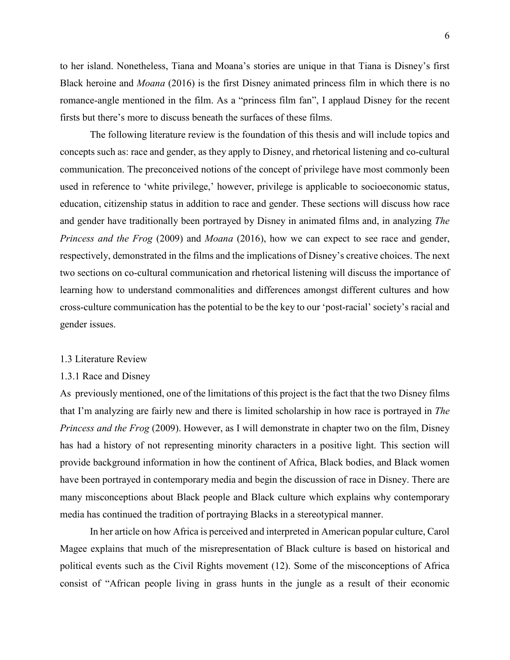to her island. Nonetheless, Tiana and Moana's stories are unique in that Tiana is Disney's first Black heroine and *Moana* (2016) is the first Disney animated princess film in which there is no romance-angle mentioned in the film. As a "princess film fan", I applaud Disney for the recent firsts but there's more to discuss beneath the surfaces of these films.

The following literature review is the foundation of this thesis and will include topics and concepts such as: race and gender, as they apply to Disney, and rhetorical listening and co-cultural communication. The preconceived notions of the concept of privilege have most commonly been used in reference to 'white privilege,' however, privilege is applicable to socioeconomic status, education, citizenship status in addition to race and gender. These sections will discuss how race and gender have traditionally been portrayed by Disney in animated films and, in analyzing *The Princess and the Frog* (2009) and *Moana* (2016), how we can expect to see race and gender, respectively, demonstrated in the films and the implications of Disney's creative choices. The next two sections on co-cultural communication and rhetorical listening will discuss the importance of learning how to understand commonalities and differences amongst different cultures and how cross-culture communication has the potential to be the key to our 'post-racial' society's racial and gender issues.

## 1.3 Literature Review

## 1.3.1 Race and Disney

As previously mentioned, one of the limitations of this project is the fact that the two Disney films that I'm analyzing are fairly new and there is limited scholarship in how race is portrayed in *The Princess and the Frog* (2009). However, as I will demonstrate in chapter two on the film, Disney has had a history of not representing minority characters in a positive light. This section will provide background information in how the continent of Africa, Black bodies, and Black women have been portrayed in contemporary media and begin the discussion of race in Disney. There are many misconceptions about Black people and Black culture which explains why contemporary media has continued the tradition of portraying Blacks in a stereotypical manner.

In her article on how Africa is perceived and interpreted in American popular culture, Carol Magee explains that much of the misrepresentation of Black culture is based on historical and political events such as the Civil Rights movement (12). Some of the misconceptions of Africa consist of "African people living in grass hunts in the jungle as a result of their economic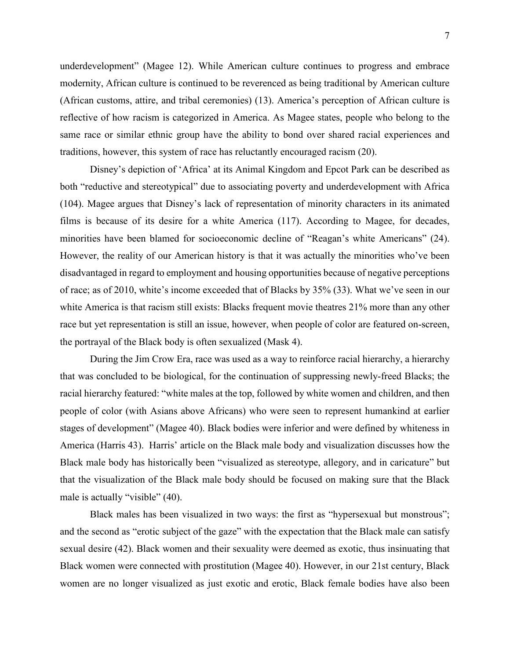underdevelopment" (Magee 12). While American culture continues to progress and embrace modernity, African culture is continued to be reverenced as being traditional by American culture (African customs, attire, and tribal ceremonies) (13). America's perception of African culture is reflective of how racism is categorized in America. As Magee states, people who belong to the same race or similar ethnic group have the ability to bond over shared racial experiences and traditions, however, this system of race has reluctantly encouraged racism (20).

Disney's depiction of 'Africa' at its Animal Kingdom and Epcot Park can be described as both "reductive and stereotypical" due to associating poverty and underdevelopment with Africa (104). Magee argues that Disney's lack of representation of minority characters in its animated films is because of its desire for a white America (117). According to Magee, for decades, minorities have been blamed for socioeconomic decline of "Reagan's white Americans" (24). However, the reality of our American history is that it was actually the minorities who've been disadvantaged in regard to employment and housing opportunities because of negative perceptions of race; as of 2010, white's income exceeded that of Blacks by 35% (33). What we've seen in our white America is that racism still exists: Blacks frequent movie theatres 21% more than any other race but yet representation is still an issue, however, when people of color are featured on-screen, the portrayal of the Black body is often sexualized (Mask 4).

During the Jim Crow Era, race was used as a way to reinforce racial hierarchy, a hierarchy that was concluded to be biological, for the continuation of suppressing newly-freed Blacks; the racial hierarchy featured: "white males at the top, followed by white women and children, and then people of color (with Asians above Africans) who were seen to represent humankind at earlier stages of development" (Magee 40). Black bodies were inferior and were defined by whiteness in America (Harris 43). Harris' article on the Black male body and visualization discusses how the Black male body has historically been "visualized as stereotype, allegory, and in caricature" but that the visualization of the Black male body should be focused on making sure that the Black male is actually "visible" (40).

Black males has been visualized in two ways: the first as "hypersexual but monstrous"; and the second as "erotic subject of the gaze" with the expectation that the Black male can satisfy sexual desire (42). Black women and their sexuality were deemed as exotic, thus insinuating that Black women were connected with prostitution (Magee 40). However, in our 21st century, Black women are no longer visualized as just exotic and erotic, Black female bodies have also been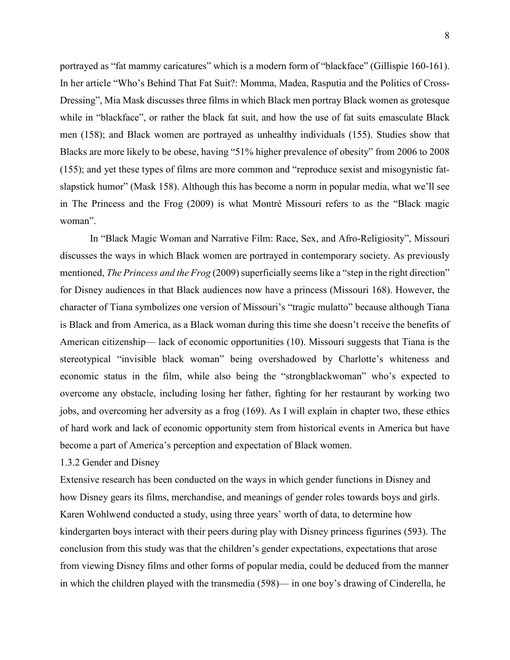portrayed as "fat mammy caricatures" which is a modern form of "blackface" (Gillispie 160-161). In her article "Who's Behind That Fat Suit?: Momma, Madea, Rasputia and the Politics of Cross-Dressing", Mia Mask discusses three films in which Black men portray Black women as grotesque while in "blackface", or rather the black fat suit, and how the use of fat suits emasculate Black men (158); and Black women are portrayed as unhealthy individuals (155). Studies show that Blacks are more likely to be obese, having "51% higher prevalence of obesity" from 2006 to 2008 (155); and yet these types of films are more common and "reproduce sexist and misogynistic fatslapstick humor" (Mask 158). Although this has become a norm in popular media, what we'll see in The Princess and the Frog (2009) is what Montré Missouri refers to as the "Black magic woman".

In "Black Magic Woman and Narrative Film: Race, Sex, and Afro-Religiosity", Missouri discusses the ways in which Black women are portrayed in contemporary society. As previously mentioned, *The Princess and the Frog* (2009) superficially seems like a "step in the right direction" for Disney audiences in that Black audiences now have a princess (Missouri 168). However, the character of Tiana symbolizes one version of Missouri's "tragic mulatto" because although Tiana is Black and from America, as a Black woman during this time she doesn't receive the benefits of American citizenship— lack of economic opportunities (10). Missouri suggests that Tiana is the stereotypical "invisible black woman" being overshadowed by Charlotte's whiteness and economic status in the film, while also being the "strongblackwoman" who's expected to overcome any obstacle, including losing her father, fighting for her restaurant by working two jobs, and overcoming her adversity as a frog (169). As I will explain in chapter two, these ethics of hard work and lack of economic opportunity stem from historical events in America but have become a part of America's perception and expectation of Black women.

## 1.3.2 Gender and Disney

Extensive research has been conducted on the ways in which gender functions in Disney and how Disney gears its films, merchandise, and meanings of gender roles towards boys and girls. Karen Wohlwend conducted a study, using three years' worth of data, to determine how kindergarten boys interact with their peers during play with Disney princess figurines (593). The conclusion from this study was that the children's gender expectations, expectations that arose from viewing Disney films and other forms of popular media, could be deduced from the manner in which the children played with the transmedia (598)— in one boy's drawing of Cinderella, he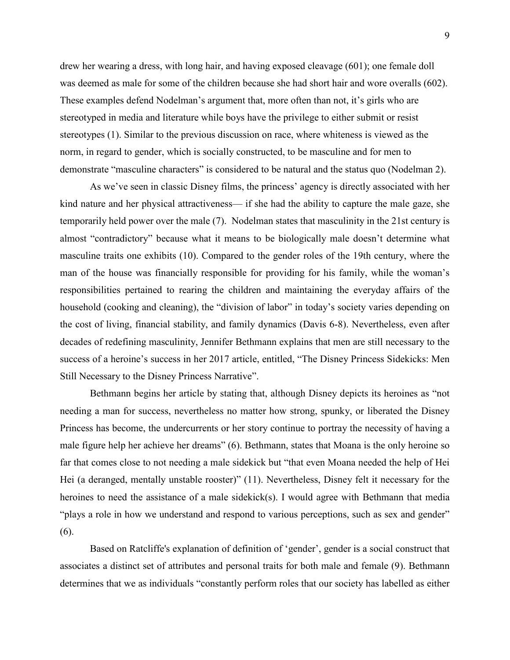drew her wearing a dress, with long hair, and having exposed cleavage (601); one female doll was deemed as male for some of the children because she had short hair and wore overalls (602). These examples defend Nodelman's argument that, more often than not, it's girls who are stereotyped in media and literature while boys have the privilege to either submit or resist stereotypes (1). Similar to the previous discussion on race, where whiteness is viewed as the norm, in regard to gender, which is socially constructed, to be masculine and for men to demonstrate "masculine characters" is considered to be natural and the status quo (Nodelman 2).

As we've seen in classic Disney films, the princess' agency is directly associated with her kind nature and her physical attractiveness— if she had the ability to capture the male gaze, she temporarily held power over the male (7). Nodelman states that masculinity in the 21st century is almost "contradictory" because what it means to be biologically male doesn't determine what masculine traits one exhibits (10). Compared to the gender roles of the 19th century, where the man of the house was financially responsible for providing for his family, while the woman's responsibilities pertained to rearing the children and maintaining the everyday affairs of the household (cooking and cleaning), the "division of labor" in today's society varies depending on the cost of living, financial stability, and family dynamics (Davis 6-8). Nevertheless, even after decades of redefining masculinity, Jennifer Bethmann explains that men are still necessary to the success of a heroine's success in her 2017 article, entitled, "The Disney Princess Sidekicks: Men Still Necessary to the Disney Princess Narrative".

Bethmann begins her article by stating that, although Disney depicts its heroines as "not needing a man for success, nevertheless no matter how strong, spunky, or liberated the Disney Princess has become, the undercurrents or her story continue to portray the necessity of having a male figure help her achieve her dreams" (6). Bethmann, states that Moana is the only heroine so far that comes close to not needing a male sidekick but "that even Moana needed the help of Hei Hei (a deranged, mentally unstable rooster)" (11). Nevertheless, Disney felt it necessary for the heroines to need the assistance of a male sidekick(s). I would agree with Bethmann that media "plays a role in how we understand and respond to various perceptions, such as sex and gender" (6).

Based on Ratcliffe's explanation of definition of 'gender', gender is a social construct that associates a distinct set of attributes and personal traits for both male and female (9). Bethmann determines that we as individuals "constantly perform roles that our society has labelled as either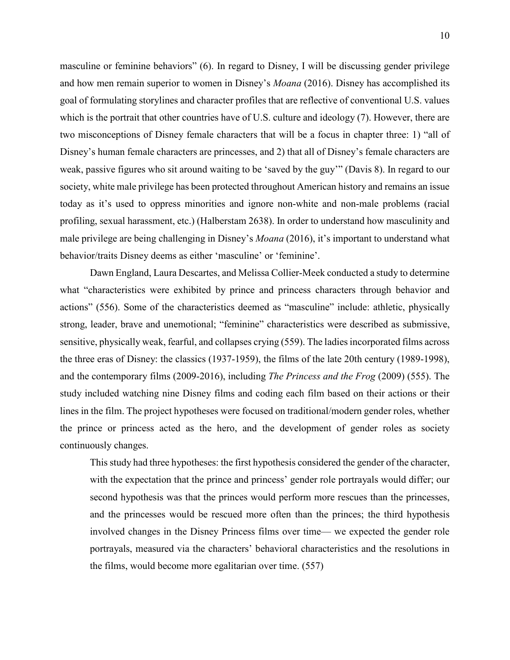masculine or feminine behaviors" (6). In regard to Disney, I will be discussing gender privilege and how men remain superior to women in Disney's *Moana* (2016). Disney has accomplished its goal of formulating storylines and character profiles that are reflective of conventional U.S. values which is the portrait that other countries have of U.S. culture and ideology (7). However, there are two misconceptions of Disney female characters that will be a focus in chapter three: 1) "all of Disney's human female characters are princesses, and 2) that all of Disney's female characters are weak, passive figures who sit around waiting to be 'saved by the guy'" (Davis 8). In regard to our society, white male privilege has been protected throughout American history and remains an issue today as it's used to oppress minorities and ignore non-white and non-male problems (racial profiling, sexual harassment, etc.) (Halberstam 2638). In order to understand how masculinity and male privilege are being challenging in Disney's *Moana* (2016), it's important to understand what behavior/traits Disney deems as either 'masculine' or 'feminine'.

Dawn England, Laura Descartes, and Melissa Collier-Meek conducted a study to determine what "characteristics were exhibited by prince and princess characters through behavior and actions" (556). Some of the characteristics deemed as "masculine" include: athletic, physically strong, leader, brave and unemotional; "feminine" characteristics were described as submissive, sensitive, physically weak, fearful, and collapses crying (559). The ladies incorporated films across the three eras of Disney: the classics (1937-1959), the films of the late 20th century (1989-1998), and the contemporary films (2009-2016), including *The Princess and the Frog* (2009) (555). The study included watching nine Disney films and coding each film based on their actions or their lines in the film. The project hypotheses were focused on traditional/modern gender roles, whether the prince or princess acted as the hero, and the development of gender roles as society continuously changes.

This study had three hypotheses: the first hypothesis considered the gender of the character, with the expectation that the prince and princess' gender role portrayals would differ; our second hypothesis was that the princes would perform more rescues than the princesses, and the princesses would be rescued more often than the princes; the third hypothesis involved changes in the Disney Princess films over time–– we expected the gender role portrayals, measured via the characters' behavioral characteristics and the resolutions in the films, would become more egalitarian over time. (557)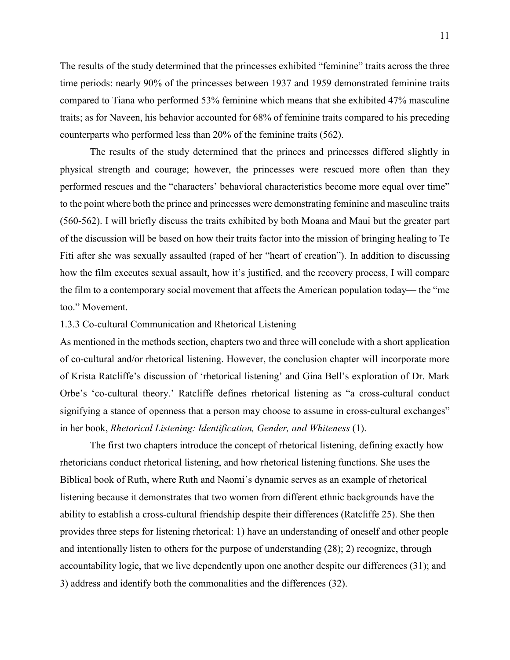The results of the study determined that the princesses exhibited "feminine" traits across the three time periods: nearly 90% of the princesses between 1937 and 1959 demonstrated feminine traits compared to Tiana who performed 53% feminine which means that she exhibited 47% masculine traits; as for Naveen, his behavior accounted for 68% of feminine traits compared to his preceding counterparts who performed less than 20% of the feminine traits (562).

The results of the study determined that the princes and princesses differed slightly in physical strength and courage; however, the princesses were rescued more often than they performed rescues and the "characters' behavioral characteristics become more equal over time" to the point where both the prince and princesses were demonstrating feminine and masculine traits (560-562). I will briefly discuss the traits exhibited by both Moana and Maui but the greater part of the discussion will be based on how their traits factor into the mission of bringing healing to Te Fiti after she was sexually assaulted (raped of her "heart of creation"). In addition to discussing how the film executes sexual assault, how it's justified, and the recovery process, I will compare the film to a contemporary social movement that affects the American population today–– the "me too." Movement.

1.3.3 Co-cultural Communication and Rhetorical Listening

As mentioned in the methods section, chapters two and three will conclude with a short application of co-cultural and/or rhetorical listening. However, the conclusion chapter will incorporate more of Krista Ratcliffe's discussion of 'rhetorical listening' and Gina Bell's exploration of Dr. Mark Orbe's 'co-cultural theory.' Ratcliffe defines rhetorical listening as "a cross-cultural conduct signifying a stance of openness that a person may choose to assume in cross-cultural exchanges" in her book, *Rhetorical Listening: Identification, Gender, and Whiteness* (1).

The first two chapters introduce the concept of rhetorical listening, defining exactly how rhetoricians conduct rhetorical listening, and how rhetorical listening functions. She uses the Biblical book of Ruth, where Ruth and Naomi's dynamic serves as an example of rhetorical listening because it demonstrates that two women from different ethnic backgrounds have the ability to establish a cross-cultural friendship despite their differences (Ratcliffe 25). She then provides three steps for listening rhetorical: 1) have an understanding of oneself and other people and intentionally listen to others for the purpose of understanding (28); 2) recognize, through accountability logic, that we live dependently upon one another despite our differences (31); and 3) address and identify both the commonalities and the differences (32).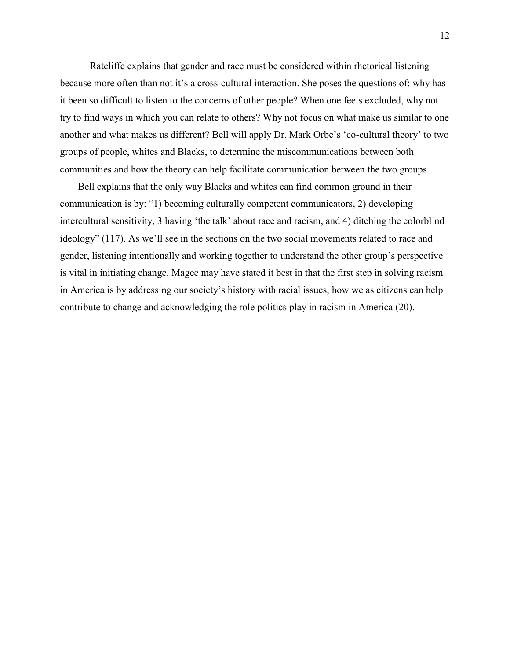Ratcliffe explains that gender and race must be considered within rhetorical listening because more often than not it's a cross-cultural interaction. She poses the questions of: why has it been so difficult to listen to the concerns of other people? When one feels excluded, why not try to find ways in which you can relate to others? Why not focus on what make us similar to one another and what makes us different? Bell will apply Dr. Mark Orbe's 'co-cultural theory' to two groups of people, whites and Blacks, to determine the miscommunications between both communities and how the theory can help facilitate communication between the two groups.

Bell explains that the only way Blacks and whites can find common ground in their communication is by: "1) becoming culturally competent communicators, 2) developing intercultural sensitivity, 3 having 'the talk' about race and racism, and 4) ditching the colorblind ideology" (117). As we'll see in the sections on the two social movements related to race and gender, listening intentionally and working together to understand the other group's perspective is vital in initiating change. Magee may have stated it best in that the first step in solving racism in America is by addressing our society's history with racial issues, how we as citizens can help contribute to change and acknowledging the role politics play in racism in America (20).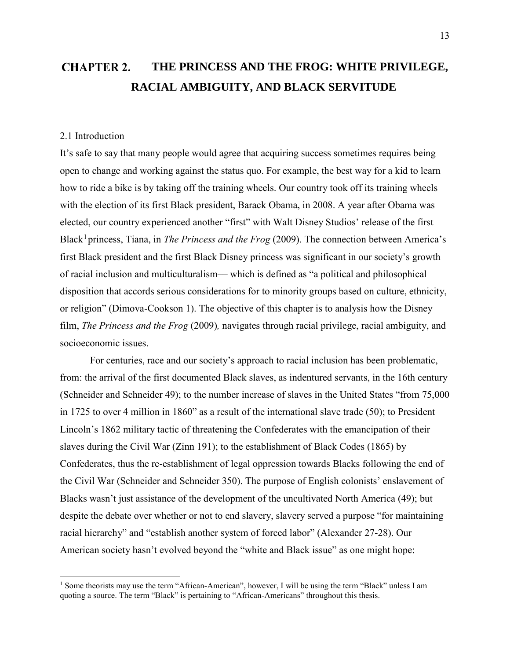## **CHAPTER 2. THE PRINCESS AND THE FROG: WHITE PRIVILEGE, RACIAL AMBIGUITY, AND BLACK SERVITUDE**

### 2.1 Introduction

 $\overline{a}$ 

It's safe to say that many people would agree that acquiring success sometimes requires being open to change and working against the status quo. For example, the best way for a kid to learn how to ride a bike is by taking off the training wheels. Our country took off its training wheels with the election of its first Black president, Barack Obama, in 2008. A year after Obama was elected, our country experienced another "first" with Walt Disney Studios' release of the first Black<sup>[1](#page-20-0)</sup> princess, Tiana, in *The Princess and the Frog* (2009). The connection between America's first Black president and the first Black Disney princess was significant in our society's growth of racial inclusion and multiculturalism–– which is defined as "a political and philosophical disposition that accords serious considerations for to minority groups based on culture, ethnicity, or religion" (Dimova-Cookson 1). The objective of this chapter is to analysis how the Disney film, *The Princess and the Frog* (2009)*,* navigates through racial privilege, racial ambiguity, and socioeconomic issues.

For centuries, race and our society's approach to racial inclusion has been problematic, from: the arrival of the first documented Black slaves, as indentured servants, in the 16th century (Schneider and Schneider 49); to the number increase of slaves in the United States "from 75,000 in 1725 to over 4 million in 1860" as a result of the international slave trade (50); to President Lincoln's 1862 military tactic of threatening the Confederates with the emancipation of their slaves during the Civil War (Zinn 191); to the establishment of Black Codes (1865) by Confederates, thus the re-establishment of legal oppression towards Blacks following the end of the Civil War (Schneider and Schneider 350). The purpose of English colonists' enslavement of Blacks wasn't just assistance of the development of the uncultivated North America (49); but despite the debate over whether or not to end slavery, slavery served a purpose "for maintaining racial hierarchy" and "establish another system of forced labor" (Alexander 27-28). Our American society hasn't evolved beyond the "white and Black issue" as one might hope:

<span id="page-20-0"></span><sup>&</sup>lt;sup>1</sup> Some theorists may use the term "African-American", however, I will be using the term "Black" unless I am quoting a source. The term "Black" is pertaining to "African-Americans" throughout this thesis.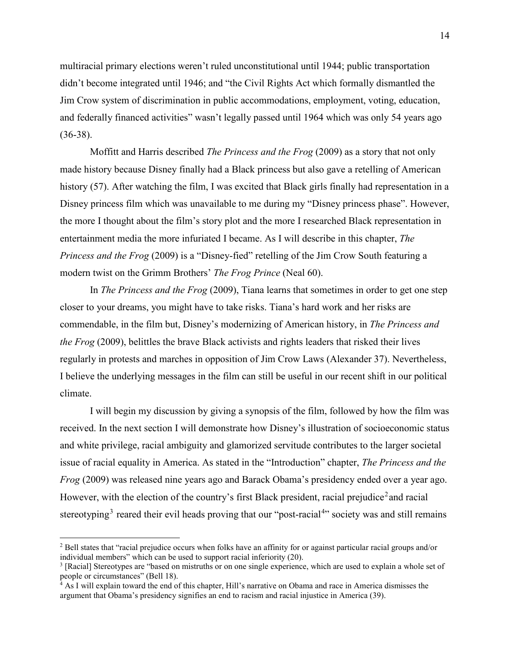multiracial primary elections weren't ruled unconstitutional until 1944; public transportation didn't become integrated until 1946; and "the Civil Rights Act which formally dismantled the Jim Crow system of discrimination in public accommodations, employment, voting, education, and federally financed activities" wasn't legally passed until 1964 which was only 54 years ago (36-38).

Moffitt and Harris described *The Princess and the Frog* (2009) as a story that not only made history because Disney finally had a Black princess but also gave a retelling of American history (57). After watching the film, I was excited that Black girls finally had representation in a Disney princess film which was unavailable to me during my "Disney princess phase". However, the more I thought about the film's story plot and the more I researched Black representation in entertainment media the more infuriated I became. As I will describe in this chapter, *The Princess and the Frog* (2009) is a "Disney-fied" retelling of the Jim Crow South featuring a modern twist on the Grimm Brothers' *The Frog Prince* (Neal 60).

 In *The Princess and the Frog* (2009), Tiana learns that sometimes in order to get one step closer to your dreams, you might have to take risks. Tiana's hard work and her risks are commendable, in the film but, Disney's modernizing of American history, in *The Princess and the Frog* (2009), belittles the brave Black activists and rights leaders that risked their lives regularly in protests and marches in opposition of Jim Crow Laws (Alexander 37). Nevertheless, I believe the underlying messages in the film can still be useful in our recent shift in our political climate.

I will begin my discussion by giving a synopsis of the film, followed by how the film was received. In the next section I will demonstrate how Disney's illustration of socioeconomic status and white privilege, racial ambiguity and glamorized servitude contributes to the larger societal issue of racial equality in America. As stated in the "Introduction" chapter, *The Princess and the Frog* (2009) was released nine years ago and Barack Obama's presidency ended over a year ago. However, with the election of the country's first Black president, racial prejudice<sup>[2](#page-21-0)</sup> and racial stereotyping<sup>[3](#page-21-1)</sup> reared their evil heads proving that our "post-racial<sup>[4](#page-21-2)</sup>" society was and still remains

 $\overline{a}$ 

<span id="page-21-0"></span><sup>&</sup>lt;sup>2</sup> Bell states that "racial prejudice occurs when folks have an affinity for or against particular racial groups and/or individual members" which can be used to support racial inferiority (20).

<span id="page-21-1"></span><sup>3</sup> [Racial] Stereotypes are "based on mistruths or on one single experience, which are used to explain a whole set of people or circumstances" (Bell 18).

<span id="page-21-2"></span><sup>&</sup>lt;sup>4</sup> As I will explain toward the end of this chapter, Hill's narrative on Obama and race in America dismisses the argument that Obama's presidency signifies an end to racism and racial injustice in America (39).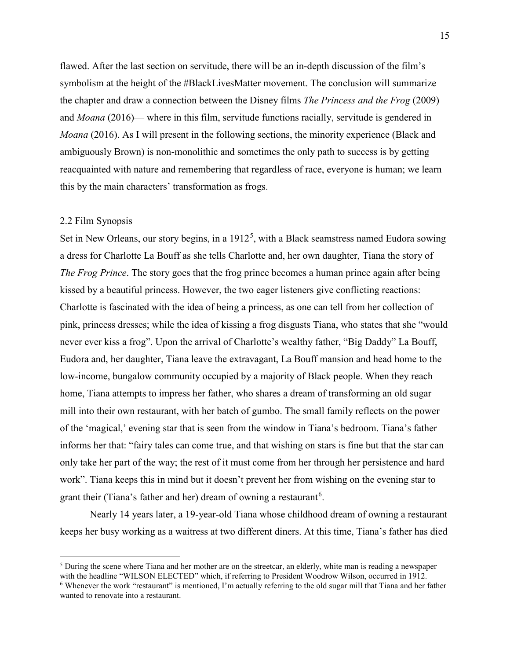flawed. After the last section on servitude, there will be an in-depth discussion of the film's symbolism at the height of the #BlackLivesMatter movement. The conclusion will summarize the chapter and draw a connection between the Disney films *The Princess and the Frog* (2009) and *Moana* (2016)–– where in this film, servitude functions racially, servitude is gendered in *Moana* (2016). As I will present in the following sections, the minority experience (Black and ambiguously Brown) is non-monolithic and sometimes the only path to success is by getting reacquainted with nature and remembering that regardless of race, everyone is human; we learn this by the main characters' transformation as frogs.

## 2.2 Film Synopsis

 $\overline{a}$ 

Set in New Orleans, our story begins, in a  $1912^5$  $1912^5$ , with a Black seamstress named Eudora sowing a dress for Charlotte La Bouff as she tells Charlotte and, her own daughter, Tiana the story of *The Frog Prince*. The story goes that the frog prince becomes a human prince again after being kissed by a beautiful princess. However, the two eager listeners give conflicting reactions: Charlotte is fascinated with the idea of being a princess, as one can tell from her collection of pink, princess dresses; while the idea of kissing a frog disgusts Tiana, who states that she "would never ever kiss a frog". Upon the arrival of Charlotte's wealthy father, "Big Daddy" La Bouff, Eudora and, her daughter, Tiana leave the extravagant, La Bouff mansion and head home to the low-income, bungalow community occupied by a majority of Black people. When they reach home, Tiana attempts to impress her father, who shares a dream of transforming an old sugar mill into their own restaurant, with her batch of gumbo. The small family reflects on the power of the 'magical,' evening star that is seen from the window in Tiana's bedroom. Tiana's father informs her that: "fairy tales can come true, and that wishing on stars is fine but that the star can only take her part of the way; the rest of it must come from her through her persistence and hard work". Tiana keeps this in mind but it doesn't prevent her from wishing on the evening star to grant their (Tiana's father and her) dream of owning a restaurant<sup>[6](#page-22-1)</sup>.

Nearly 14 years later, a 19-year-old Tiana whose childhood dream of owning a restaurant keeps her busy working as a waitress at two different diners. At this time, Tiana's father has died

<span id="page-22-0"></span><sup>&</sup>lt;sup>5</sup> During the scene where Tiana and her mother are on the streetcar, an elderly, white man is reading a newspaper

<span id="page-22-1"></span>with the headline "WILSON ELECTED" which, if referring to President Woodrow Wilson, occurred in 1912. <sup>6</sup> Whenever the work "restaurant" is mentioned, I'm actually referring to the old sugar mill that Tiana and her father wanted to renovate into a restaurant.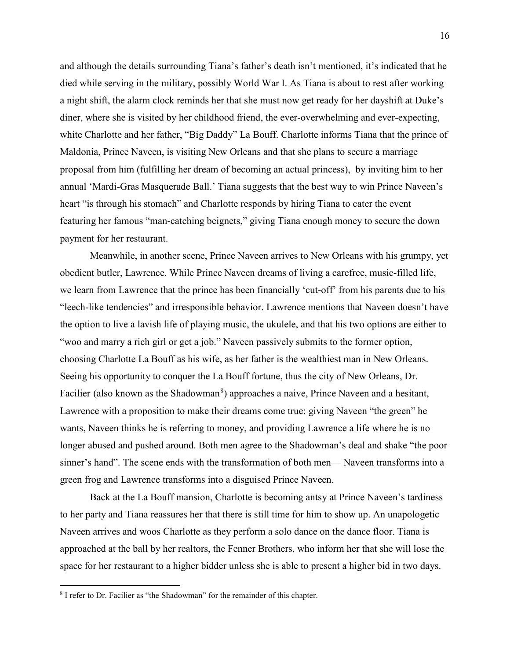and although the details surrounding Tiana's father's death isn't mentioned, it's indicated that he died while serving in the military, possibly World War I. As Tiana is about to rest after working a night shift, the alarm clock reminds her that she must now get ready for her dayshift at Duke's diner, where she is visited by her childhood friend, the ever-overwhelming and ever-expecting, white Charlotte and her father, "Big Daddy" La Bouff. Charlotte informs Tiana that the prince of Maldonia, Prince Naveen, is visiting New Orleans and that she plans to secure a marriage proposal from him (fulfilling her dream of becoming an actual princess), by inviting him to her annual 'Mardi-Gras Masquerade Ball.' Tiana suggests that the best way to win Prince Naveen's heart "is through his stomach" and Charlotte responds by hiring Tiana to cater the event featuring her famous "man-catching beignets," giving Tiana enough money to secure the down payment for her restaurant.

Meanwhile, in another scene, Prince Naveen arrives to New Orleans with his grumpy, yet obedient butler, Lawrence. While Prince Naveen dreams of living a carefree, music-filled life, we learn from Lawrence that the prince has been financially 'cut-off' from his parents due to his "leech-like tendencies" and irresponsible behavior. Lawrence mentions that Naveen doesn't have the option to live a lavish life of playing music, the ukulele, and that his two options are either to "woo and marry a rich girl or get a job." Naveen passively submits to the former option, choosing Charlotte La Bouff as his wife, as her father is the wealthiest man in New Orleans. Seeing his opportunity to conquer the La Bouff fortune, thus the city of New Orleans, Dr. Facilier (also known as the Shadowman<sup>[8](#page-23-0)</sup>) approaches a naive, Prince Naveen and a hesitant, Lawrence with a proposition to make their dreams come true: giving Naveen "the green" he wants, Naveen thinks he is referring to money, and providing Lawrence a life where he is no longer abused and pushed around. Both men agree to the Shadowman's deal and shake "the poor sinner's hand". The scene ends with the transformation of both men— Naveen transforms into a green frog and Lawrence transforms into a disguised Prince Naveen.

Back at the La Bouff mansion, Charlotte is becoming antsy at Prince Naveen's tardiness to her party and Tiana reassures her that there is still time for him to show up. An unapologetic Naveen arrives and woos Charlotte as they perform a solo dance on the dance floor. Tiana is approached at the ball by her realtors, the Fenner Brothers, who inform her that she will lose the space for her restaurant to a higher bidder unless she is able to present a higher bid in two days.

 $\overline{a}$ 

<span id="page-23-0"></span><sup>8</sup> I refer to Dr. Facilier as "the Shadowman" for the remainder of this chapter.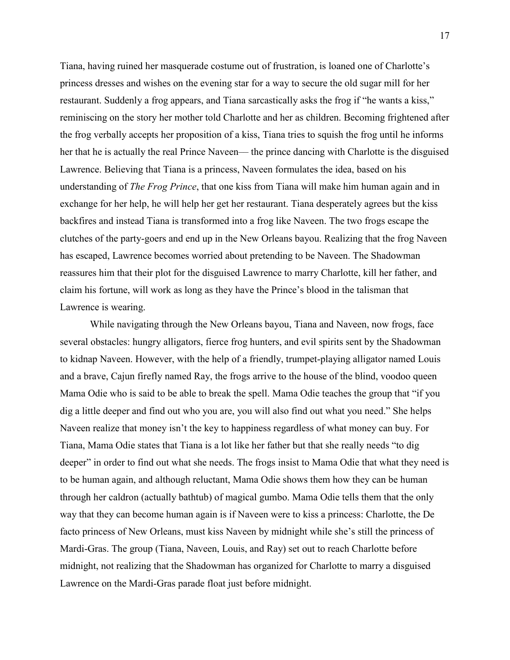<span id="page-24-0"></span>Tiana, having ruined her masquerade costume out of frustration, is loaned one of Charlotte's princess dresses and wishes on the evening star for a way to secure the old sugar mill for her restaurant. Suddenly a frog appears, and Tiana sarcastically asks the frog if "he wants a kiss," reminiscing on the story her mother told Charlotte and her as children. Becoming frightened after the frog verbally accepts her proposition of a kiss, Tiana tries to squish the frog until he informs her that he is actually the real Prince Naveen–– the prince dancing with Charlotte is the disguised Lawrence. Believing that Tiana is a princess, Naveen formulates the idea, based on his understanding of *The Frog Prince*, that one kiss from Tiana will make him human again and in exchange for her help, he will help her get her restaurant. Tiana desperately agrees but the kiss backfires and instead Tiana is transformed into a frog like Naveen. The two frogs escape the clutches of the party-goers and end up in the New Orleans bayou. Realizing that the frog Naveen has escaped, Lawrence becomes worried about pretending to be Naveen. The Shadowman reassures him that their plot for the disguised Lawrence to marry Charlotte, kill her father, and claim his fortune, will work as long as they have the Prince's blood in the talisman [t](#page-24-0)hat Lawrence is wearing.

While navigating through the New Orleans bayou, Tiana and Naveen, now frogs, face several obstacles: hungry alligators, fierce frog hunters, and evil spirits sent by the Shadowman to kidnap Naveen. However, with the help of a friendly, trumpet-playing alligator named Louis and a brave, Cajun firefly named Ray, the frogs arrive to the house of the blind, voodoo queen Mama Odie who is said to be able to break the spell. Mama Odie teaches the group that "if you dig a little deeper and find out who you are, you will also find out what you need." She helps Naveen realize that money isn't the key to happiness regardless of what money can buy. For Tiana, Mama Odie states that Tiana is a lot like her father but that she really needs "to dig deeper" in order to find out what she needs. The frogs insist to Mama Odie that what they need is to be human again, and although reluctant, Mama Odie shows them how they can be human through her caldron (actually bathtub) of magical gumbo. Mama Odie tells them that the only way that they can become human again is if Naveen were to kiss a princess: Charlotte, the De facto princess of New Orleans, must kiss Naveen by midnight while she's still the princess of Mardi-Gras. The group (Tiana, Naveen, Louis, and Ray) set out to reach Charlotte before midnight, not realizing that the Shadowman has organized for Charlotte to marry a disguised Lawrence on the Mardi-Gras parade float just before midnight.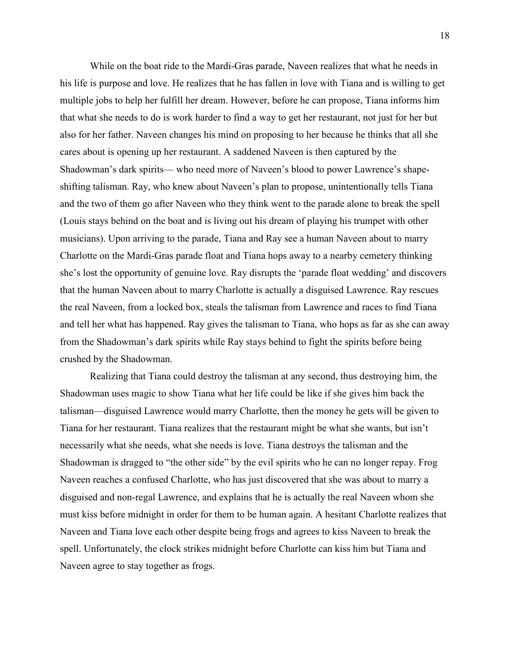While on the boat ride to the Mardi-Gras parade, Naveen realizes that what he needs in his life is purpose and love. He realizes that he has fallen in love with Tiana and is willing to get multiple jobs to help her fulfill her dream. However, before he can propose, Tiana informs him that what she needs to do is work harder to find a way to get her restaurant, not just for her but also for her father. Naveen changes his mind on proposing to her because he thinks that all she cares about is opening up her restaurant. A saddened Naveen is then captured by the Shadowman's dark spirits— who need more of Naveen's blood to power Lawrence's shapeshifting talisman. Ray, who knew about Naveen's plan to propose, unintentionally tells Tiana and the two of them go after Naveen who they think went to the parade alone to break the spell (Louis stays behind on the boat and is living out his dream of playing his trumpet with other musicians). Upon arriving to the parade, Tiana and Ray see a human Naveen about to marry Charlotte on the Mardi-Gras parade float and Tiana hops away to a nearby cemetery thinking she's lost the opportunity of genuine love. Ray disrupts the 'parade float wedding' and discovers that the human Naveen about to marry Charlotte is actually a disguised Lawrence. Ray rescues the real Naveen, from a locked box, steals the talisman from Lawrence and races to find Tiana and tell her what has happened. Ray gives the talisman to Tiana, who hops as far as she can away from the Shadowman's dark spirits while Ray stays behind to fight the spirits before being crushed by the Shadowman.

Realizing that Tiana could destroy the talisman at any second, thus destroying him, the Shadowman uses magic to show Tiana what her life could be like if she gives him back the talisman––disguised Lawrence would marry Charlotte, then the money he gets will be given to Tiana for her restaurant. Tiana realizes that the restaurant might be what she wants, but isn't necessarily what she needs, what she needs is love. Tiana destroys the talisman and the Shadowman is dragged to "the other side" by the evil spirits who he can no longer repay. Frog Naveen reaches a confused Charlotte, who has just discovered that she was about to marry a disguised and non-regal Lawrence, and explains that he is actually the real Naveen whom she must kiss before midnight in order for them to be human again. A hesitant Charlotte realizes that Naveen and Tiana love each other despite being frogs and agrees to kiss Naveen to break the spell. Unfortunately, the clock strikes midnight before Charlotte can kiss him but Tiana and Naveen agree to stay together as frogs.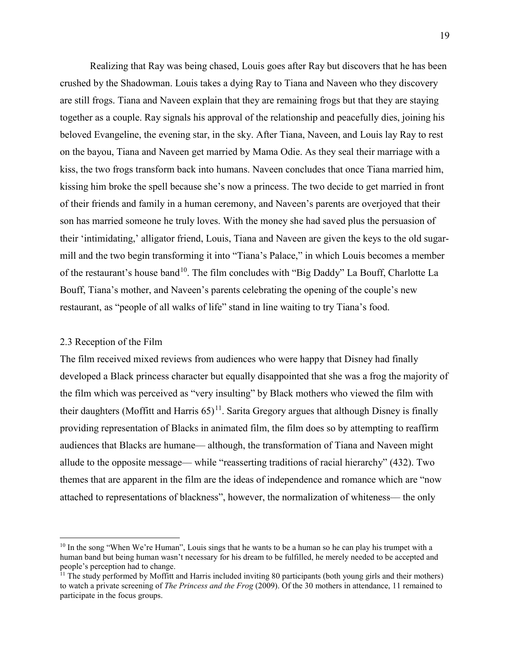Realizing that Ray was being chased, Louis goes after Ray but discovers that he has been crushed by the Shadowman. Louis takes a dying Ray to Tiana and Naveen who they discovery are still frogs. Tiana and Naveen explain that they are remaining frogs but that they are staying together as a couple. Ray signals his approval of the relationship and peacefully dies, joining his beloved Evangeline, the evening star, in the sky. After Tiana, Naveen, and Louis lay Ray to rest on the bayou, Tiana and Naveen get married by Mama Odie. As they seal their marriage with a kiss, the two frogs transform back into humans. Naveen concludes that once Tiana married him, kissing him broke the spell because she's now a princess. The two decide to get married in front of their friends and family in a human ceremony, and Naveen's parents are overjoyed that their son has married someone he truly loves. With the money she had saved plus the persuasion of their 'intimidating,' alligator friend, Louis, Tiana and Naveen are given the keys to the old sugarmill and the two begin transforming it into "Tiana's Palace," in which Louis becomes a member of the restaurant's house band<sup>10</sup>. The film concludes with "Big Daddy" La Bouff, Charlotte La Bouff, Tiana's mother, and Naveen's parents celebrating the opening of the couple's new restaurant, as "people of all walks of life" stand in line waiting to try Tiana's food.

### 2.3 Reception of the Film

 $\overline{a}$ 

The film received mixed reviews from audiences who were happy that Disney had finally developed a Black princess character but equally disappointed that she was a frog the majority of the film which was perceived as "very insulting" by Black mothers who viewed the film with their daughters (Moffitt and Harris  $(65)^{11}$  $(65)^{11}$  $(65)^{11}$ . Sarita Gregory argues that although Disney is finally providing representation of Blacks in animated film, the film does so by attempting to reaffirm audiences that Blacks are humane–– although, the transformation of Tiana and Naveen might allude to the opposite message–– while "reasserting traditions of racial hierarchy" (432). Two themes that are apparent in the film are the ideas of independence and romance which are "now attached to representations of blackness", however, the normalization of whiteness–– the only

<span id="page-26-0"></span><sup>&</sup>lt;sup>10</sup> In the song "When We're Human", Louis sings that he wants to be a human so he can play his trumpet with a human band but being human wasn't necessary for his dream to be fulfilled, he merely needed to be accepted and people's perception had to change.

<span id="page-26-1"></span><sup>&</sup>lt;sup>11</sup> The study performed by Moffitt and Harris included inviting 80 participants (both young girls and their mothers) to watch a private screening of *The Princess and the Frog* (2009). Of the 30 mothers in attendance, 11 remained to participate in the focus groups.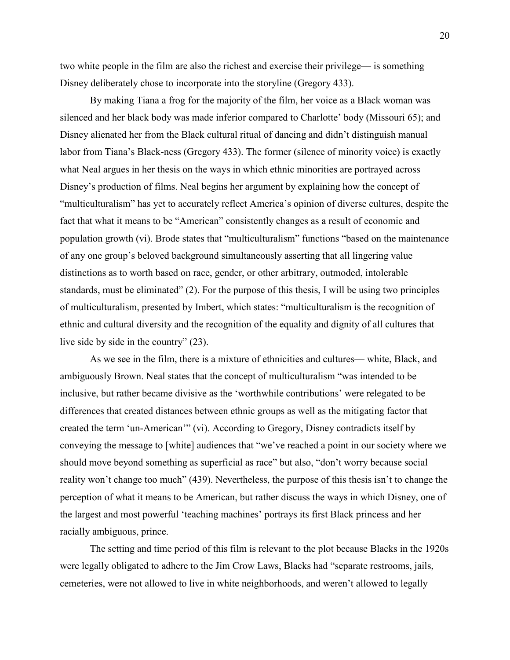two white people in the film are also the richest and exercise their privilege–– is something Disney deliberately chose to incorporate into the storyline (Gregory 433).

By making Tiana a frog for the majority of the film, her voice as a Black woman was silenced and her black body was made inferior compared to Charlotte' body (Missouri 65); and Disney alienated her from the Black cultural ritual of dancing and didn't distinguish manual labor from Tiana's Black-ness (Gregory 433). The former (silence of minority voice) is exactly what Neal argues in her thesis on the ways in which ethnic minorities are portrayed across Disney's production of films. Neal begins her argument by explaining how the concept of "multiculturalism" has yet to accurately reflect America's opinion of diverse cultures, despite the fact that what it means to be "American" consistently changes as a result of economic and population growth (vi). Brode states that "multiculturalism" functions "based on the maintenance of any one group's beloved background simultaneously asserting that all lingering value distinctions as to worth based on race, gender, or other arbitrary, outmoded, intolerable standards, must be eliminated" (2). For the purpose of this thesis, I will be using two principles of multiculturalism, presented by Imbert, which states: "multiculturalism is the recognition of ethnic and cultural diversity and the recognition of the equality and dignity of all cultures that live side by side in the country" (23).

As we see in the film, there is a mixture of ethnicities and cultures–– white, Black, and ambiguously Brown. Neal states that the concept of multiculturalism "was intended to be inclusive, but rather became divisive as the 'worthwhile contributions' were relegated to be differences that created distances between ethnic groups as well as the mitigating factor that created the term 'un-American'" (vi). According to Gregory, Disney contradicts itself by conveying the message to [white] audiences that "we've reached a point in our society where we should move beyond something as superficial as race" but also, "don't worry because social reality won't change too much" (439). Nevertheless, the purpose of this thesis isn't to change the perception of what it means to be American, but rather discuss the ways in which Disney, one of the largest and most powerful 'teaching machines' portrays its first Black princess and her racially ambiguous, prince.

The setting and time period of this film is relevant to the plot because Blacks in the 1920s were legally obligated to adhere to the Jim Crow Laws, Blacks had "separate restrooms, jails, cemeteries, were not allowed to live in white neighborhoods, and weren't allowed to legally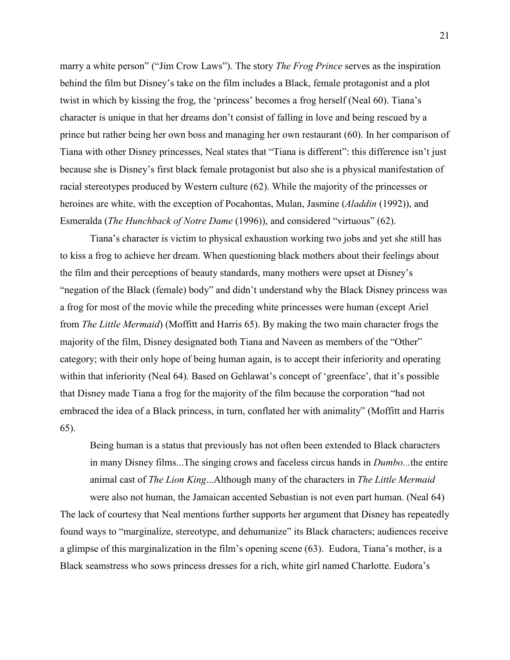marry a white person" ("Jim Crow Laws"). The story *The Frog Prince* serves as the inspiration behind the film but Disney's take on the film includes a Black, female protagonist and a plot twist in which by kissing the frog, the 'princess' becomes a frog herself (Neal 60). Tiana's character is unique in that her dreams don't consist of falling in love and being rescued by a prince but rather being her own boss and managing her own restaurant (60). In her comparison of Tiana with other Disney princesses, Neal states that "Tiana is different": this difference isn't just because she is Disney's first black female protagonist but also she is a physical manifestation of racial stereotypes produced by Western culture (62). While the majority of the princesses or heroines are white, with the exception of Pocahontas, Mulan, Jasmine (*Aladdin* (1992)), and Esmeralda (*The Hunchback of Notre Dame* (1996)), and considered "virtuous" (62).

Tiana's character is victim to physical exhaustion working two jobs and yet she still has to kiss a frog to achieve her dream. When questioning black mothers about their feelings about the film and their perceptions of beauty standards, many mothers were upset at Disney's "negation of the Black (female) body" and didn't understand why the Black Disney princess was a frog for most of the movie while the preceding white princesses were human (except Ariel from *The Little Mermaid*) (Moffitt and Harris 65). By making the two main character frogs the majority of the film, Disney designated both Tiana and Naveen as members of the "Other" category; with their only hope of being human again, is to accept their inferiority and operating within that inferiority (Neal 64). Based on Gehlawat's concept of 'greenface', that it's possible that Disney made Tiana a frog for the majority of the film because the corporation "had not embraced the idea of a Black princess, in turn, conflated her with animality" (Moffitt and Harris 65).

Being human is a status that previously has not often been extended to Black characters in many Disney films...The singing crows and faceless circus hands in *Dumbo...*the entire animal cast of *The Lion King*...Although many of the characters in *The Little Mermaid* 

were also not human, the Jamaican accented Sebastian is not even part human. (Neal 64) The lack of courtesy that Neal mentions further supports her argument that Disney has repeatedly found ways to "marginalize, stereotype, and dehumanize" its Black characters; audiences receive a glimpse of this marginalization in the film's opening scene (63). Eudora, Tiana's mother, is a Black seamstress who sows princess dresses for a rich, white girl named Charlotte. Eudora's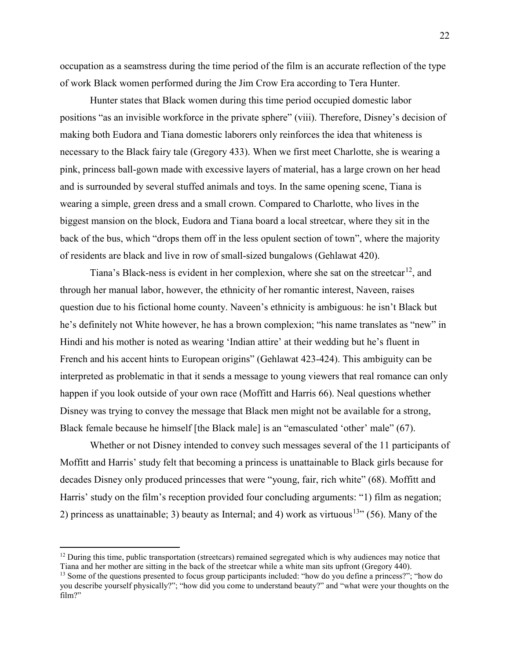occupation as a seamstress during the time period of the film is an accurate reflection of the type of work Black women performed during the Jim Crow Era according to Tera Hunter.

Hunter states that Black women during this time period occupied domestic labor positions "as an invisible workforce in the private sphere" (viii). Therefore, Disney's decision of making both Eudora and Tiana domestic laborers only reinforces the idea that whiteness is necessary to the Black fairy tale (Gregory 433). When we first meet Charlotte, she is wearing a pink, princess ball-gown made with excessive layers of material, has a large crown on her head and is surrounded by several stuffed animals and toys. In the same opening scene, Tiana is wearing a simple, green dress and a small crown. Compared to Charlotte, who lives in the biggest mansion on the block, Eudora and Tiana board a local streetcar, where they sit in the back of the bus, which "drops them off in the less opulent section of town", where the majority of residents are black and live in row of small-sized bungalows (Gehlawat 420).

Tiana's Black-ness is evident in her complexion, where she sat on the streetcar<sup>[12](#page-29-0)</sup>, and through her manual labor, however, the ethnicity of her romantic interest, Naveen, raises question due to his fictional home county. Naveen's ethnicity is ambiguous: he isn't Black but he's definitely not White however, he has a brown complexion; "his name translates as "new" in Hindi and his mother is noted as wearing 'Indian attire' at their wedding but he's fluent in French and his accent hints to European origins" (Gehlawat 423-424). This ambiguity can be interpreted as problematic in that it sends a message to young viewers that real romance can only happen if you look outside of your own race (Moffitt and Harris 66). Neal questions whether Disney was trying to convey the message that Black men might not be available for a strong, Black female because he himself [the Black male] is an "emasculated 'other' male" (67).

Whether or not Disney intended to convey such messages several of the 11 participants of Moffitt and Harris' study felt that becoming a princess is unattainable to Black girls because for decades Disney only produced princesses that were "young, fair, rich white" (68). Moffitt and Harris' study on the film's reception provided four concluding arguments: "1) film as negation; 2) princess as unattainable; 3) beauty as Internal; and 4) work as virtuous<sup>[13](#page-29-1)</sup><sup>13</sup> (56). Many of the

 $\overline{a}$ 

<span id="page-29-0"></span><sup>&</sup>lt;sup>12</sup> During this time, public transportation (streetcars) remained segregated which is why audiences may notice that Tiana and her mother are sitting in the back of the streetcar while a white man sits upfront (Gregory 440).

<span id="page-29-1"></span><sup>&</sup>lt;sup>13</sup> Some of the questions presented to focus group participants included: "how do you define a princess?"; "how do you describe yourself physically?"; "how did you come to understand beauty?" and "what were your thoughts on the film?"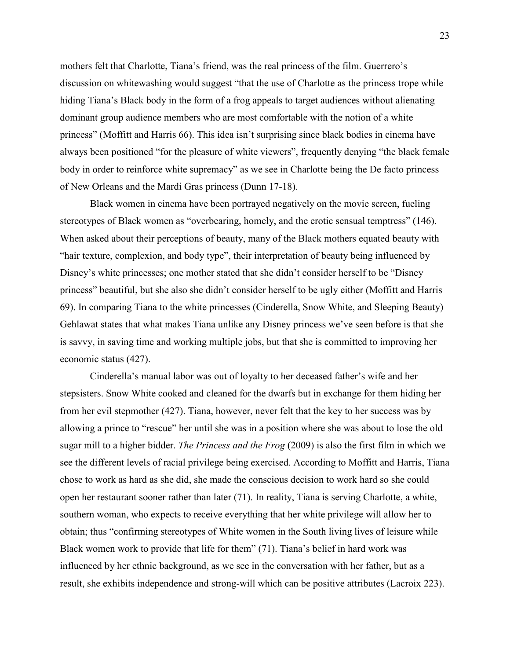mothers felt that Charlotte, Tiana's friend, was the real princess of the film. Guerrero's discussion on whitewashing would suggest "that the use of Charlotte as the princess trope while hiding Tiana's Black body in the form of a frog appeals to target audiences without alienating dominant group audience members who are most comfortable with the notion of a white princess" (Moffitt and Harris 66). This idea isn't surprising since black bodies in cinema have always been positioned "for the pleasure of white viewers", frequently denying "the black female body in order to reinforce white supremacy" as we see in Charlotte being the De facto princess of New Orleans and the Mardi Gras princess (Dunn 17-18).

Black women in cinema have been portrayed negatively on the movie screen, fueling stereotypes of Black women as "overbearing, homely, and the erotic sensual temptress" (146). When asked about their perceptions of beauty, many of the Black mothers equated beauty with "hair texture, complexion, and body type", their interpretation of beauty being influenced by Disney's white princesses; one mother stated that she didn't consider herself to be "Disney princess" beautiful, but she also she didn't consider herself to be ugly either (Moffitt and Harris 69). In comparing Tiana to the white princesses (Cinderella, Snow White, and Sleeping Beauty) Gehlawat states that what makes Tiana unlike any Disney princess we've seen before is that she is savvy, in saving time and working multiple jobs, but that she is committed to improving her economic status (427).

Cinderella's manual labor was out of loyalty to her deceased father's wife and her stepsisters. Snow White cooked and cleaned for the dwarfs but in exchange for them hiding her from her evil stepmother (427). Tiana, however, never felt that the key to her success was by allowing a prince to "rescue" her until she was in a position where she was about to lose the old sugar mill to a higher bidder. *The Princess and the Frog* (2009) is also the first film in which we see the different levels of racial privilege being exercised. According to Moffitt and Harris, Tiana chose to work as hard as she did, she made the conscious decision to work hard so she could open her restaurant sooner rather than later (71). In reality, Tiana is serving Charlotte, a white, southern woman, who expects to receive everything that her white privilege will allow her to obtain; thus "confirming stereotypes of White women in the South living lives of leisure while Black women work to provide that life for them" (71). Tiana's belief in hard work was influenced by her ethnic background, as we see in the conversation with her father, but as a result, she exhibits independence and strong-will which can be positive attributes (Lacroix 223).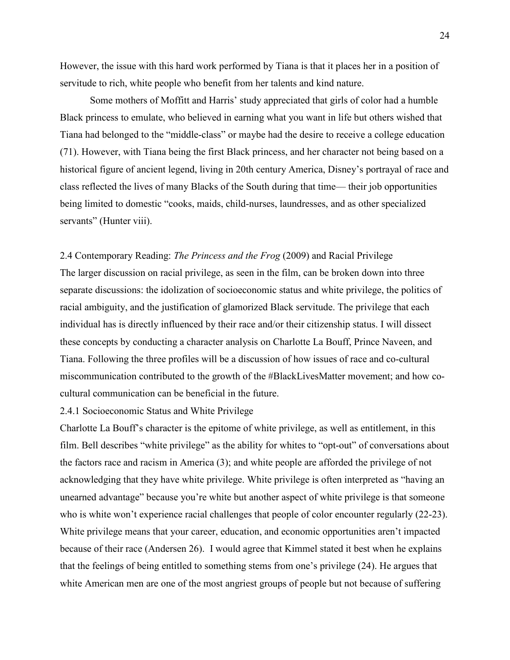However, the issue with this hard work performed by Tiana is that it places her in a position of servitude to rich, white people who benefit from her talents and kind nature.

Some mothers of Moffitt and Harris' study appreciated that girls of color had a humble Black princess to emulate, who believed in earning what you want in life but others wished that Tiana had belonged to the "middle-class" or maybe had the desire to receive a college education (71). However, with Tiana being the first Black princess, and her character not being based on a historical figure of ancient legend, living in 20th century America, Disney's portrayal of race and class reflected the lives of many Blacks of the South during that time–– their job opportunities being limited to domestic "cooks, maids, child-nurses, laundresses, and as other specialized servants" (Hunter viii).

2.4 Contemporary Reading: *The Princess and the Frog* (2009) and Racial Privilege The larger discussion on racial privilege, as seen in the film, can be broken down into three separate discussions: the idolization of socioeconomic status and white privilege, the politics of racial ambiguity, and the justification of glamorized Black servitude. The privilege that each individual has is directly influenced by their race and/or their citizenship status. I will dissect these concepts by conducting a character analysis on Charlotte La Bouff, Prince Naveen, and Tiana. Following the three profiles will be a discussion of how issues of race and co-cultural miscommunication contributed to the growth of the #BlackLivesMatter movement; and how cocultural communication can be beneficial in the future.

2.4.1 Socioeconomic Status and White Privilege

Charlotte La Bouff's character is the epitome of white privilege, as well as entitlement, in this film. Bell describes "white privilege" as the ability for whites to "opt-out" of conversations about the factors race and racism in America (3); and white people are afforded the privilege of not acknowledging that they have white privilege. White privilege is often interpreted as "having an unearned advantage" because you're white but another aspect of white privilege is that someone who is white won't experience racial challenges that people of color encounter regularly (22-23). White privilege means that your career, education, and economic opportunities aren't impacted because of their race (Andersen 26). I would agree that Kimmel stated it best when he explains that the feelings of being entitled to something stems from one's privilege (24). He argues that white American men are one of the most angriest groups of people but not because of suffering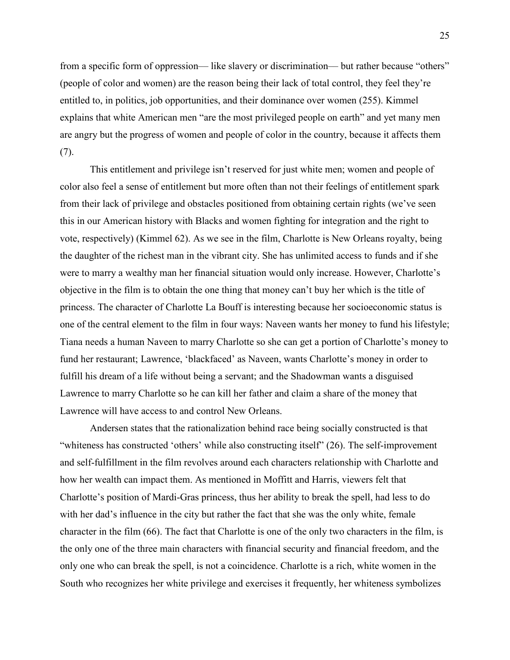from a specific form of oppression—– like slavery or discrimination—– but rather because "others" (people of color and women) are the reason being their lack of total control, they feel they're entitled to, in politics, job opportunities, and their dominance over women (255). Kimmel explains that white American men "are the most privileged people on earth" and yet many men are angry but the progress of women and people of color in the country, because it affects them (7).

This entitlement and privilege isn't reserved for just white men; women and people of color also feel a sense of entitlement but more often than not their feelings of entitlement spark from their lack of privilege and obstacles positioned from obtaining certain rights (we've seen this in our American history with Blacks and women fighting for integration and the right to vote, respectively) (Kimmel 62). As we see in the film, Charlotte is New Orleans royalty, being the daughter of the richest man in the vibrant city. She has unlimited access to funds and if she were to marry a wealthy man her financial situation would only increase. However, Charlotte's objective in the film is to obtain the one thing that money can't buy her which is the title of princess. The character of Charlotte La Bouff is interesting because her socioeconomic status is one of the central element to the film in four ways: Naveen wants her money to fund his lifestyle; Tiana needs a human Naveen to marry Charlotte so she can get a portion of Charlotte's money to fund her restaurant; Lawrence, 'blackfaced' as Naveen, wants Charlotte's money in order to fulfill his dream of a life without being a servant; and the Shadowman wants a disguised Lawrence to marry Charlotte so he can kill her father and claim a share of the money that Lawrence will have access to and control New Orleans.

Andersen states that the rationalization behind race being socially constructed is that "whiteness has constructed 'others' while also constructing itself" (26). The self-improvement and self-fulfillment in the film revolves around each characters relationship with Charlotte and how her wealth can impact them. As mentioned in Moffitt and Harris, viewers felt that Charlotte's position of Mardi-Gras princess, thus her ability to break the spell, had less to do with her dad's influence in the city but rather the fact that she was the only white, female character in the film (66). The fact that Charlotte is one of the only two characters in the film, is the only one of the three main characters with financial security and financial freedom, and the only one who can break the spell, is not a coincidence. Charlotte is a rich, white women in the South who recognizes her white privilege and exercises it frequently, her whiteness symbolizes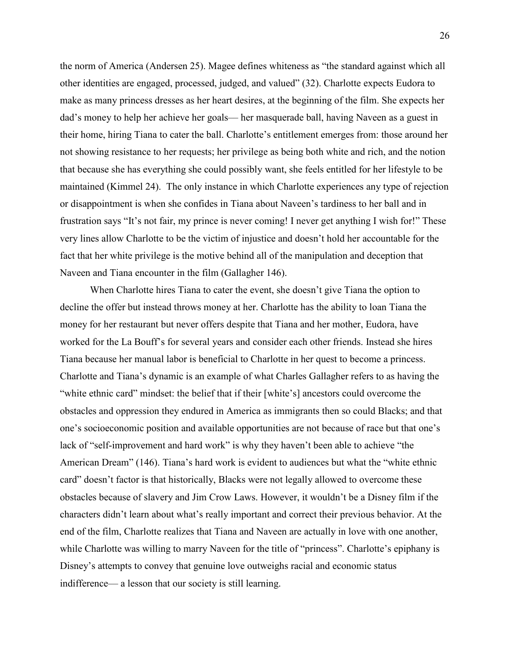the norm of America (Andersen 25). Magee defines whiteness as "the standard against which all other identities are engaged, processed, judged, and valued" (32). Charlotte expects Eudora to make as many princess dresses as her heart desires, at the beginning of the film. She expects her dad's money to help her achieve her goals–– her masquerade ball, having Naveen as a guest in their home, hiring Tiana to cater the ball. Charlotte's entitlement emerges from: those around her not showing resistance to her requests; her privilege as being both white and rich, and the notion that because she has everything she could possibly want, she feels entitled for her lifestyle to be maintained (Kimmel 24). The only instance in which Charlotte experiences any type of rejection or disappointment is when she confides in Tiana about Naveen's tardiness to her ball and in frustration says "It's not fair, my prince is never coming! I never get anything I wish for!" These very lines allow Charlotte to be the victim of injustice and doesn't hold her accountable for the fact that her white privilege is the motive behind all of the manipulation and deception that Naveen and Tiana encounter in the film (Gallagher 146).

When Charlotte hires Tiana to cater the event, she doesn't give Tiana the option to decline the offer but instead throws money at her. Charlotte has the ability to loan Tiana the money for her restaurant but never offers despite that Tiana and her mother, Eudora, have worked for the La Bouff's for several years and consider each other friends. Instead she hires Tiana because her manual labor is beneficial to Charlotte in her quest to become a princess. Charlotte and Tiana's dynamic is an example of what Charles Gallagher refers to as having the "white ethnic card" mindset: the belief that if their [white's] ancestors could overcome the obstacles and oppression they endured in America as immigrants then so could Blacks; and that one's socioeconomic position and available opportunities are not because of race but that one's lack of "self-improvement and hard work" is why they haven't been able to achieve "the American Dream" (146). Tiana's hard work is evident to audiences but what the "white ethnic card" doesn't factor is that historically, Blacks were not legally allowed to overcome these obstacles because of slavery and Jim Crow Laws. However, it wouldn't be a Disney film if the characters didn't learn about what's really important and correct their previous behavior. At the end of the film, Charlotte realizes that Tiana and Naveen are actually in love with one another, while Charlotte was willing to marry Naveen for the title of "princess". Charlotte's epiphany is Disney's attempts to convey that genuine love outweighs racial and economic status indifference–– a lesson that our society is still learning.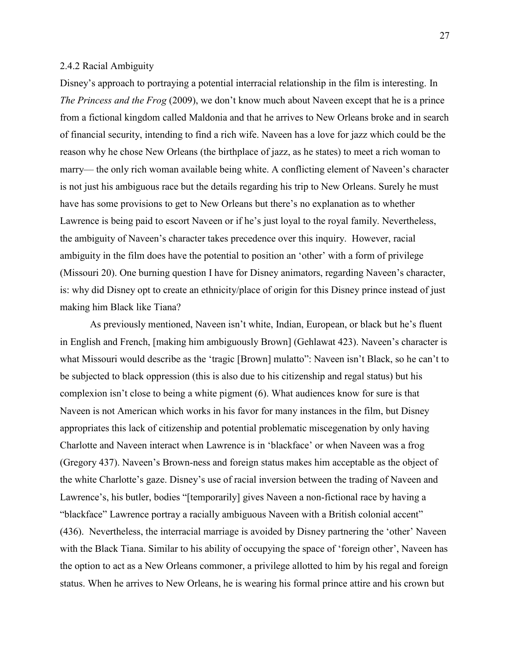## <span id="page-34-0"></span>2.4.2 Racial Ambiguity

Disney's approach to portraying a potential interracial relationship in the film is interesting. [I](#page-34-0)n *The Princess and the Frog* (2009), we don't know much about Naveen except that he is a prince from a fictional kingdom called Maldonia and that he arrives to New Orleans broke and in search of financial security, intending to find a rich wife. Naveen has a love for jazz which could be the reason why he chose New Orleans (the birthplace of jazz, as he states) to meet a rich woman to marry— the only rich woman available being white. A conflicting element of Naveen's character is not just his ambiguous race but the details regarding his trip to New Orleans. Surely he must have has some provisions to get to New Orleans but there's no explanation as to whether Lawrence is being paid to escort Naveen or if he's just loyal to the royal family. Nevertheless, the ambiguity of Naveen's character takes precedence over this inquiry. However, racial ambiguity in the film does have the potential to position an 'other' with a form of privilege (Missouri 20). One burning question I have for Disney animators, regarding Naveen's character, is: why did Disney opt to create an ethnicity/place of origin for this Disney prince instead of just making him Black like Tiana?

As previously mentioned, Naveen isn't white, Indian, European, or black but he's fluent in English and French, [making him ambiguously Brown] (Gehlawat 423). Naveen's character is what Missouri would describe as the 'tragic [Brown] mulatto'': Naveen isn't Black, so he can't to be subjected to black oppression (this is also due to his citizenship and regal status) but his complexion isn't close to being a white pigment (6). What audiences know for sure is that Naveen is not American which works in his favor for many instances in the film, but Disney appropriates this lack of citizenship and potential problematic miscegenation by only having Charlotte and Naveen interact when Lawrence is in 'blackface' or when Naveen was a frog (Gregory 437). Naveen's Brown-ness and foreign status makes him acceptable as the object of the white Charlotte's gaze. Disney's use of racial inversion between the trading of Naveen and Lawrence's, his butler, bodies "[temporarily] gives Naveen a non-fictional race by having a "blackface" Lawrence portray a racially ambiguous Naveen with a British colonial accent" (436). Nevertheless, the interracial marriage is avoided by Disney partnering the 'other' Naveen with the Black Tiana. Similar to his ability of occupying the space of 'foreign other', Naveen has the option to act as a New Orleans commoner, a privilege allotted to him by his regal and foreign status. When he arrives to New Orleans, he is wearing his formal prince attire and his crown but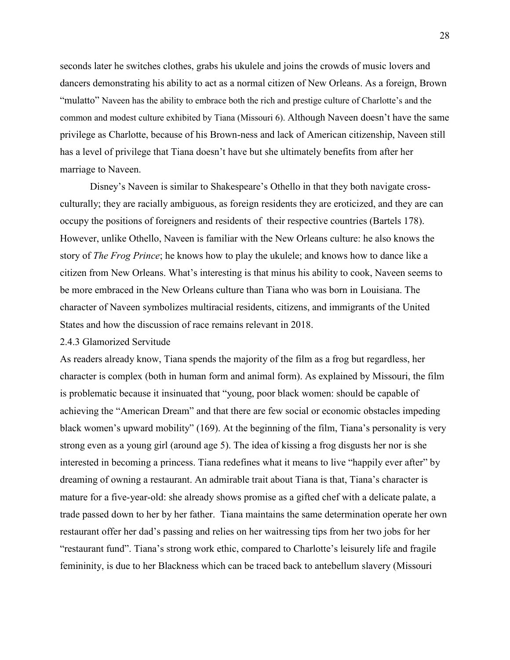seconds later he switches clothes, grabs his ukulele and joins the crowds of music lovers and dancers demonstrating his ability to act as a normal citizen of New Orleans. As a foreign, Brown "mulatto" Naveen has the ability to embrace both the rich and prestige culture of Charlotte's and the common and modest culture exhibited by Tiana (Missouri 6). Although Naveen doesn't have the same privilege as Charlotte, because of his Brown-ness and lack of American citizenship, Naveen still has a level of privilege that Tiana doesn't have but she ultimately benefits from after her marriage to Naveen.

Disney's Naveen is similar to Shakespeare's Othello in that they both navigate crossculturally; they are racially ambiguous, as foreign residents they are eroticized, and they are can occupy the positions of foreigners and residents of their respective countries (Bartels 178). However, unlike Othello, Naveen is familiar with the New Orleans culture: he also knows the story of *The Frog Prince*; he knows how to play the ukulele; and knows how to dance like a citizen from New Orleans. What's interesting is that minus his ability to cook, Naveen seems to be more embraced in the New Orleans culture than Tiana who was born in Louisiana. The character of Naveen symbolizes multiracial residents, citizens, and immigrants of the United States and how the discussion of race remains relevant in 2018.

### 2.4.3 Glamorized Servitude

As readers already know, Tiana spends the majority of the film as a frog but regardless, her character is complex (both in human form and animal form). As explained by Missouri, the film is problematic because it insinuated that "young, poor black women: should be capable of achieving the "American Dream" and that there are few social or economic obstacles impeding black women's upward mobility" (169). At the beginning of the film, Tiana's personality is very strong even as a young girl (around age 5). The idea of kissing a frog disgusts her nor is she interested in becoming a princess. Tiana redefines what it means to live "happily ever after" by dreaming of owning a restaurant. An admirable trait about Tiana is that, Tiana's character is mature for a five-year-old: she already shows promise as a gifted chef with a delicate palate, a trade passed down to her by her father. Tiana maintains the same determination operate her own restaurant offer her dad's passing and relies on her waitressing tips from her two jobs for her "restaurant fund". Tiana's strong work ethic, compared to Charlotte's leisurely life and fragile femininity, is due to her Blackness which can be traced back to antebellum slavery (Missouri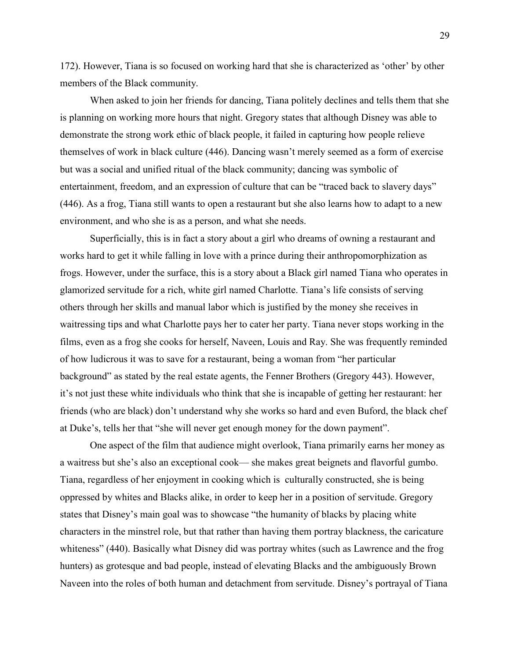172). However, Tiana is so focused on working hard that she is characterized as 'other' by other members of the Black community.

When asked to join her friends for dancing, Tiana politely declines and tells them that she is planning on working more hours that night. Gregory states that although Disney was able to demonstrate the strong work ethic of black people, it failed in capturing how people relieve themselves of work in black culture (446). Dancing wasn't merely seemed as a form of exercise but was a social and unified ritual of the black community; dancing was symbolic of entertainment, freedom, and an expression of culture that can be "traced back to slavery days" (446). As a frog, Tiana still wants to open a restaurant but she also learns how to adapt to a new environment, and who she is as a person, and what she needs.

Superficially, this is in fact a story about a girl who dreams of owning a restaurant and works hard to get it while falling in love with a prince during their anthropomorphization as frogs. However, under the surface, this is a story about a Black girl named Tiana who operates in glamorized servitude for a rich, white girl named Charlotte. Tiana's life consists of serving others through her skills and manual labor which is justified by the money she receives in waitressing tips and what Charlotte pays her to cater her party. Tiana never stops working in the films, even as a frog she cooks for herself, Naveen, Louis and Ray. She was frequently reminded of how ludicrous it was to save for a restaurant, being a woman from "her particular background" as stated by the real estate agents, the Fenner Brothers (Gregory 443). However, it's not just these white individuals who think that she is incapable of getting her restaurant: her friends (who are black) don't understand why she works so hard and even Buford, the black chef at Duke's, tells her that "she will never get enough money for the down payment".

One aspect of the film that audience might overlook, Tiana primarily earns her money as a waitress but she's also an exceptional cook–– she makes great beignets and flavorful gumbo. Tiana, regardless of her enjoyment in cooking which is culturally constructed, she is being oppressed by whites and Blacks alike, in order to keep her in a position of servitude. Gregory states that Disney's main goal was to showcase "the humanity of blacks by placing white characters in the minstrel role, but that rather than having them portray blackness, the caricature whiteness" (440). Basically what Disney did was portray whites (such as Lawrence and the frog hunters) as grotesque and bad people, instead of elevating Blacks and the ambiguously Brown Naveen into the roles of both human and detachment from servitude. Disney's portrayal of Tiana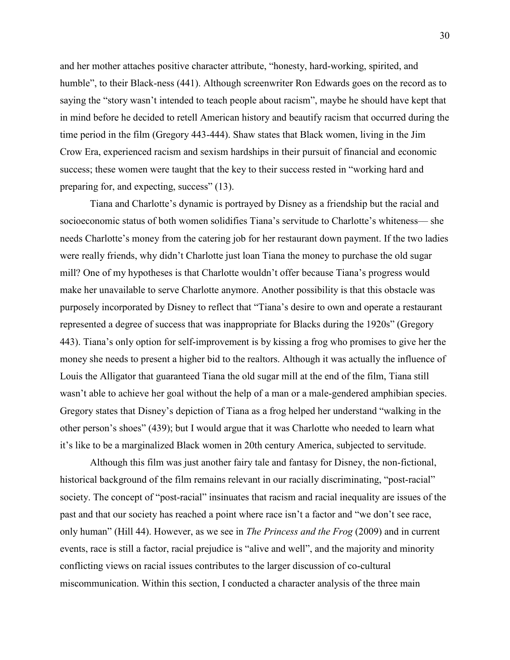and her mother attaches positive character attribute, "honesty, hard-working, spirited, and humble", to their Black-ness (441). Although screenwriter Ron Edwards goes on the record as to saying the "story wasn't intended to teach people about racism", maybe he should have kept that in mind before he decided to retell American history and beautify racism that occurred during the time period in the film (Gregory 443-444). Shaw states that Black women, living in the Jim Crow Era, experienced racism and sexism hardships in their pursuit of financial and economic success; these women were taught that the key to their success rested in "working hard and preparing for, and expecting, success" (13).

Tiana and Charlotte's dynamic is portrayed by Disney as a friendship but the racial and socioeconomic status of both women solidifies Tiana's servitude to Charlotte's whiteness–– she needs Charlotte's money from the catering job for her restaurant down payment. If the two ladies were really friends, why didn't Charlotte just loan Tiana the money to purchase the old sugar mill? One of my hypotheses is that Charlotte wouldn't offer because Tiana's progress would make her unavailable to serve Charlotte anymore. Another possibility is that this obstacle was purposely incorporated by Disney to reflect that "Tiana's desire to own and operate a restaurant represented a degree of success that was inappropriate for Blacks during the 1920s" (Gregory 443). Tiana's only option for self-improvement is by kissing a frog who promises to give her the money she needs to present a higher bid to the realtors. Although it was actually the influence of Louis the Alligator that guaranteed Tiana the old sugar mill at the end of the film, Tiana still wasn't able to achieve her goal without the help of a man or a male-gendered amphibian species. Gregory states that Disney's depiction of Tiana as a frog helped her understand "walking in the other person's shoes" (439); but I would argue that it was Charlotte who needed to learn what it's like to be a marginalized Black women in 20th century America, subjected to servitude.

Although this film was just another fairy tale and fantasy for Disney, the non-fictional, historical background of the film remains relevant in our racially discriminating, "post-racial" society. The concept of "post-racial" insinuates that racism and racial inequality are issues of the past and that our society has reached a point where race isn't a factor and "we don't see race, only human" (Hill 44). However, as we see in *The Princess and the Frog* (2009) and in current events, race is still a factor, racial prejudice is "alive and well", and the majority and minority conflicting views on racial issues contributes to the larger discussion of co-cultural miscommunication. Within this section, I conducted a character analysis of the three main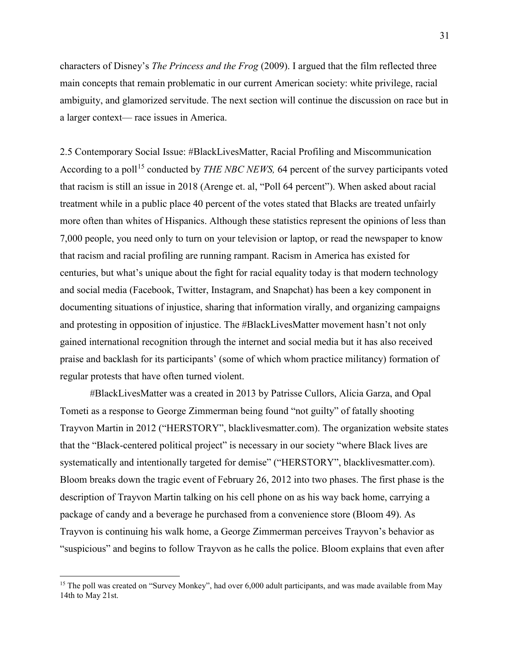characters of Disney's *The Princess and the Frog* (2009). I argued that the film reflected three main concepts that remain problematic in our current American society: white privilege, racial ambiguity, and glamorized servitude. The next section will continue the discussion on race but in a larger context— race issues in America.

2.5 Contemporary Social Issue: #BlackLivesMatter, Racial Profiling and Miscommunication According to a poll<sup>15</sup> conducted by *THE NBC NEWS*, 64 percent of the survey participants voted that racism is still an issue in 2018 (Arenge et. al, "Poll 64 percent"). When asked about racial treatment while in a public place 40 percent of the votes stated that Blacks are treated unfairly more often than whites of Hispanics. Although these statistics represent the opinions of less than 7,000 people, you need only to turn on your television or laptop, or read the newspaper to know that racism and racial profiling are running rampant. Racism in America has existed for centuries, but what's unique about the fight for racial equality today is that modern technology and social media (Facebook, Twitter, Instagram, and Snapchat) has been a key component in documenting situations of injustice, sharing that information virally, and organizing campaigns and protesting in opposition of injustice. The #BlackLivesMatter movement hasn't not only gained international recognition through the internet and social media but it has also received praise and backlash for its participants' (some of which whom practice militancy) formation of regular protests that have often turned violent.

#BlackLivesMatter was a created in 2013 by Patrisse Cullors, Alicia Garza, and Opal Tometi as a response to George Zimmerman being found "not guilty" of fatally shooting Trayvon Martin in 2012 ("HERSTORY", blacklivesmatter.com). The organization website states that the "Black-centered political project" is necessary in our society "where Black lives are systematically and intentionally targeted for demise" ("HERSTORY", blacklivesmatter.com). Bloom breaks down the tragic event of February 26, 2012 into two phases. The first phase is the description of Trayvon Martin talking on his cell phone on as his way back home, carrying a package of candy and a beverage he purchased from a convenience store (Bloom 49). As Trayvon is continuing his walk home, a George Zimmerman perceives Trayvon's behavior as "suspicious" and begins to follow Trayvon as he calls the police. Bloom explains that even after

 $\overline{a}$ 

<span id="page-38-0"></span><sup>&</sup>lt;sup>15</sup> The poll was created on "Survey Monkey", had over 6,000 adult participants, and was made available from May 14th to May 21st.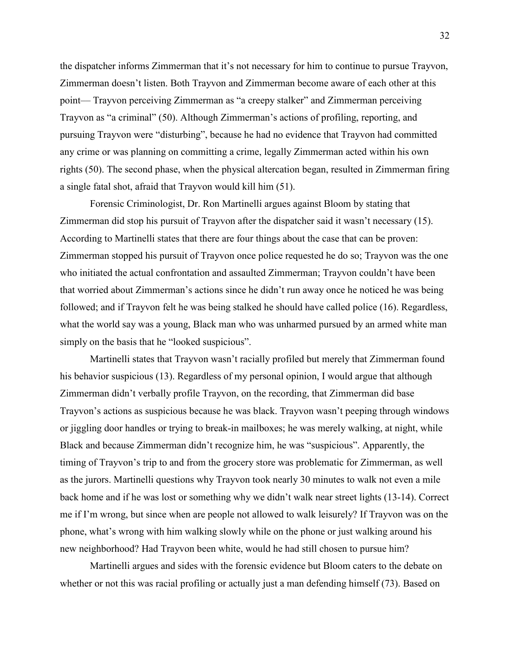the dispatcher informs Zimmerman that it's not necessary for him to continue to pursue Trayvon, Zimmerman doesn't listen. Both Trayvon and Zimmerman become aware of each other at this point–– Trayvon perceiving Zimmerman as "a creepy stalker" and Zimmerman perceiving Trayvon as "a criminal" (50). Although Zimmerman's actions of profiling, reporting, and pursuing Trayvon were "disturbing", because he had no evidence that Trayvon had committed any crime or was planning on committing a crime, legally Zimmerman acted within his own rights (50). The second phase, when the physical altercation began, resulted in Zimmerman firing a single fatal shot, afraid that Trayvon would kill him (51).

Forensic Criminologist, Dr. Ron Martinelli argues against Bloom by stating that Zimmerman did stop his pursuit of Trayvon after the dispatcher said it wasn't necessary (15). According to Martinelli states that there are four things about the case that can be proven: Zimmerman stopped his pursuit of Trayvon once police requested he do so; Trayvon was the one who initiated the actual confrontation and assaulted Zimmerman; Trayvon couldn't have been that worried about Zimmerman's actions since he didn't run away once he noticed he was being followed; and if Trayvon felt he was being stalked he should have called police (16). Regardless, what the world say was a young, Black man who was unharmed pursued by an armed white man simply on the basis that he "looked suspicious".

Martinelli states that Trayvon wasn't racially profiled but merely that Zimmerman found his behavior suspicious (13). Regardless of my personal opinion, I would argue that although Zimmerman didn't verbally profile Trayvon, on the recording, that Zimmerman did base Trayvon's actions as suspicious because he was black. Trayvon wasn't peeping through windows or jiggling door handles or trying to break-in mailboxes; he was merely walking, at night, while Black and because Zimmerman didn't recognize him, he was "suspicious". Apparently, the timing of Trayvon's trip to and from the grocery store was problematic for Zimmerman, as well as the jurors. Martinelli questions why Trayvon took nearly 30 minutes to walk not even a mile back home and if he was lost or something why we didn't walk near street lights (13-14). Correct me if I'm wrong, but since when are people not allowed to walk leisurely? If Trayvon was on the phone, what's wrong with him walking slowly while on the phone or just walking around his new neighborhood? Had Trayvon been white, would he had still chosen to pursue him?

Martinelli argues and sides with the forensic evidence but Bloom caters to the debate on whether or not this was racial profiling or actually just a man defending himself (73). Based on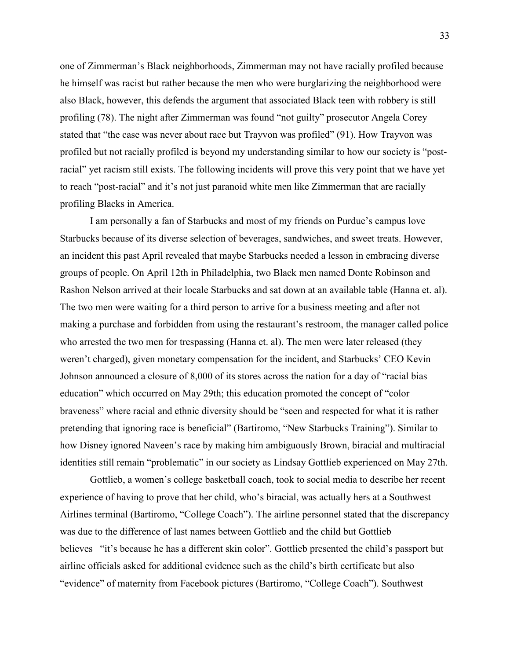one of Zimmerman's Black neighborhoods, Zimmerman may not have racially profiled because he himself was racist but rather because the men who were burglarizing the neighborhood were also Black, however, this defends the argument that associated Black teen with robbery is still profiling (78). The night after Zimmerman was found "not guilty" prosecutor Angela Corey stated that "the case was never about race but Trayvon was profiled" (91). How Trayvon was profiled but not racially profiled is beyond my understanding similar to how our society is "postracial" yet racism still exists. The following incidents will prove this very point that we have yet to reach "post-racial" and it's not just paranoid white men like Zimmerman that are racially profiling Blacks in America.

I am personally a fan of Starbucks and most of my friends on Purdue's campus love Starbucks because of its diverse selection of beverages, sandwiches, and sweet treats. However, an incident this past April revealed that maybe Starbucks needed a lesson in embracing diverse groups of people. On April 12th in Philadelphia, two Black men named Donte Robinson and Rashon Nelson arrived at their locale Starbucks and sat down at an available table (Hanna et. al). The two men were waiting for a third person to arrive for a business meeting and after not making a purchase and forbidden from using the restaurant's restroom, the manager called police who arrested the two men for trespassing (Hanna et. al). The men were later released (they weren't charged), given monetary compensation for the incident, and Starbucks' CEO Kevin Johnson announced a closure of 8,000 of its stores across the nation for a day of "racial bias education" which occurred on May 29th; this education promoted the concept of "color braveness" where racial and ethnic diversity should be "seen and respected for what it is rather pretending that ignoring race is beneficial" (Bartiromo, "New Starbucks Training"). Similar to how Disney ignored Naveen's race by making him ambiguously Brown, biracial and multiracial identities still remain "problematic" in our society as Lindsay Gottlieb experienced on May 27th.

 Gottlieb, a women's college basketball coach, took to social media to describe her recent experience of having to prove that her child, who's biracial, was actually hers at a Southwest Airlines terminal (Bartiromo, "College Coach"). The airline personnel stated that the discrepancy was due to the difference of last names between Gottlieb and the child but Gottlieb believes "it's because he has a different skin color". Gottlieb presented the child's passport but airline officials asked for additional evidence such as the child's birth certificate but also "evidence" of maternity from Facebook pictures (Bartiromo, "College Coach"). Southwest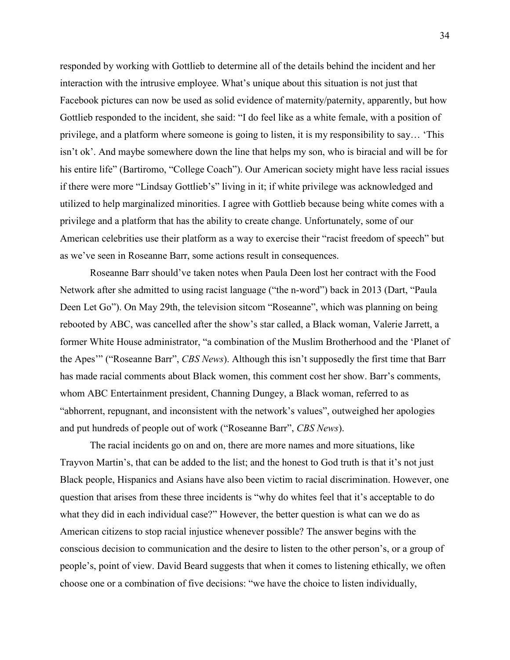responded by working with Gottlieb to determine all of the details behind the incident and her interaction with the intrusive employee. What's unique about this situation is not just that Facebook pictures can now be used as solid evidence of maternity/paternity, apparently, but how Gottlieb responded to the incident, she said: "I do feel like as a white female, with a position of privilege, and a platform where someone is going to listen, it is my responsibility to say… 'This isn't ok'. And maybe somewhere down the line that helps my son, who is biracial and will be for his entire life" (Bartiromo, "College Coach"). Our American society might have less racial issues if there were more "Lindsay Gottlieb's" living in it; if white privilege was acknowledged and utilized to help marginalized minorities. I agree with Gottlieb because being white comes with a privilege and a platform that has the ability to create change. Unfortunately, some of our American celebrities use their platform as a way to exercise their "racist freedom of speech" but as we've seen in Roseanne Barr, some actions result in consequences.

Roseanne Barr should've taken notes when Paula Deen lost her contract with the Food Network after she admitted to using racist language ("the n-word") back in 2013 (Dart, "Paula Deen Let Go"). On May 29th, the television sitcom "Roseanne", which was planning on being rebooted by ABC, was cancelled after the show's star called, a Black woman, Valerie Jarrett, a former White House administrator, "a combination of the Muslim Brotherhood and the 'Planet of the Apes'" ("Roseanne Barr", *CBS News*). Although this isn't supposedly the first time that Barr has made racial comments about Black women, this comment cost her show. Barr's comments, whom ABC Entertainment president, Channing Dungey, a Black woman, referred to as "abhorrent, repugnant, and inconsistent with the network's values", outweighed her apologies and put hundreds of people out of work ("Roseanne Barr", *CBS News*).

The racial incidents go on and on, there are more names and more situations, like Trayvon Martin's, that can be added to the list; and the honest to God truth is that it's not just Black people, Hispanics and Asians have also been victim to racial discrimination. However, one question that arises from these three incidents is "why do whites feel that it's acceptable to do what they did in each individual case?" However, the better question is what can we do as American citizens to stop racial injustice whenever possible? The answer begins with the conscious decision to communication and the desire to listen to the other person's, or a group of people's, point of view. David Beard suggests that when it comes to listening ethically, we often choose one or a combination of five decisions: "we have the choice to listen individually,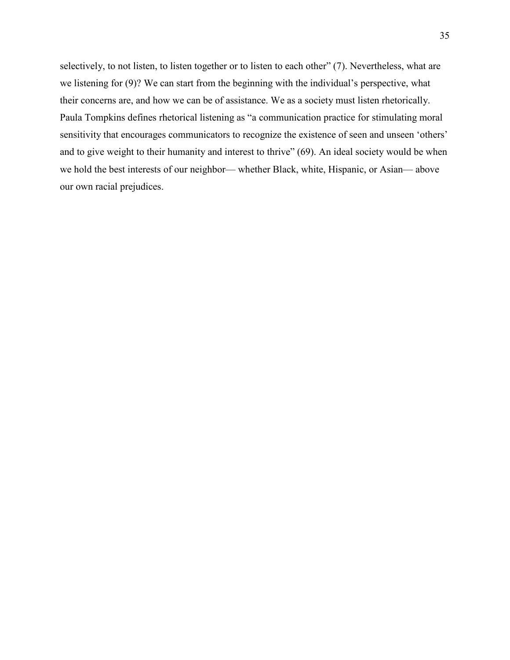selectively, to not listen, to listen together or to listen to each other" (7). Nevertheless, what are we listening for (9)? We can start from the beginning with the individual's perspective, what their concerns are, and how we can be of assistance. We as a society must listen rhetorically. Paula Tompkins defines rhetorical listening as "a communication practice for stimulating moral sensitivity that encourages communicators to recognize the existence of seen and unseen 'others' and to give weight to their humanity and interest to thrive" (69). An ideal society would be when we hold the best interests of our neighbor— whether Black, white, Hispanic, or Asian— above our own racial prejudices.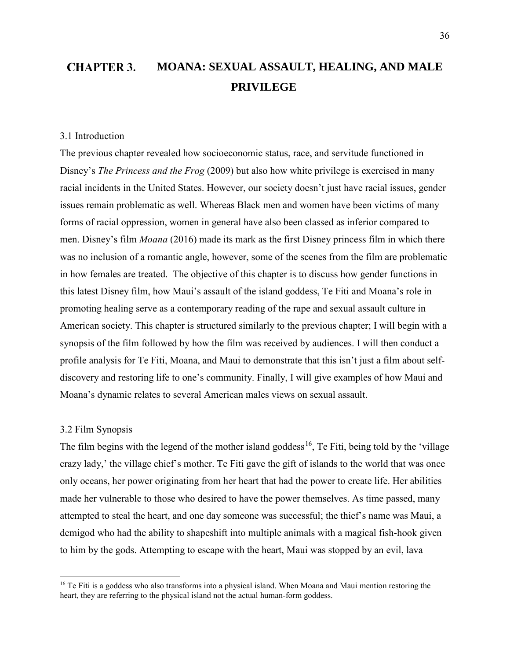## **CHAPTER 3. MOANA: SEXUAL ASSAULT, HEALING, AND MALE PRIVILEGE**

#### 3.1 Introduction

The previous chapter revealed how socioeconomic status, race, and servitude functioned in Disney's *The Princess and the Frog* (2009) but also how white privilege is exercised in many racial incidents in the United States. However, our society doesn't just have racial issues, gender issues remain problematic as well. Whereas Black men and women have been victims of many forms of racial oppression, women in general have also been classed as inferior compared to men. Disney's film *Moana* (2016) made its mark as the first Disney princess film in which there was no inclusion of a romantic angle, however, some of the scenes from the film are problematic in how females are treated. The objective of this chapter is to discuss how gender functions in this latest Disney film, how Maui's assault of the island goddess, Te Fiti and Moana's role in promoting healing serve as a contemporary reading of the rape and sexual assault culture in American society. This chapter is structured similarly to the previous chapter; I will begin with a synopsis of the film followed by how the film was received by audiences. I will then conduct a profile analysis for Te Fiti, Moana, and Maui to demonstrate that this isn't just a film about selfdiscovery and restoring life to one's community. Finally, I will give examples of how Maui and Moana's dynamic relates to several American males views on sexual assault.

#### 3.2 Film Synopsis

The film begins with the legend of the mother island goddess<sup>16</sup>, Te Fiti, being told by the 'village' crazy lady,' the village chief's mother. Te Fiti gave the gift of islands to the world that was once only oceans, her power originating from her heart that had the power to create life. Her abilities made her vulnerable to those who desired to have the power themselves. As time passed, many attempted to steal the heart, and one day someone was successful; the thief's name was Maui, a demigod who had the ability to shapeshift into multiple animals with a magical fish-hook given to him by the gods. Attempting to escape with the heart, Maui was stopped by an evil, lava

<span id="page-43-0"></span><sup>&</sup>lt;sup>16</sup> Te Fiti is a goddess who also transforms into a physical island. When Moana and Maui mention restoring the heart, they are referring to the physical island not the actual human-form goddess.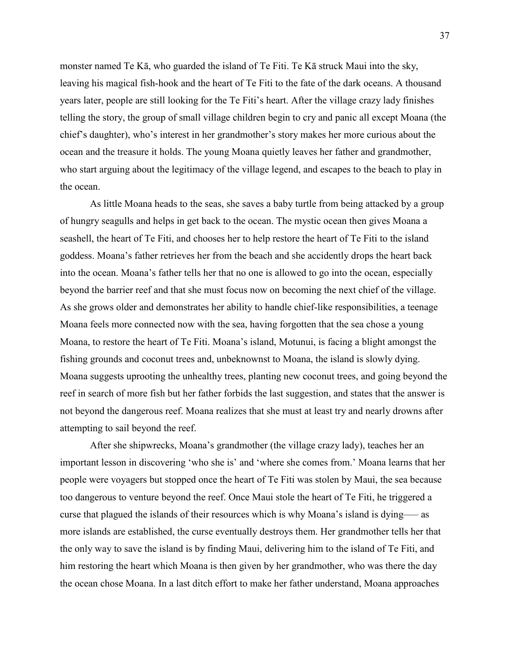monster named Te Kā, who guarded the island of Te Fiti. Te Kā struck Maui into the sky, leaving his magical fish-hook and the heart of Te Fiti to the fate of the dark oceans. A thousand years later, people are still looking for the Te Fiti's heart. After the village crazy lady finishes telling the story, the group of small village children begin to cry and panic all except Moana (the chief's daughter), who's interest in her grandmother's story makes her more curious about the ocean and the treasure it holds. The young Moana quietly leaves her father and grandmother, who start arguing about the legitimacy of the village legend, and escapes to the beach to play in the ocean.

As little Moana heads to the seas, she saves a baby turtle from being attacked by a group of hungry seagulls and helps in get back to the ocean. The mystic ocean then gives Moana a seashell, the heart of Te Fiti, and chooses her to help restore the heart of Te Fiti to the island goddess. Moana's father retrieves her from the beach and she accidently drops the heart back into the ocean. Moana's father tells her that no one is allowed to go into the ocean, especially beyond the barrier reef and that she must focus now on becoming the next chief of the village. As she grows older and demonstrates her ability to handle chief-like responsibilities, a teenage Moana feels more connected now with the sea, having forgotten that the sea chose a young Moana, to restore the heart of Te Fiti. Moana's island, Motunui, is facing a blight amongst the fishing grounds and coconut trees and, unbeknownst to Moana, the island is slowly dying. Moana suggests uprooting the unhealthy trees, planting new coconut trees, and going beyond the reef in search of more fish but her father forbids the last suggestion, and states that the answer is not beyond the dangerous reef. Moana realizes that she must at least try and nearly drowns after attempting to sail beyond the reef.

After she shipwrecks, Moana's grandmother (the village crazy lady), teaches her an important lesson in discovering 'who she is' and 'where she comes from.' Moana learns that her people were voyagers but stopped once the heart of Te Fiti was stolen by Maui, the sea because too dangerous to venture beyond the reef. Once Maui stole the heart of Te Fiti, he triggered a curse that plagued the islands of their resources which is why Moana's island is dying––– as more islands are established, the curse eventually destroys them. Her grandmother tells her that the only way to save the island is by finding Maui, delivering him to the island of Te Fiti, and him restoring the heart which Moana is then given by her grandmother, who was there the day the ocean chose Moana. In a last ditch effort to make her father understand, Moana approaches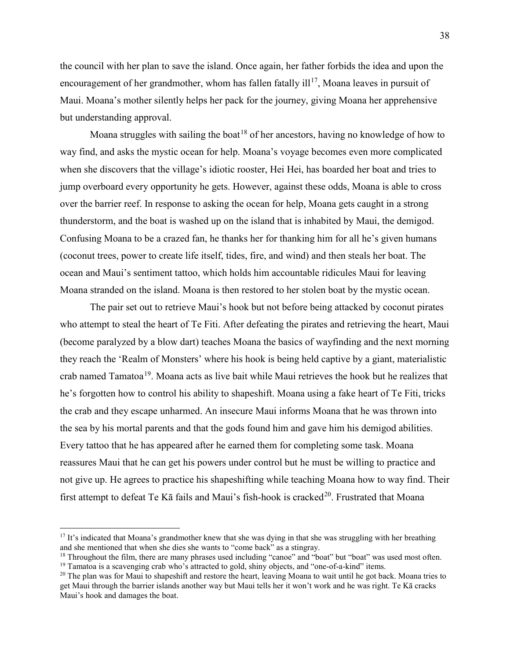the council with her plan to save the island. Once again, her father forbids the idea and upon the encouragement of her grandmother, whom has fallen fatally  $i\frac{1}{1}$ , Moana leaves in pursuit of Maui. Moana's mother silently helps her pack for the journey, giving Moana her apprehensive but understanding approval.

Moana struggles with sailing the boat<sup>[18](#page-45-1)</sup> of her ancestors, having no knowledge of how to way find, and asks the mystic ocean for help. Moana's voyage becomes even more complicated when she discovers that the village's idiotic rooster, Hei Hei, has boarded her boat and tries to jump overboard every opportunity he gets. However, against these odds, Moana is able to cross over the barrier reef. In response to asking the ocean for help, Moana gets caught in a strong thunderstorm, and the boat is washed up on the island that is inhabited by Maui, the demigod. Confusing Moana to be a crazed fan, he thanks her for thanking him for all he's given humans (coconut trees, power to create life itself, tides, fire, and wind) and then steals her boat. The ocean and Maui's sentiment tattoo, which holds him accountable ridicules Maui for leaving Moana stranded on the island. Moana is then restored to her stolen boat by the mystic ocean.

The pair set out to retrieve Maui's hook but not before being attacked by coconut pirates who attempt to steal the heart of Te Fiti. After defeating the pirates and retrieving the heart, Maui (become paralyzed by a blow dart) teaches Moana the basics of wayfinding and the next morning they reach the 'Realm of Monsters' where his hook is being held captive by a giant, materialistic crab named Tamatoa<sup>[19](#page-45-2)</sup>. Moana acts as live bait while Maui retrieves the hook but he realizes that he's forgotten how to control his ability to shapeshift. Moana using a fake heart of Te Fiti, tricks the crab and they escape unharmed. An insecure Maui informs Moana that he was thrown into the sea by his mortal parents and that the gods found him and gave him his demigod abilities. Every tattoo that he has appeared after he earned them for completing some task. Moana reassures Maui that he can get his powers under control but he must be willing to practice and not give up. He agrees to practice his shapeshifting while teaching Moana how to way find. Their first attempt to defeat Te K $\bar{a}$  fails and Maui's fish-hook is cracked<sup>20</sup>. Frustrated that Moana

 $\overline{a}$ 

<span id="page-45-0"></span> $17$  It's indicated that Moana's grandmother knew that she was dying in that she was struggling with her breathing and she mentioned that when she dies she wants to "come back" as a stingray.

<span id="page-45-1"></span><sup>&</sup>lt;sup>18</sup> Throughout the film, there are many phrases used including "canoe" and "boat" but "boat" was used most often.

<span id="page-45-2"></span> $19$  Tamatoa is a scavenging crab who's attracted to gold, shiny objects, and "one-of-a-kind" items.

<span id="page-45-3"></span><sup>&</sup>lt;sup>20</sup> The plan was for Maui to shapeshift and restore the heart, leaving Moana to wait until he got back. Moana tries to get Maui through the barrier islands another way but Maui tells her it won't work and he was right. Te Kā cracks Maui's hook and damages the boat.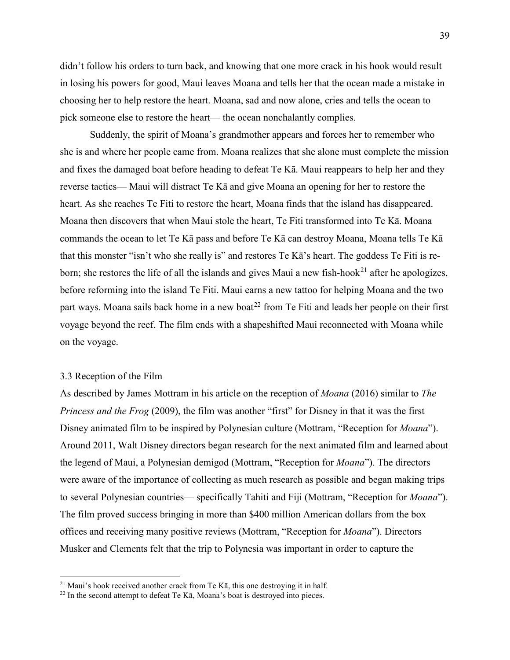didn't follow his orders to turn back, and knowing that one more crack in his hook would result in losing his powers for good, Maui leaves Moana and tells her that the ocean made a mistake in choosing her to help restore the heart. Moana, sad and now alone, cries and tells the ocean to pick someone else to restore the heart— the ocean nonchalantly complies.

Suddenly, the spirit of Moana's grandmother appears and forces her to remember who she is and where her people came from. Moana realizes that she alone must complete the mission and fixes the damaged boat before heading to defeat Te Kā. Maui reappears to help her and they reverse tactics–– Maui will distract Te Kā and give Moana an opening for her to restore the heart. As she reaches Te Fiti to restore the heart, Moana finds that the island has disappeared. Moana then discovers that when Maui stole the heart, Te Fiti transformed into Te Kā. Moana commands the ocean to let Te Kā pass and before Te Kā can destroy Moana, Moana tells Te Kā that this monster "isn't who she really is" and restores Te Kā's heart. The goddess Te Fiti is re-born; she restores the life of all the islands and gives Maui a new fish-hook<sup>[21](#page-46-0)</sup> after he apologizes, before reforming into the island Te Fiti. Maui earns a new tattoo for helping Moana and the two part ways. Moana sails back home in a new boat<sup>[22](#page-46-1)</sup> from Te Fiti and leads her people on their first voyage beyond the reef. The film ends with a shapeshifted Maui reconnected with Moana while on the voyage.

# 3.3 Reception of the Film

 $\overline{a}$ 

As described by James Mottram in his article on the reception of *Moana* (2016) similar to *The Princess and the Frog* (2009), the film was another "first" for Disney in that it was the first Disney animated film to be inspired by Polynesian culture (Mottram, "Reception for *Moana*"). Around 2011, Walt Disney directors began research for the next animated film and learned about the legend of Maui, a Polynesian demigod (Mottram, "Reception for *Moana*"). The directors were aware of the importance of collecting as much research as possible and began making trips to several Polynesian countries–– specifically Tahiti and Fiji (Mottram, "Reception for *Moana*"). The film proved success bringing in more than \$400 million American dollars from the box offices and receiving many positive reviews (Mottram, "Reception for *Moana*"). Directors Musker and Clements felt that the trip to Polynesia was important in order to capture the

<span id="page-46-0"></span><sup>&</sup>lt;sup>21</sup> Maui's hook received another crack from Te K $\bar{a}$ , this one destroying it in half.

<span id="page-46-1"></span> $22$  In the second attempt to defeat Te K $\bar{a}$ , Moana's boat is destroyed into pieces.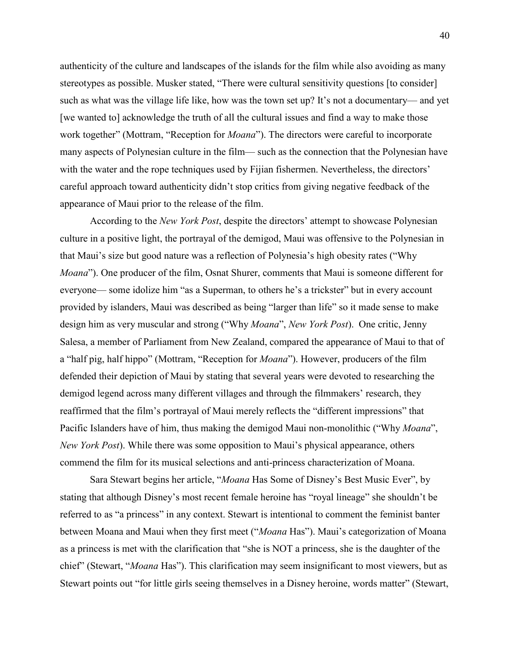authenticity of the culture and landscapes of the islands for the film while also avoiding as many stereotypes as possible. Musker stated, "There were cultural sensitivity questions [to consider] such as what was the village life like, how was the town set up? It's not a documentary— and yet [we wanted to] acknowledge the truth of all the cultural issues and find a way to make those work together" (Mottram, "Reception for *Moana*"). The directors were careful to incorporate many aspects of Polynesian culture in the film–– such as the connection that the Polynesian have with the water and the rope techniques used by Fijian fishermen. Nevertheless, the directors' careful approach toward authenticity didn't stop critics from giving negative feedback of the appearance of Maui prior to the release of the film.

According to the *New York Post*, despite the directors' attempt to showcase Polynesian culture in a positive light, the portrayal of the demigod, Maui was offensive to the Polynesian in that Maui's size but good nature was a reflection of Polynesia's high obesity rates ("Why *Moana*"). One producer of the film, Osnat Shurer, comments that Maui is someone different for everyone–– some idolize him "as a Superman, to others he's a trickster" but in every account provided by islanders, Maui was described as being "larger than life" so it made sense to make design him as very muscular and strong ("Why *Moana*", *New York Post*). One critic, Jenny Salesa, a member of Parliament from New Zealand, compared the appearance of Maui to that of a "half pig, half hippo" (Mottram, "Reception for *Moana*"). However, producers of the film defended their depiction of Maui by stating that several years were devoted to researching the demigod legend across many different villages and through the filmmakers' research, they reaffirmed that the film's portrayal of Maui merely reflects the "different impressions" that Pacific Islanders have of him, thus making the demigod Maui non-monolithic ("Why *Moana*", *New York Post*). While there was some opposition to Maui's physical appearance, others commend the film for its musical selections and anti-princess characterization of Moana.

Sara Stewart begins her article, "*Moana* Has Some of Disney's Best Music Ever", by stating that although Disney's most recent female heroine has "royal lineage" she shouldn't be referred to as "a princess" in any context. Stewart is intentional to comment the feminist banter between Moana and Maui when they first meet ("*Moana* Has"). Maui's categorization of Moana as a princess is met with the clarification that "she is NOT a princess, she is the daughter of the chief" (Stewart, "*Moana* Has"). This clarification may seem insignificant to most viewers, but as Stewart points out "for little girls seeing themselves in a Disney heroine, words matter" (Stewart,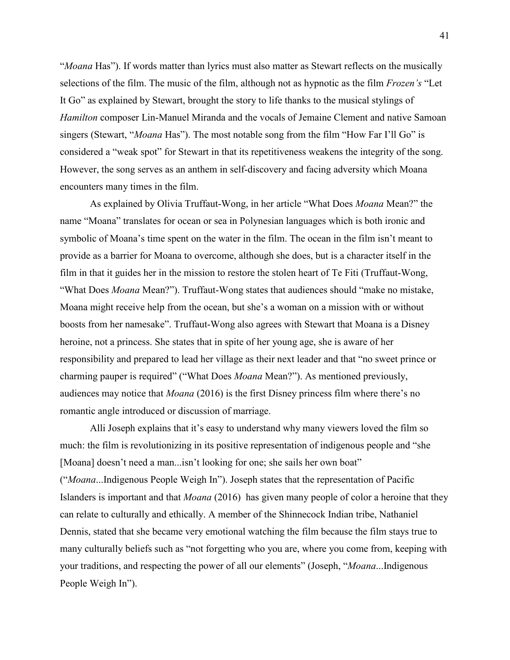"*Moana* Has"). If words matter than lyrics must also matter as Stewart reflects on the musically selections of the film. The music of the film, although not as hypnotic as the film *Frozen's* "Let It Go" as explained by Stewart, brought the story to life thanks to the musical stylings of *Hamilton* composer Lin-Manuel Miranda and the vocals of Jemaine Clement and native Samoan singers (Stewart, "*Moana* Has"). The most notable song from the film "How Far I'll Go" is considered a "weak spot" for Stewart in that its repetitiveness weakens the integrity of the song. However, the song serves as an anthem in self-discovery and facing adversity which Moana encounters many times in the film.

As explained by Olivia Truffaut-Wong, in her article "What Does *Moana* Mean?" the name "Moana" translates for ocean or sea in Polynesian languages which is both ironic and symbolic of Moana's time spent on the water in the film. The ocean in the film isn't meant to provide as a barrier for Moana to overcome, although she does, but is a character itself in the film in that it guides her in the mission to restore the stolen heart of Te Fiti (Truffaut-Wong, "What Does *Moana* Mean?"). Truffaut-Wong states that audiences should "make no mistake, Moana might receive help from the ocean, but she's a woman on a mission with or without boosts from her namesake". Truffaut-Wong also agrees with Stewart that Moana is a Disney heroine, not a princess. She states that in spite of her young age, she is aware of her responsibility and prepared to lead her village as their next leader and that "no sweet prince or charming pauper is required" ("What Does *Moana* Mean?"). As mentioned previously, audiences may notice that *Moana* (2016) is the first Disney princess film where there's no romantic angle introduced or discussion of marriage.

Alli Joseph explains that it's easy to understand why many viewers loved the film so much: the film is revolutionizing in its positive representation of indigenous people and "she [Moana] doesn't need a man...isn't looking for one; she sails her own boat" ("*Moana*...Indigenous People Weigh In"). Joseph states that the representation of Pacific Islanders is important and that *Moana* (2016) has given many people of color a heroine that they can relate to culturally and ethically. A member of the Shinnecock Indian tribe, Nathaniel Dennis, stated that she became very emotional watching the film because the film stays true to many culturally beliefs such as "not forgetting who you are, where you come from, keeping with your traditions, and respecting the power of all our elements" (Joseph, "*Moana*...Indigenous People Weigh In").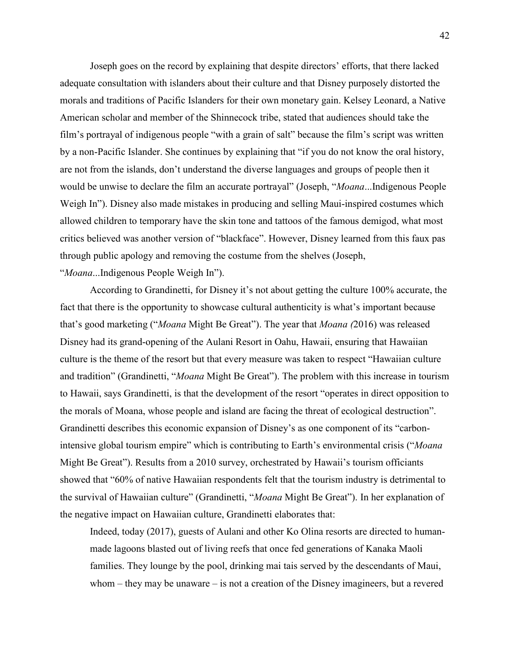Joseph goes on the record by explaining that despite directors' efforts, that there lacked adequate consultation with islanders about their culture and that Disney purposely distorted the morals and traditions of Pacific Islanders for their own monetary gain. Kelsey Leonard, a Native American scholar and member of the Shinnecock tribe, stated that audiences should take the film's portrayal of indigenous people "with a grain of salt" because the film's script was written by a non-Pacific Islander. She continues by explaining that "if you do not know the oral history, are not from the islands, don't understand the diverse languages and groups of people then it would be unwise to declare the film an accurate portrayal" (Joseph, "*Moana*...Indigenous People Weigh In"). Disney also made mistakes in producing and selling Maui-inspired costumes which allowed children to temporary have the skin tone and tattoos of the famous demigod, what most critics believed was another version of "blackface". However, Disney learned from this faux pas through public apology and removing the costume from the shelves (Joseph, "*Moana*...Indigenous People Weigh In").

According to Grandinetti, for Disney it's not about getting the culture 100% accurate, the fact that there is the opportunity to showcase cultural authenticity is what's important because that's good marketing ("*Moana* Might Be Great"). The year that *Moana (*2016) was released Disney had its grand-opening of the Aulani Resort in Oahu, Hawaii, ensuring that Hawaiian culture is the theme of the resort but that every measure was taken to respect "Hawaiian culture and tradition" (Grandinetti, "*Moana* Might Be Great"). The problem with this increase in tourism to Hawaii, says Grandinetti, is that the development of the resort "operates in direct opposition to the morals of Moana, whose people and island are facing the threat of ecological destruction". Grandinetti describes this economic expansion of Disney's as one component of its "carbonintensive global tourism empire" which is contributing to Earth's environmental crisis ("*Moana*  Might Be Great"). Results from a 2010 survey, orchestrated by Hawaii's tourism officiants showed that "60% of native Hawaiian respondents felt that the tourism industry is detrimental to the survival of Hawaiian culture" (Grandinetti, "*Moana* Might Be Great"). In her explanation of the negative impact on Hawaiian culture, Grandinetti elaborates that:

Indeed, today (2017), guests of Aulani and other Ko Olina resorts are directed to humanmade lagoons blasted out of living reefs that once fed generations of Kanaka Maoli families. They lounge by the pool, drinking mai tais served by the descendants of Maui, whom  $-$  they may be unaware  $-$  is not a creation of the Disney imagineers, but a revered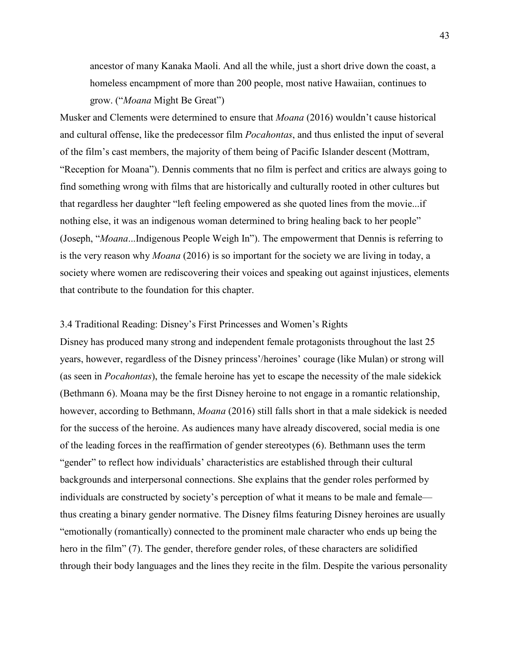ancestor of many Kanaka Maoli. And all the while, just a short drive down the coast, a homeless encampment of more than 200 people, most native Hawaiian, continues to grow. ("*Moana* Might Be Great")

Musker and Clements were determined to ensure that *Moana* (2016) wouldn't cause historical and cultural offense, like the predecessor film *Pocahontas*, and thus enlisted the input of several of the film's cast members, the majority of them being of Pacific Islander descent (Mottram, "Reception for Moana"). Dennis comments that no film is perfect and critics are always going to find something wrong with films that are historically and culturally rooted in other cultures but that regardless her daughter "left feeling empowered as she quoted lines from the movie...if nothing else, it was an indigenous woman determined to bring healing back to her people" (Joseph, "*Moana*...Indigenous People Weigh In"). The empowerment that Dennis is referring to is the very reason why *Moana* (2016) is so important for the society we are living in today, a society where women are rediscovering their voices and speaking out against injustices, elements that contribute to the foundation for this chapter.

#### 3.4 Traditional Reading: Disney's First Princesses and Women's Rights

Disney has produced many strong and independent female protagonists throughout the last 25 years, however, regardless of the Disney princess'/heroines' courage (like Mulan) or strong will (as seen in *Pocahontas*), the female heroine has yet to escape the necessity of the male sidekick (Bethmann 6). Moana may be the first Disney heroine to not engage in a romantic relationship, however, according to Bethmann, *Moana* (2016) still falls short in that a male sidekick is needed for the success of the heroine. As audiences many have already discovered, social media is one of the leading forces in the reaffirmation of gender stereotypes (6). Bethmann uses the term "gender" to reflect how individuals' characteristics are established through their cultural backgrounds and interpersonal connections. She explains that the gender roles performed by individuals are constructed by society's perception of what it means to be male and female–– thus creating a binary gender normative. The Disney films featuring Disney heroines are usually "emotionally (romantically) connected to the prominent male character who ends up being the hero in the film" (7). The gender, therefore gender roles, of these characters are solidified through their body languages and the lines they recite in the film. Despite the various personality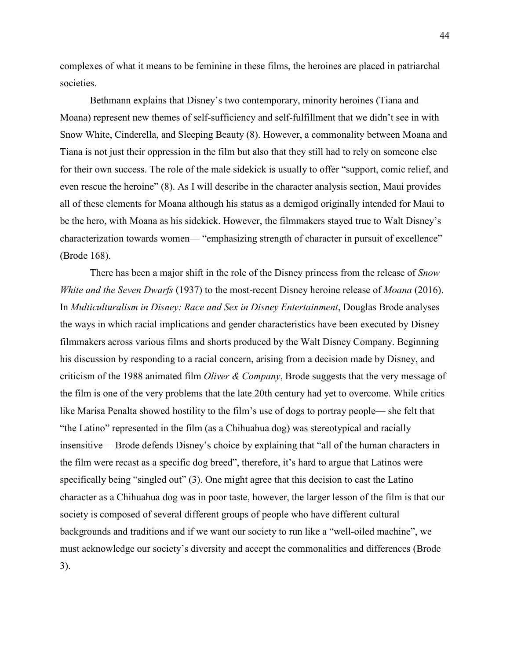complexes of what it means to be feminine in these films, the heroines are placed in patriarchal societies.

Bethmann explains that Disney's two contemporary, minority heroines (Tiana and Moana) represent new themes of self-sufficiency and self-fulfillment that we didn't see in with Snow White, Cinderella, and Sleeping Beauty (8). However, a commonality between Moana and Tiana is not just their oppression in the film but also that they still had to rely on someone else for their own success. The role of the male sidekick is usually to offer "support, comic relief, and even rescue the heroine" (8). As I will describe in the character analysis section, Maui provides all of these elements for Moana although his status as a demigod originally intended for Maui to be the hero, with Moana as his sidekick. However, the filmmakers stayed true to Walt Disney's characterization towards women— "emphasizing strength of character in pursuit of excellence" (Brode 168).

There has been a major shift in the role of the Disney princess from the release of *Snow White and the Seven Dwarfs* (1937) to the most-recent Disney heroine release of *Moana* (2016). In *Multiculturalism in Disney: Race and Sex in Disney Entertainment*, Douglas Brode analyses the ways in which racial implications and gender characteristics have been executed by Disney filmmakers across various films and shorts produced by the Walt Disney Company. Beginning his discussion by responding to a racial concern, arising from a decision made by Disney, and criticism of the 1988 animated film *Oliver & Company*, Brode suggests that the very message of the film is one of the very problems that the late 20th century had yet to overcome. While critics like Marisa Penalta showed hostility to the film's use of dogs to portray people–– she felt that "the Latino" represented in the film (as a Chihuahua dog) was stereotypical and racially insensitive–– Brode defends Disney's choice by explaining that "all of the human characters in the film were recast as a specific dog breed", therefore, it's hard to argue that Latinos were specifically being "singled out" (3). One might agree that this decision to cast the Latino character as a Chihuahua dog was in poor taste, however, the larger lesson of the film is that our society is composed of several different groups of people who have different cultural backgrounds and traditions and if we want our society to run like a "well-oiled machine", we must acknowledge our society's diversity and accept the commonalities and differences (Brode 3).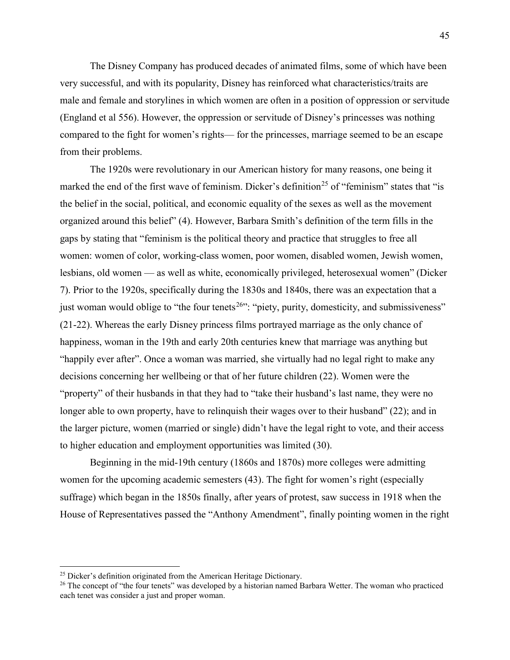The Disney Company has produced decades of animated films, some of which have been very successful, and with its popularity, Disney has reinforced what characteristics/traits are male and female and storylines in which women are often in a position of oppression or servitude (England et al 556). However, the oppression or servitude of Disney's princesses was nothing compared to the fight for women's rights—for the princesses, marriage seemed to be an escape from their problems.

The 1920s were revolutionary in our American history for many reasons, one being it marked the end of the first wave of feminism. Dicker's definition<sup>[25](#page-52-0)</sup> of "feminism" states that "is the belief in the social, political, and economic equality of the sexes as well as the movement organized around this belief" (4). However, Barbara Smith's definition of the term fills in the gaps by stating that "feminism is the political theory and practice that struggles to free all women: women of color, working-class women, poor women, disabled women, Jewish women, lesbians, old women –– as well as white, economically privileged, heterosexual women" (Dicker 7). Prior to the 1920s, specifically during the 1830s and 1840s, there was an expectation that a just woman would oblige to "the four tenets<sup>[26"](#page-52-1)</sup>: "piety, purity, domesticity, and submissiveness" (21-22). Whereas the early Disney princess films portrayed marriage as the only chance of happiness, woman in the 19th and early 20th centuries knew that marriage was anything but "happily ever after". Once a woman was married, she virtually had no legal right to make any decisions concerning her wellbeing or that of her future children (22). Women were the "property" of their husbands in that they had to "take their husband's last name, they were no longer able to own property, have to relinquish their wages over to their husband" (22); and in the larger picture, women (married or single) didn't have the legal right to vote, and their access to higher education and employment opportunities was limited (30).

Beginning in the mid-19th century (1860s and 1870s) more colleges were admitting women for the upcoming academic semesters (43). The fight for women's right (especially suffrage) which began in the 1850s finally, after years of protest, saw success in 1918 when the House of Representatives passed the "Anthony Amendment", finally pointing women in the right

 $\overline{a}$ 

<span id="page-52-0"></span><sup>&</sup>lt;sup>25</sup> Dicker's definition originated from the American Heritage Dictionary.

<span id="page-52-1"></span><sup>&</sup>lt;sup>26</sup> The concept of "the four tenets" was developed by a historian named Barbara Wetter. The woman who practiced each tenet was consider a just and proper woman.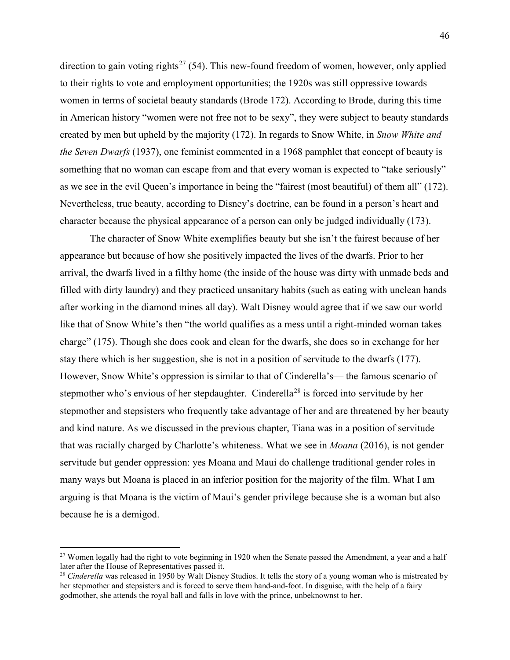direction to gain voting rights<sup>[27](#page-53-0)</sup> (54). This new-found freedom of women, however, only applied to their rights to vote and employment opportunities; the 1920s was still oppressive towards women in terms of societal beauty standards (Brode 172). According to Brode, during this time in American history "women were not free not to be sexy", they were subject to beauty standards created by men but upheld by the majority (172). In regards to Snow White, in *Snow White and the Seven Dwarfs* (1937), one feminist commented in a 1968 pamphlet that concept of beauty is something that no woman can escape from and that every woman is expected to "take seriously" as we see in the evil Queen's importance in being the "fairest (most beautiful) of them all" (172). Nevertheless, true beauty, according to Disney's doctrine, can be found in a person's heart and character because the physical appearance of a person can only be judged individually (173).

The character of Snow White exemplifies beauty but she isn't the fairest because of her appearance but because of how she positively impacted the lives of the dwarfs. Prior to her arrival, the dwarfs lived in a filthy home (the inside of the house was dirty with unmade beds and filled with dirty laundry) and they practiced unsanitary habits (such as eating with unclean hands after working in the diamond mines all day). Walt Disney would agree that if we saw our world like that of Snow White's then "the world qualifies as a mess until a right-minded woman takes charge" (175). Though she does cook and clean for the dwarfs, she does so in exchange for her stay there which is her suggestion, she is not in a position of servitude to the dwarfs (177). However, Snow White's oppression is similar to that of Cinderella's— the famous scenario of stepmother who's envious of her stepdaughter. Cinderella<sup>[28](#page-53-1)</sup> is forced into servitude by her stepmother and stepsisters who frequently take advantage of her and are threatened by her beauty and kind nature. As we discussed in the previous chapter, Tiana was in a position of servitude that was racially charged by Charlotte's whiteness. What we see in *Moana* (2016), is not gender servitude but gender oppression: yes Moana and Maui do challenge traditional gender roles in many ways but Moana is placed in an inferior position for the majority of the film. What I am arguing is that Moana is the victim of Maui's gender privilege because she is a woman but also because he is a demigod.

 $\overline{a}$ 

<span id="page-53-0"></span><sup>&</sup>lt;sup>27</sup> Women legally had the right to vote beginning in 1920 when the Senate passed the Amendment, a year and a half later after the House of Representatives passed it.

<span id="page-53-1"></span><sup>&</sup>lt;sup>28</sup> Cinderella was released in 1950 by Walt Disney Studios. It tells the story of a young woman who is mistreated by her stepmother and stepsisters and is forced to serve them hand-and-foot. In disguise, with the help of a fairy godmother, she attends the royal ball and falls in love with the prince, unbeknownst to her.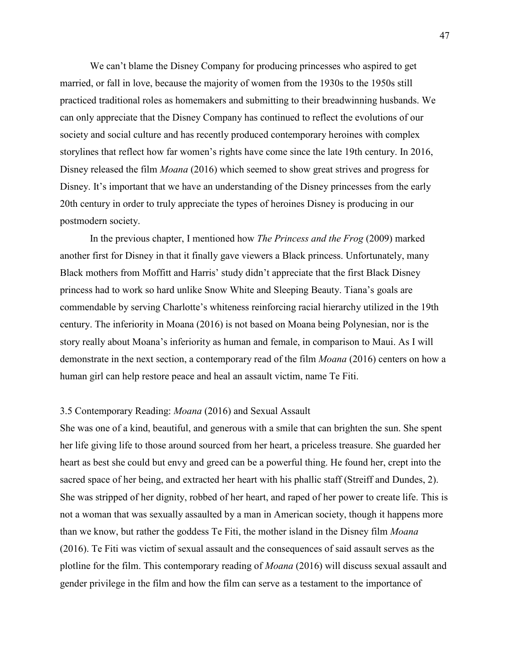We can't blame the Disney Company for producing princesses who aspired to get married, or fall in love, because the majority of women from the 1930s to the 1950s still practiced traditional roles as homemakers and submitting to their breadwinning husbands. We can only appreciate that the Disney Company has continued to reflect the evolutions of our society and social culture and has recently produced contemporary heroines with complex storylines that reflect how far women's rights have come since the late 19th century. In 2016, Disney released the film *Moana* (2016) which seemed to show great strives and progress for Disney. It's important that we have an understanding of the Disney princesses from the early 20th century in order to truly appreciate the types of heroines Disney is producing in our postmodern society.

In the previous chapter, I mentioned how *The Princess and the Frog* (2009) marked another first for Disney in that it finally gave viewers a Black princess. Unfortunately, many Black mothers from Moffitt and Harris' study didn't appreciate that the first Black Disney princess had to work so hard unlike Snow White and Sleeping Beauty. Tiana's goals are commendable by serving Charlotte's whiteness reinforcing racial hierarchy utilized in the 19th century. The inferiority in Moana (2016) is not based on Moana being Polynesian, nor is the story really about Moana's inferiority as human and female, in comparison to Maui. As I will demonstrate in the next section, a contemporary read of the film *Moana* (2016) centers on how a human girl can help restore peace and heal an assault victim, name Te Fiti.

### 3.5 Contemporary Reading: *Moana* (2016) and Sexual Assault

She was one of a kind, beautiful, and generous with a smile that can brighten the sun. She spent her life giving life to those around sourced from her heart, a priceless treasure. She guarded her heart as best she could but envy and greed can be a powerful thing. He found her, crept into the sacred space of her being, and extracted her heart with his phallic staff (Streiff and Dundes, 2). She was stripped of her dignity, robbed of her heart, and raped of her power to create life. This is not a woman that was sexually assaulted by a man in American society, though it happens more than we know, but rather the goddess Te Fiti, the mother island in the Disney film *Moana* (2016). Te Fiti was victim of sexual assault and the consequences of said assault serves as the plotline for the film. This contemporary reading of *Moana* (2016) will discuss sexual assault and gender privilege in the film and how the film can serve as a testament to the importance of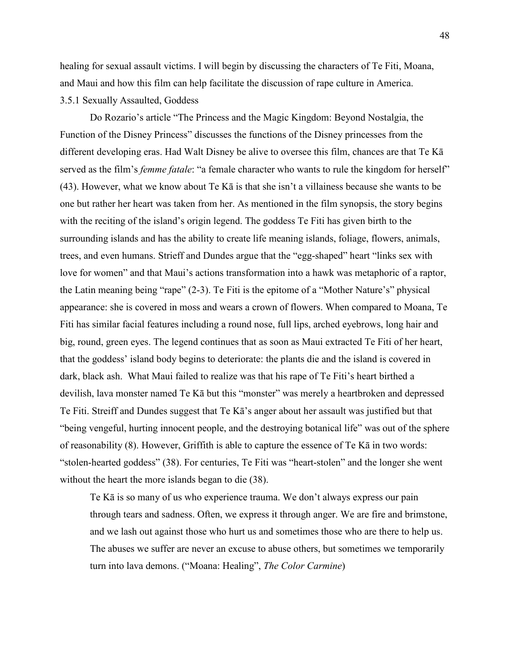healing for sexual assault victims. I will begin by discussing the characters of Te Fiti, Moana, and Maui and how this film can help facilitate the discussion of rape culture in America. 3.5.1 Sexually Assaulted, Goddess

Do Rozario's article "The Princess and the Magic Kingdom: Beyond Nostalgia, the Function of the Disney Princess" discusses the functions of the Disney princesses from the different developing eras. Had Walt Disney be alive to oversee this film, chances are that Te Kā served as the film's *femme fatale*: "a female character who wants to rule the kingdom for herself" (43). However, what we know about Te Kā is that she isn't a villainess because she wants to be one but rather her heart was taken from her. As mentioned in the film synopsis, the story begins with the reciting of the island's origin legend. The goddess Te Fiti has given birth to the surrounding islands and has the ability to create life meaning islands, foliage, flowers, animals, trees, and even humans. Strieff and Dundes argue that the "egg-shaped" heart "links sex with love for women" and that Maui's actions transformation into a hawk was metaphoric of a raptor, the Latin meaning being "rape" (2-3). Te Fiti is the epitome of a "Mother Nature's" physical appearance: she is covered in moss and wears a crown of flowers. When compared to Moana, Te Fiti has similar facial features including a round nose, full lips, arched eyebrows, long hair and big, round, green eyes. The legend continues that as soon as Maui extracted Te Fiti of her heart, that the goddess' island body begins to deteriorate: the plants die and the island is covered in dark, black ash. What Maui failed to realize was that his rape of Te Fiti's heart birthed a devilish, lava monster named Te Kā but this "monster" was merely a heartbroken and depressed Te Fiti. Streiff and Dundes suggest that Te Kā's anger about her assault was justified but that "being vengeful, hurting innocent people, and the destroying botanical life" was out of the sphere of reasonability (8). However, Griffith is able to capture the essence of Te Kā in two words: "stolen-hearted goddess" (38). For centuries, Te Fiti was "heart-stolen" and the longer she went without the heart the more islands began to die (38).

Te Kā is so many of us who experience trauma. We don't always express our pain through tears and sadness. Often, we express it through anger. We are fire and brimstone, and we lash out against those who hurt us and sometimes those who are there to help us. The abuses we suffer are never an excuse to abuse others, but sometimes we temporarily turn into lava demons. ("Moana: Healing", *The Color Carmine*)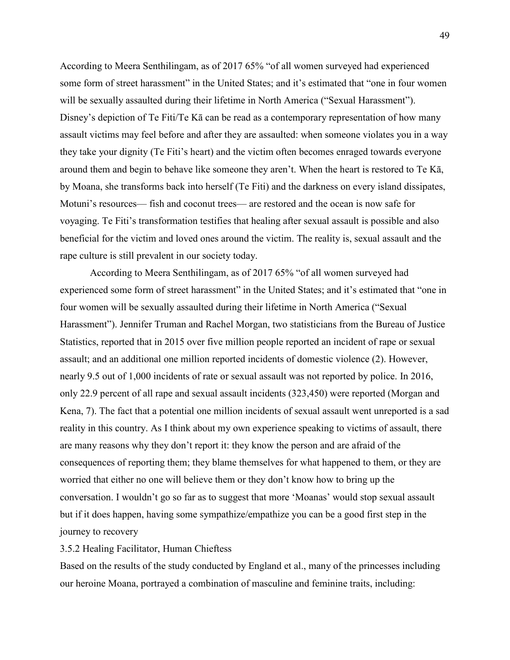According to Meera Senthilingam, as of 2017 65% "of all women surveyed had experienced some form of street harassment" in the United States; and it's estimated that "one in four women will be sexually assaulted during their lifetime in North America ("Sexual Harassment"). Disney's depiction of Te Fiti/Te Kā can be read as a contemporary representation of how many assault victims may feel before and after they are assaulted: when someone violates you in a way they take your dignity (Te Fiti's heart) and the victim often becomes enraged towards everyone around them and begin to behave like someone they aren't. When the heart is restored to Te Kā, by Moana, she transforms back into herself (Te Fiti) and the darkness on every island dissipates, Motuni's resources— fish and coconut trees— are restored and the ocean is now safe for voyaging. Te Fiti's transformation testifies that healing after sexual assault is possible and also beneficial for the victim and loved ones around the victim. The reality is, sexual assault and the rape culture is still prevalent in our society today.

According to Meera Senthilingam, as of 2017 65% "of all women surveyed had experienced some form of street harassment" in the United States; and it's estimated that "one in four women will be sexually assaulted during their lifetime in North America ("Sexual Harassment"). Jennifer Truman and Rachel Morgan, two statisticians from the Bureau of Justice Statistics, reported that in 2015 over five million people reported an incident of rape or sexual assault; and an additional one million reported incidents of domestic violence (2). However, nearly 9.5 out of 1,000 incidents of rate or sexual assault was not reported by police. In 2016, only 22.9 percent of all rape and sexual assault incidents (323,450) were reported (Morgan and Kena, 7). The fact that a potential one million incidents of sexual assault went unreported is a sad reality in this country. As I think about my own experience speaking to victims of assault, there are many reasons why they don't report it: they know the person and are afraid of the consequences of reporting them; they blame themselves for what happened to them, or they are worried that either no one will believe them or they don't know how to bring up the conversation. I wouldn't go so far as to suggest that more 'Moanas' would stop sexual assault but if it does happen, having some sympathize/empathize you can be a good first step in the journey to recovery

#### 3.5.2 Healing Facilitator, Human Chieftess

Based on the results of the study conducted by England et al., many of the princesses including our heroine Moana, portrayed a combination of masculine and feminine traits, including: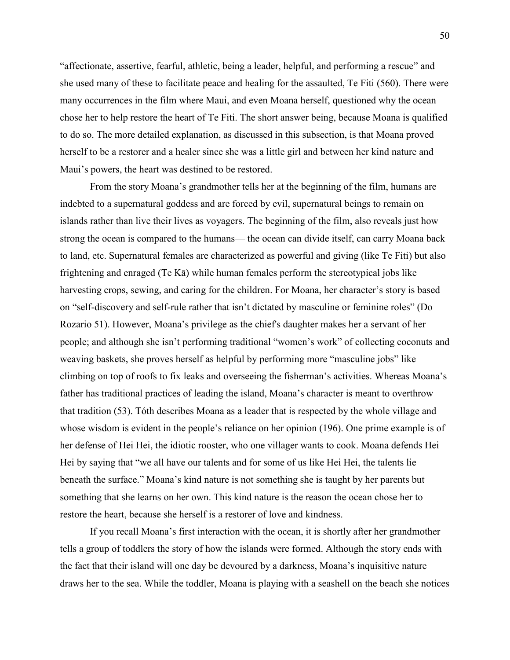"affectionate, assertive, fearful, athletic, being a leader, helpful, and performing a rescue" and she used many of these to facilitate peace and healing for the assaulted, Te Fiti (560). There were many occurrences in the film where Maui, and even Moana herself, questioned why the ocean chose her to help restore the heart of Te Fiti. The short answer being, because Moana is qualified to do so. The more detailed explanation, as discussed in this subsection, is that Moana proved herself to be a restorer and a healer since she was a little girl and between her kind nature and Maui's powers, the heart was destined to be restored.

From the story Moana's grandmother tells her at the beginning of the film, humans are indebted to a supernatural goddess and are forced by evil, supernatural beings to remain on islands rather than live their lives as voyagers. The beginning of the film, also reveals just how strong the ocean is compared to the humans— the ocean can divide itself, can carry Moana back to land, etc. Supernatural females are characterized as powerful and giving (like Te Fiti) but also frightening and enraged (Te Kā) while human females perform the stereotypical jobs like harvesting crops, sewing, and caring for the children. For Moana, her character's story is based on "self-discovery and self-rule rather that isn't dictated by masculine or feminine roles" (Do Rozario 51). However, Moana's privilege as the chief's daughter makes her a servant of her people; and although she isn't performing traditional "women's work" of collecting coconuts and weaving baskets, she proves herself as helpful by performing more "masculine jobs" like climbing on top of roofs to fix leaks and overseeing the fisherman's activities. Whereas Moana's father has traditional practices of leading the island, Moana's character is meant to overthrow that tradition (53). Tóth describes Moana as a leader that is respected by the whole village and whose wisdom is evident in the people's reliance on her opinion (196). One prime example is of her defense of Hei Hei, the idiotic rooster, who one villager wants to cook. Moana defends Hei Hei by saying that "we all have our talents and for some of us like Hei Hei, the talents lie beneath the surface." Moana's kind nature is not something she is taught by her parents but something that she learns on her own. This kind nature is the reason the ocean chose her to restore the heart, because she herself is a restorer of love and kindness.

If you recall Moana's first interaction with the ocean, it is shortly after her grandmother tells a group of toddlers the story of how the islands were formed. Although the story ends with the fact that their island will one day be devoured by a darkness, Moana's inquisitive nature draws her to the sea. While the toddler, Moana is playing with a seashell on the beach she notices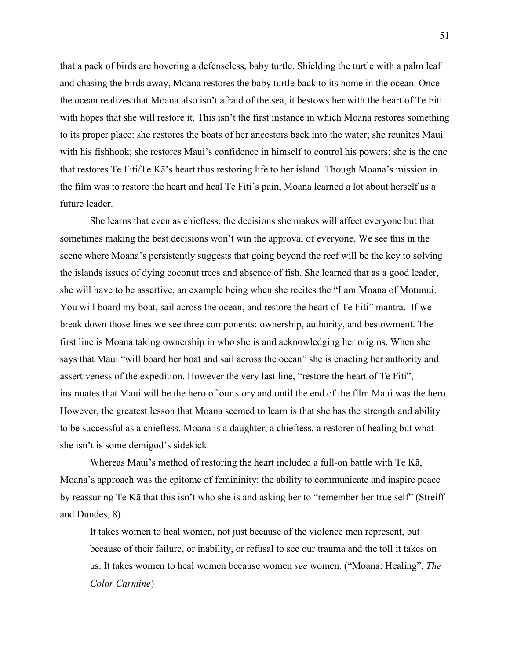that a pack of birds are hovering a defenseless, baby turtle. Shielding the turtle with a palm leaf and chasing the birds away, Moana restores the baby turtle back to its home in the ocean. Once the ocean realizes that Moana also isn't afraid of the sea, it bestows her with the heart of Te Fiti with hopes that she will restore it. This isn't the first instance in which Moana restores something to its proper place: she restores the boats of her ancestors back into the water; she reunites Maui with his fishhook; she restores Maui's confidence in himself to control his powers; she is the one that restores Te Fiti/Te Kā's heart thus restoring life to her island. Though Moana's mission in the film was to restore the heart and heal Te Fiti's pain, Moana learned a lot about herself as a future leader.

She learns that even as chieftess, the decisions she makes will affect everyone but that sometimes making the best decisions won't win the approval of everyone. We see this in the scene where Moana's persistently suggests that going beyond the reef will be the key to solving the islands issues of dying coconut trees and absence of fish. She learned that as a good leader, she will have to be assertive, an example being when she recites the "I am Moana of Motunui. You will board my boat, sail across the ocean, and restore the heart of Te Fiti" mantra. If we break down those lines we see three components: ownership, authority, and bestowment. The first line is Moana taking ownership in who she is and acknowledging her origins. When she says that Maui "will board her boat and sail across the ocean" she is enacting her authority and assertiveness of the expedition. However the very last line, "restore the heart of Te Fiti", insinuates that Maui will be the hero of our story and until the end of the film Maui was the hero. However, the greatest lesson that Moana seemed to learn is that she has the strength and ability to be successful as a chieftess. Moana is a daughter, a chieftess, a restorer of healing but what she isn't is some demigod's sidekick.

Whereas Maui's method of restoring the heart included a full-on battle with Te Kā, Moana's approach was the epitome of femininity: the ability to communicate and inspire peace by reassuring Te Kā that this isn't who she is and asking her to "remember her true self" (Streiff and Dundes, 8).

It takes women to heal women, not just because of the violence men represent, but because of their failure, or inability, or refusal to see our trauma and the toll it takes on us. It takes women to heal women because women *see* women. ("Moana: Healing", *The Color Carmine*)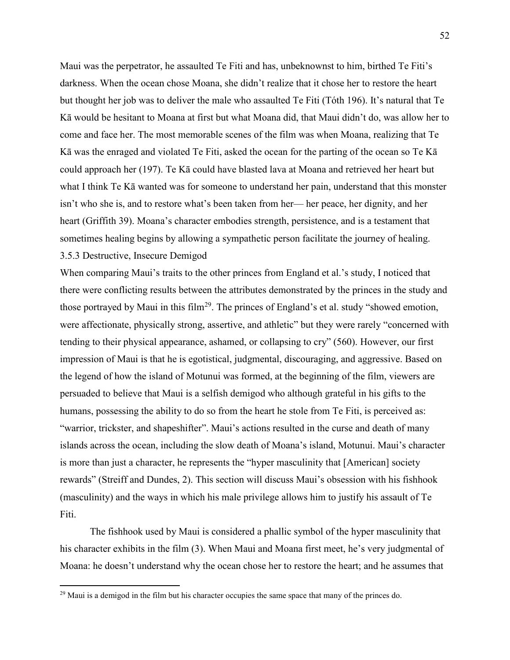Maui was the perpetrator, he assaulted Te Fiti and has, unbeknownst to him, birthed Te Fiti's darkness. When the ocean chose Moana, she didn't realize that it chose her to restore the heart but thought her job was to deliver the male who assaulted Te Fiti (Tóth 196). It's natural that Te Kā would be hesitant to Moana at first but what Moana did, that Maui didn't do, was allow her to come and face her. The most memorable scenes of the film was when Moana, realizing that Te Kā was the enraged and violated Te Fiti, asked the ocean for the parting of the ocean so Te Kā could approach her (197). Te Kā could have blasted lava at Moana and retrieved her heart but what I think Te Kā wanted was for someone to understand her pain, understand that this monster isn't who she is, and to restore what's been taken from her— her peace, her dignity, and her heart (Griffith 39). Moana's character embodies strength, persistence, and is a testament that sometimes healing begins by allowing a sympathetic person facilitate the journey of healing. 3.5.3 Destructive, Insecure Demigod

When comparing Maui's traits to the other princes from England et al.'s study, I noticed that there were conflicting results between the attributes demonstrated by the princes in the study and those portrayed by Maui in this  $film^{29}$ . The princes of England's et al. study "showed emotion, were affectionate, physically strong, assertive, and athletic" but they were rarely "concerned with tending to their physical appearance, ashamed, or collapsing to cry" (560). However, our first impression of Maui is that he is egotistical, judgmental, discouraging, and aggressive. Based on the legend of how the island of Motunui was formed, at the beginning of the film, viewers are persuaded to believe that Maui is a selfish demigod who although grateful in his gifts to the humans, possessing the ability to do so from the heart he stole from Te Fiti, is perceived as: "warrior, trickster, and shapeshifter". Maui's actions resulted in the curse and death of many islands across the ocean, including the slow death of Moana's island, Motunui. Maui's character is more than just a character, he represents the "hyper masculinity that [American] society rewards" (Streiff and Dundes, 2). This section will discuss Maui's obsession with his fishhook (masculinity) and the ways in which his male privilege allows him to justify his assault of Te Fiti.

The fishhook used by Maui is considered a phallic symbol of the hyper masculinity that his character exhibits in the film (3). When Maui and Moana first meet, he's very judgmental of Moana: he doesn't understand why the ocean chose her to restore the heart; and he assumes that

 $\overline{a}$ 

<span id="page-59-0"></span> $29$  Maui is a demigod in the film but his character occupies the same space that many of the princes do.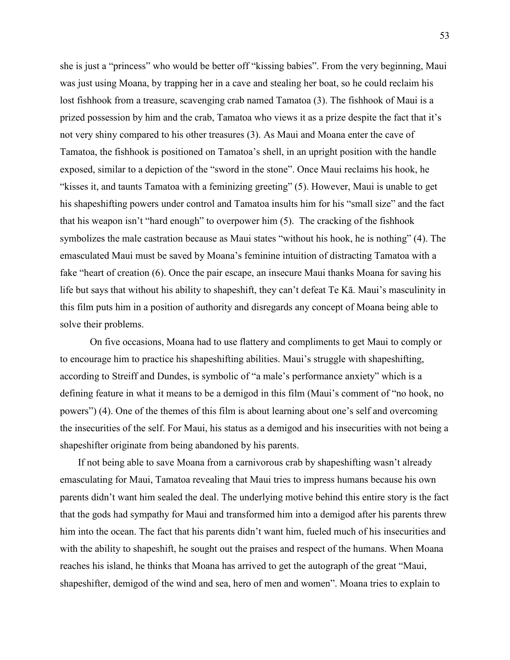she is just a "princess" who would be better off "kissing babies". From the very beginning, Maui was just using Moana, by trapping her in a cave and stealing her boat, so he could reclaim his lost fishhook from a treasure, scavenging crab named Tamatoa (3). The fishhook of Maui is a prized possession by him and the crab, Tamatoa who views it as a prize despite the fact that it's not very shiny compared to his other treasures (3). As Maui and Moana enter the cave of Tamatoa, the fishhook is positioned on Tamatoa's shell, in an upright position with the handle exposed, similar to a depiction of the "sword in the stone". Once Maui reclaims his hook, he "kisses it, and taunts Tamatoa with a feminizing greeting" (5). However, Maui is unable to get his shapeshifting powers under control and Tamatoa insults him for his "small size" and the fact that his weapon isn't "hard enough" to overpower him (5). The cracking of the fishhook symbolizes the male castration because as Maui states "without his hook, he is nothing" (4). The emasculated Maui must be saved by Moana's feminine intuition of distracting Tamatoa with a fake "heart of creation (6). Once the pair escape, an insecure Maui thanks Moana for saving his life but says that without his ability to shapeshift, they can't defeat Te Kā. Maui's masculinity in this film puts him in a position of authority and disregards any concept of Moana being able to solve their problems.

On five occasions, Moana had to use flattery and compliments to get Maui to comply or to encourage him to practice his shapeshifting abilities. Maui's struggle with shapeshifting, according to Streiff and Dundes, is symbolic of "a male's performance anxiety" which is a defining feature in what it means to be a demigod in this film (Maui's comment of "no hook, no powers") (4). One of the themes of this film is about learning about one's self and overcoming the insecurities of the self. For Maui, his status as a demigod and his insecurities with not being a shapeshifter originate from being abandoned by his parents.

If not being able to save Moana from a carnivorous crab by shapeshifting wasn't already emasculating for Maui, Tamatoa revealing that Maui tries to impress humans because his own parents didn't want him sealed the deal. The underlying motive behind this entire story is the fact that the gods had sympathy for Maui and transformed him into a demigod after his parents threw him into the ocean. The fact that his parents didn't want him, fueled much of his insecurities and with the ability to shapeshift, he sought out the praises and respect of the humans. When Moana reaches his island, he thinks that Moana has arrived to get the autograph of the great "Maui, shapeshifter, demigod of the wind and sea, hero of men and women". Moana tries to explain to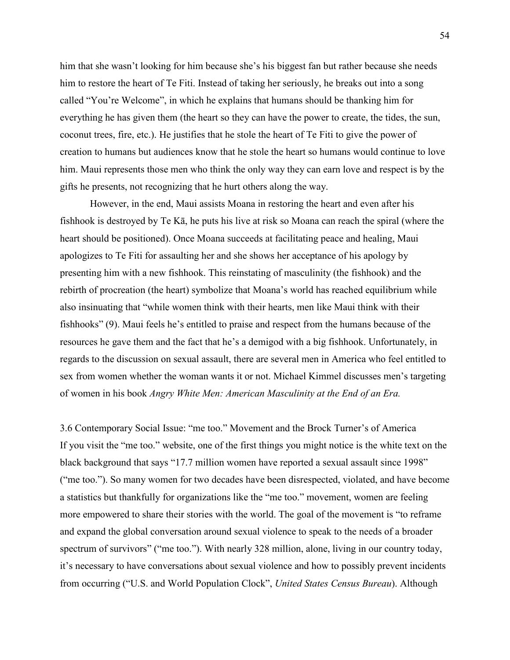him that she wasn't looking for him because she's his biggest fan but rather because she needs him to restore the heart of Te Fiti. Instead of taking her seriously, he breaks out into a song called "You're Welcome", in which he explains that humans should be thanking him for everything he has given them (the heart so they can have the power to create, the tides, the sun, coconut trees, fire, etc.). He justifies that he stole the heart of Te Fiti to give the power of creation to humans but audiences know that he stole the heart so humans would continue to love him. Maui represents those men who think the only way they can earn love and respect is by the gifts he presents, not recognizing that he hurt others along the way.

However, in the end, Maui assists Moana in restoring the heart and even after his fishhook is destroyed by Te Kā, he puts his live at risk so Moana can reach the spiral (where the heart should be positioned). Once Moana succeeds at facilitating peace and healing, Maui apologizes to Te Fiti for assaulting her and she shows her acceptance of his apology by presenting him with a new fishhook. This reinstating of masculinity (the fishhook) and the rebirth of procreation (the heart) symbolize that Moana's world has reached equilibrium while also insinuating that "while women think with their hearts, men like Maui think with their fishhooks" (9). Maui feels he's entitled to praise and respect from the humans because of the resources he gave them and the fact that he's a demigod with a big fishhook. Unfortunately, in regards to the discussion on sexual assault, there are several men in America who feel entitled to sex from women whether the woman wants it or not. Michael Kimmel discusses men's targeting of women in his book *Angry White Men: American Masculinity at the End of an Era.* 

3.6 Contemporary Social Issue: "me too." Movement and the Brock Turner's of America If you visit the "me too." website, one of the first things you might notice is the white text on the black background that says "17.7 million women have reported a sexual assault since 1998" ("me too."). So many women for two decades have been disrespected, violated, and have become a statistics but thankfully for organizations like the "me too." movement, women are feeling more empowered to share their stories with the world. The goal of the movement is "to reframe and expand the global conversation around sexual violence to speak to the needs of a broader spectrum of survivors" ("me too."). With nearly 328 million, alone, living in our country today, it's necessary to have conversations about sexual violence and how to possibly prevent incidents from occurring ("U.S. and World Population Clock", *United States Census Bureau*). Although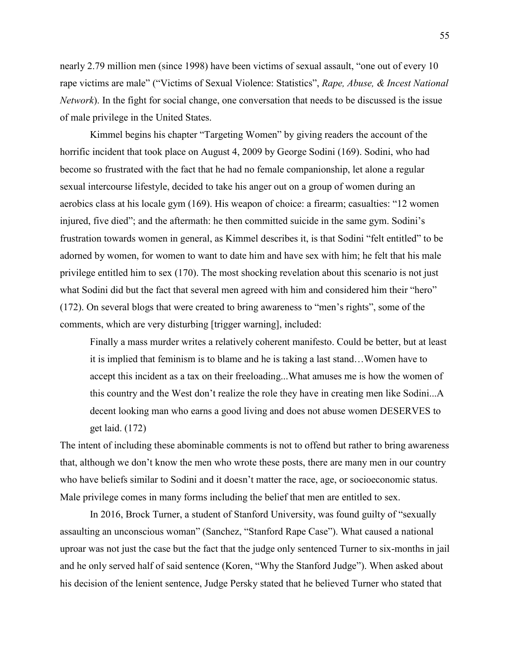nearly 2.79 million men (since 1998) have been victims of sexual assault, "one out of every 10 rape victims are male" ("Victims of Sexual Violence: Statistics", *Rape, Abuse, & Incest National Network*). In the fight for social change, one conversation that needs to be discussed is the issue of male privilege in the United States.

Kimmel begins his chapter "Targeting Women" by giving readers the account of the horrific incident that took place on August 4, 2009 by George Sodini (169). Sodini, who had become so frustrated with the fact that he had no female companionship, let alone a regular sexual intercourse lifestyle, decided to take his anger out on a group of women during an aerobics class at his locale gym (169). His weapon of choice: a firearm; casualties: "12 women injured, five died"; and the aftermath: he then committed suicide in the same gym. Sodini's frustration towards women in general, as Kimmel describes it, is that Sodini "felt entitled" to be adorned by women, for women to want to date him and have sex with him; he felt that his male privilege entitled him to sex (170). The most shocking revelation about this scenario is not just what Sodini did but the fact that several men agreed with him and considered him their "hero" (172). On several blogs that were created to bring awareness to "men's rights", some of the comments, which are very disturbing [trigger warning], included:

Finally a mass murder writes a relatively coherent manifesto. Could be better, but at least it is implied that feminism is to blame and he is taking a last stand…Women have to accept this incident as a tax on their freeloading...What amuses me is how the women of this country and the West don't realize the role they have in creating men like Sodini...A decent looking man who earns a good living and does not abuse women DESERVES to get laid. (172)

The intent of including these abominable comments is not to offend but rather to bring awareness that, although we don't know the men who wrote these posts, there are many men in our country who have beliefs similar to Sodini and it doesn't matter the race, age, or socioeconomic status. Male privilege comes in many forms including the belief that men are entitled to sex.

In 2016, Brock Turner, a student of Stanford University, was found guilty of "sexually assaulting an unconscious woman" (Sanchez, "Stanford Rape Case"). What caused a national uproar was not just the case but the fact that the judge only sentenced Turner to six-months in jail and he only served half of said sentence (Koren, "Why the Stanford Judge"). When asked about his decision of the lenient sentence, Judge Persky stated that he believed Turner who stated that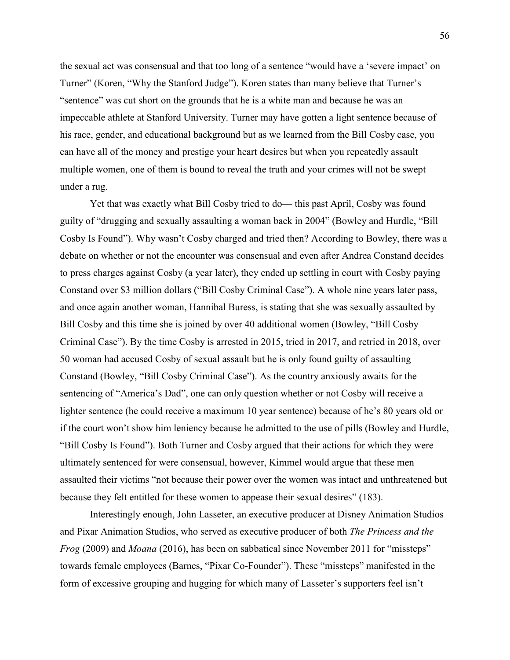the sexual act was consensual and that too long of a sentence "would have a 'severe impact' on Turner" (Koren, "Why the Stanford Judge"). Koren states than many believe that Turner's "sentence" was cut short on the grounds that he is a white man and because he was an impeccable athlete at Stanford University. Turner may have gotten a light sentence because of his race, gender, and educational background but as we learned from the Bill Cosby case, you can have all of the money and prestige your heart desires but when you repeatedly assault multiple women, one of them is bound to reveal the truth and your crimes will not be swept under a rug.

Yet that was exactly what Bill Cosby tried to do— this past April, Cosby was found guilty of "drugging and sexually assaulting a woman back in 2004" (Bowley and Hurdle, "Bill Cosby Is Found"). Why wasn't Cosby charged and tried then? According to Bowley, there was a debate on whether or not the encounter was consensual and even after Andrea Constand decides to press charges against Cosby (a year later), they ended up settling in court with Cosby paying Constand over \$3 million dollars ("Bill Cosby Criminal Case"). A whole nine years later pass, and once again another woman, Hannibal Buress, is stating that she was sexually assaulted by Bill Cosby and this time she is joined by over 40 additional women (Bowley, "Bill Cosby Criminal Case"). By the time Cosby is arrested in 2015, tried in 2017, and retried in 2018, over 50 woman had accused Cosby of sexual assault but he is only found guilty of assaulting Constand (Bowley, "Bill Cosby Criminal Case"). As the country anxiously awaits for the sentencing of "America's Dad", one can only question whether or not Cosby will receive a lighter sentence (he could receive a maximum 10 year sentence) because of he's 80 years old or if the court won't show him leniency because he admitted to the use of pills (Bowley and Hurdle, "Bill Cosby Is Found"). Both Turner and Cosby argued that their actions for which they were ultimately sentenced for were consensual, however, Kimmel would argue that these men assaulted their victims "not because their power over the women was intact and unthreatened but because they felt entitled for these women to appease their sexual desires" (183).

Interestingly enough, John Lasseter, an executive producer at Disney Animation Studios and Pixar Animation Studios, who served as executive producer of both *The Princess and the Frog* (2009) and *Moana* (2016), has been on sabbatical since November 2011 for "missteps" towards female employees (Barnes, "Pixar Co-Founder"). These "missteps" manifested in the form of excessive grouping and hugging for which many of Lasseter's supporters feel isn't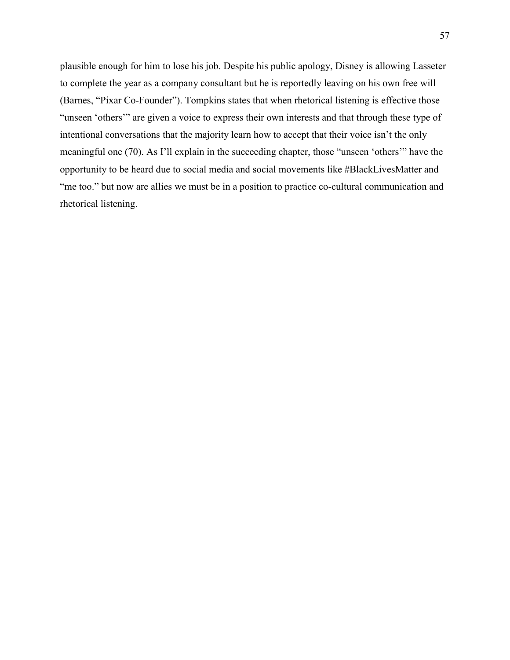plausible enough for him to lose his job. Despite his public apology, Disney is allowing Lasseter to complete the year as a company consultant but he is reportedly leaving on his own free will (Barnes, "Pixar Co-Founder"). Tompkins states that when rhetorical listening is effective those "unseen 'others'" are given a voice to express their own interests and that through these type of intentional conversations that the majority learn how to accept that their voice isn't the only meaningful one (70). As I'll explain in the succeeding chapter, those "unseen 'others'" have the opportunity to be heard due to social media and social movements like #BlackLivesMatter and "me too." but now are allies we must be in a position to practice co-cultural communication and rhetorical listening.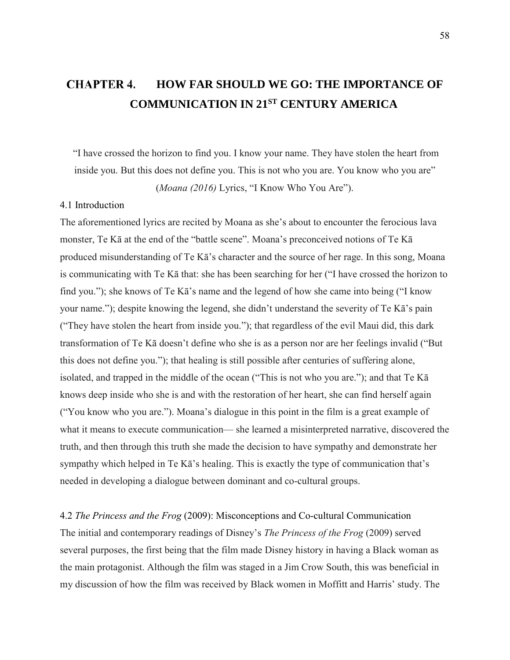# **CHAPTER 4. HOW FAR SHOULD WE GO: THE IMPORTANCE OF COMMUNICATION IN 21ST CENTURY AMERICA**

 "I have crossed the horizon to find you. I know your name. They have stolen the heart from inside you. But this does not define you. This is not who you are. You know who you are" (*Moana (2016)* Lyrics, "I Know Who You Are").

### 4.1 Introduction

The aforementioned lyrics are recited by Moana as she's about to encounter the ferocious lava monster, Te Kā at the end of the "battle scene". Moana's preconceived notions of Te Kā produced misunderstanding of Te Kā's character and the source of her rage. In this song, Moana is communicating with Te Kā that: she has been searching for her ("I have crossed the horizon to find you."); she knows of Te Kā's name and the legend of how she came into being ("I know your name."); despite knowing the legend, she didn't understand the severity of Te Kā's pain ("They have stolen the heart from inside you."); that regardless of the evil Maui did, this dark transformation of Te Kā doesn't define who she is as a person nor are her feelings invalid ("But this does not define you."); that healing is still possible after centuries of suffering alone, isolated, and trapped in the middle of the ocean ("This is not who you are."); and that Te Kā knows deep inside who she is and with the restoration of her heart, she can find herself again ("You know who you are."). Moana's dialogue in this point in the film is a great example of what it means to execute communication— she learned a misinterpreted narrative, discovered the truth, and then through this truth she made the decision to have sympathy and demonstrate her sympathy which helped in Te Kā's healing. This is exactly the type of communication that's needed in developing a dialogue between dominant and co-cultural groups.

4.2 *The Princess and the Frog* (2009): Misconceptions and Co-cultural Communication The initial and contemporary readings of Disney's *The Princess of the Frog* (2009) served several purposes, the first being that the film made Disney history in having a Black woman as the main protagonist. Although the film was staged in a Jim Crow South, this was beneficial in my discussion of how the film was received by Black women in Moffitt and Harris' study. The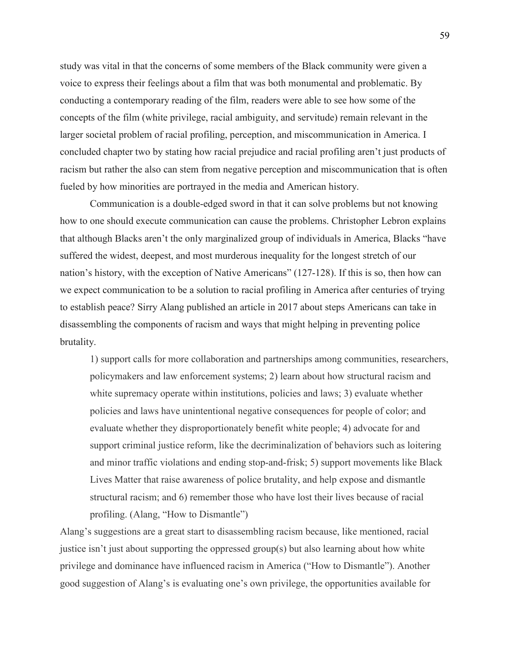study was vital in that the concerns of some members of the Black community were given a voice to express their feelings about a film that was both monumental and problematic. By conducting a contemporary reading of the film, readers were able to see how some of the concepts of the film (white privilege, racial ambiguity, and servitude) remain relevant in the larger societal problem of racial profiling, perception, and miscommunication in America. I concluded chapter two by stating how racial prejudice and racial profiling aren't just products of racism but rather the also can stem from negative perception and miscommunication that is often fueled by how minorities are portrayed in the media and American history.

Communication is a double-edged sword in that it can solve problems but not knowing how to one should execute communication can cause the problems. Christopher Lebron explains that although Blacks aren't the only marginalized group of individuals in America, Blacks "have suffered the widest, deepest, and most murderous inequality for the longest stretch of our nation's history, with the exception of Native Americans" (127-128). If this is so, then how can we expect communication to be a solution to racial profiling in America after centuries of trying to establish peace? Sirry Alang published an article in 2017 about steps Americans can take in disassembling the components of racism and ways that might helping in preventing police brutality.

1) support calls for more collaboration and partnerships among communities, researchers, policymakers and law enforcement systems; 2) learn about how structural racism and white supremacy operate within institutions, policies and laws; 3) evaluate whether policies and laws have unintentional negative consequences for people of color; and evaluate whether they disproportionately benefit white people; 4) advocate for and support criminal justice reform, like the decriminalization of behaviors such as loitering and minor traffic violations and ending stop-and-frisk; 5) support movements like Black Lives Matter that raise awareness of police brutality, and help expose and dismantle structural racism; and 6) remember those who have lost their lives because of racial profiling. (Alang, "How to Dismantle")

Alang's suggestions are a great start to disassembling racism because, like mentioned, racial justice isn't just about supporting the oppressed group(s) but also learning about how white privilege and dominance have influenced racism in America ("How to Dismantle"). Another good suggestion of Alang's is evaluating one's own privilege, the opportunities available for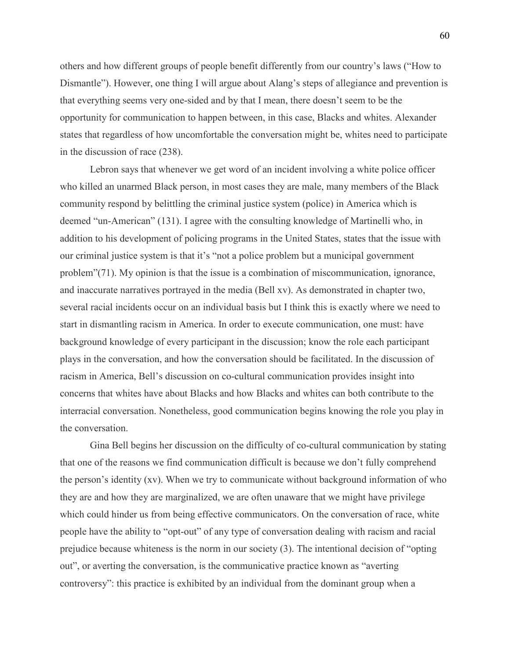others and how different groups of people benefit differently from our country's laws ("How to Dismantle"). However, one thing I will argue about Alang's steps of allegiance and prevention is that everything seems very one-sided and by that I mean, there doesn't seem to be the opportunity for communication to happen between, in this case, Blacks and whites. Alexander states that regardless of how uncomfortable the conversation might be, whites need to participate in the discussion of race (238).

Lebron says that whenever we get word of an incident involving a white police officer who killed an unarmed Black person, in most cases they are male, many members of the Black community respond by belittling the criminal justice system (police) in America which is deemed "un-American" (131). I agree with the consulting knowledge of Martinelli who, in addition to his development of policing programs in the United States, states that the issue with our criminal justice system is that it's "not a police problem but a municipal government problem"(71). My opinion is that the issue is a combination of miscommunication, ignorance, and inaccurate narratives portrayed in the media (Bell xv). As demonstrated in chapter two, several racial incidents occur on an individual basis but I think this is exactly where we need to start in dismantling racism in America. In order to execute communication, one must: have background knowledge of every participant in the discussion; know the role each participant plays in the conversation, and how the conversation should be facilitated. In the discussion of racism in America, Bell's discussion on co-cultural communication provides insight into concerns that whites have about Blacks and how Blacks and whites can both contribute to the interracial conversation. Nonetheless, good communication begins knowing the role you play in the conversation.

Gina Bell begins her discussion on the difficulty of co-cultural communication by stating that one of the reasons we find communication difficult is because we don't fully comprehend the person's identity (xv). When we try to communicate without background information of who they are and how they are marginalized, we are often unaware that we might have privilege which could hinder us from being effective communicators. On the conversation of race, white people have the ability to "opt-out" of any type of conversation dealing with racism and racial prejudice because whiteness is the norm in our society (3). The intentional decision of "opting out", or averting the conversation, is the communicative practice known as "averting controversy": this practice is exhibited by an individual from the dominant group when a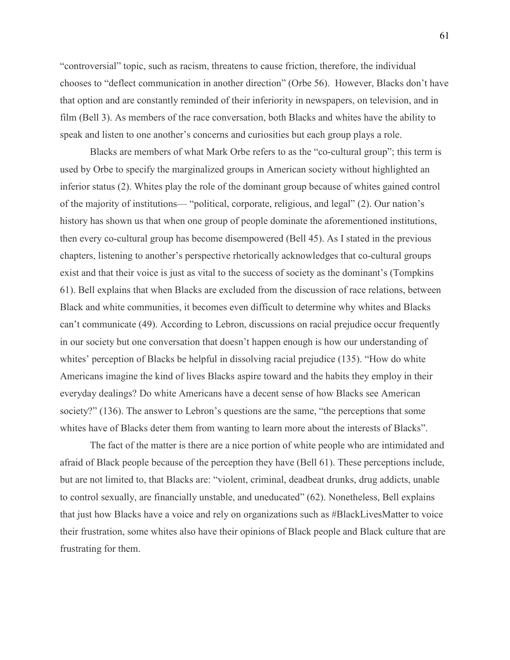"controversial" topic, such as racism, threatens to cause friction, therefore, the individual chooses to "deflect communication in another direction" (Orbe 56). However, Blacks don't have that option and are constantly reminded of their inferiority in newspapers, on television, and in film (Bell 3). As members of the race conversation, both Blacks and whites have the ability to speak and listen to one another's concerns and curiosities but each group plays a role.

Blacks are members of what Mark Orbe refers to as the "co-cultural group"; this term is used by Orbe to specify the marginalized groups in American society without highlighted an inferior status (2). Whites play the role of the dominant group because of whites gained control of the majority of institutions–– "political, corporate, religious, and legal" (2). Our nation's history has shown us that when one group of people dominate the aforementioned institutions, then every co-cultural group has become disempowered (Bell 45). As I stated in the previous chapters, listening to another's perspective rhetorically acknowledges that co-cultural groups exist and that their voice is just as vital to the success of society as the dominant's (Tompkins 61). Bell explains that when Blacks are excluded from the discussion of race relations, between Black and white communities, it becomes even difficult to determine why whites and Blacks can't communicate (49). According to Lebron, discussions on racial prejudice occur frequently in our society but one conversation that doesn't happen enough is how our understanding of whites' perception of Blacks be helpful in dissolving racial prejudice (135). "How do white Americans imagine the kind of lives Blacks aspire toward and the habits they employ in their everyday dealings? Do white Americans have a decent sense of how Blacks see American society?" (136). The answer to Lebron's questions are the same, "the perceptions that some whites have of Blacks deter them from wanting to learn more about the interests of Blacks".

The fact of the matter is there are a nice portion of white people who are intimidated and afraid of Black people because of the perception they have (Bell 61). These perceptions include, but are not limited to, that Blacks are: "violent, criminal, deadbeat drunks, drug addicts, unable to control sexually, are financially unstable, and uneducated" (62). Nonetheless, Bell explains that just how Blacks have a voice and rely on organizations such as #BlackLivesMatter to voice their frustration, some whites also have their opinions of Black people and Black culture that are frustrating for them.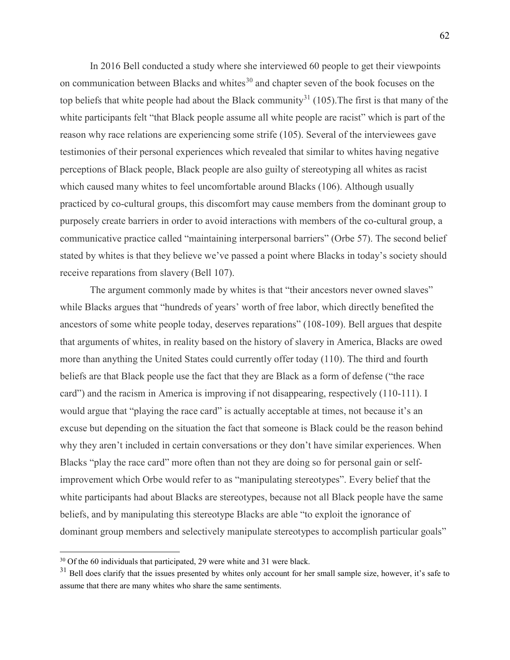In 2016 Bell conducted a study where she interviewed 60 people to get their viewpoints on communication between Blacks and whites<sup>30</sup> and chapter seven of the book focuses on the top beliefs that white people had about the Black community<sup>31</sup> (105). The first is that many of the white participants felt "that Black people assume all white people are racist" which is part of the reason why race relations are experiencing some strife (105). Several of the interviewees gave testimonies of their personal experiences which revealed that similar to whites having negative perceptions of Black people, Black people are also guilty of stereotyping all whites as racist which caused many whites to feel uncomfortable around Blacks (106). Although usually practiced by co-cultural groups, this discomfort may cause members from the dominant group to purposely create barriers in order to avoid interactions with members of the co-cultural group, a communicative practice called "maintaining interpersonal barriers" (Orbe 57). The second belief stated by whites is that they believe we've passed a point where Blacks in today's society should receive reparations from slavery (Bell 107).

The argument commonly made by whites is that "their ancestors never owned slaves" while Blacks argues that "hundreds of years' worth of free labor, which directly benefited the ancestors of some white people today, deserves reparations" (108-109). Bell argues that despite that arguments of whites, in reality based on the history of slavery in America, Blacks are owed more than anything the United States could currently offer today (110). The third and fourth beliefs are that Black people use the fact that they are Black as a form of defense ("the race card") and the racism in America is improving if not disappearing, respectively (110-111). I would argue that "playing the race card" is actually acceptable at times, not because it's an excuse but depending on the situation the fact that someone is Black could be the reason behind why they aren't included in certain conversations or they don't have similar experiences. When Blacks "play the race card" more often than not they are doing so for personal gain or selfimprovement which Orbe would refer to as "manipulating stereotypes". Every belief that the white participants had about Blacks are stereotypes, because not all Black people have the same beliefs, and by manipulating this stereotype Blacks are able "to exploit the ignorance of dominant group members and selectively manipulate stereotypes to accomplish particular goals"

 $\overline{a}$ 

<span id="page-69-0"></span> $30$  Of the 60 individuals that participated, 29 were white and 31 were black.

<span id="page-69-1"></span> $31$  Bell does clarify that the issues presented by whites only account for her small sample size, however, it's safe to assume that there are many whites who share the same sentiments.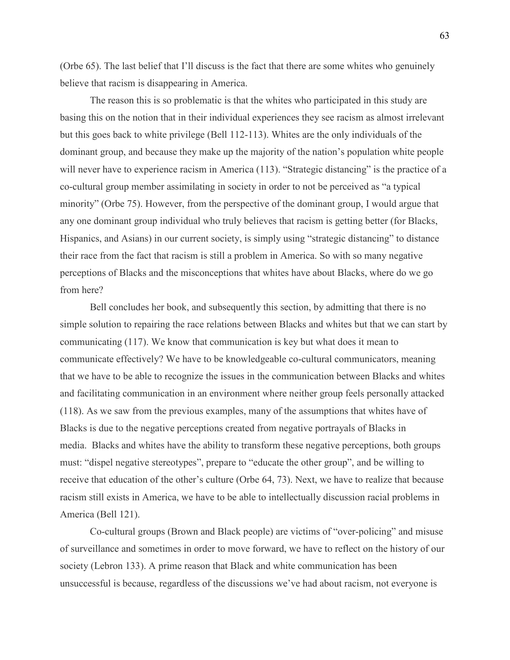(Orbe 65). The last belief that I'll discuss is the fact that there are some whites who genuinely believe that racism is disappearing in America.

The reason this is so problematic is that the whites who participated in this study are basing this on the notion that in their individual experiences they see racism as almost irrelevant but this goes back to white privilege (Bell 112-113). Whites are the only individuals of the dominant group, and because they make up the majority of the nation's population white people will never have to experience racism in America (113). "Strategic distancing" is the practice of a co-cultural group member assimilating in society in order to not be perceived as "a typical minority" (Orbe 75). However, from the perspective of the dominant group, I would argue that any one dominant group individual who truly believes that racism is getting better (for Blacks, Hispanics, and Asians) in our current society, is simply using "strategic distancing" to distance their race from the fact that racism is still a problem in America. So with so many negative perceptions of Blacks and the misconceptions that whites have about Blacks, where do we go from here?

Bell concludes her book, and subsequently this section, by admitting that there is no simple solution to repairing the race relations between Blacks and whites but that we can start by communicating (117). We know that communication is key but what does it mean to communicate effectively? We have to be knowledgeable co-cultural communicators, meaning that we have to be able to recognize the issues in the communication between Blacks and whites and facilitating communication in an environment where neither group feels personally attacked (118). As we saw from the previous examples, many of the assumptions that whites have of Blacks is due to the negative perceptions created from negative portrayals of Blacks in media. Blacks and whites have the ability to transform these negative perceptions, both groups must: "dispel negative stereotypes", prepare to "educate the other group", and be willing to receive that education of the other's culture (Orbe 64, 73). Next, we have to realize that because racism still exists in America, we have to be able to intellectually discussion racial problems in America (Bell 121).

Co-cultural groups (Brown and Black people) are victims of "over-policing" and misuse of surveillance and sometimes in order to move forward, we have to reflect on the history of our society (Lebron 133). A prime reason that Black and white communication has been unsuccessful is because, regardless of the discussions we've had about racism, not everyone is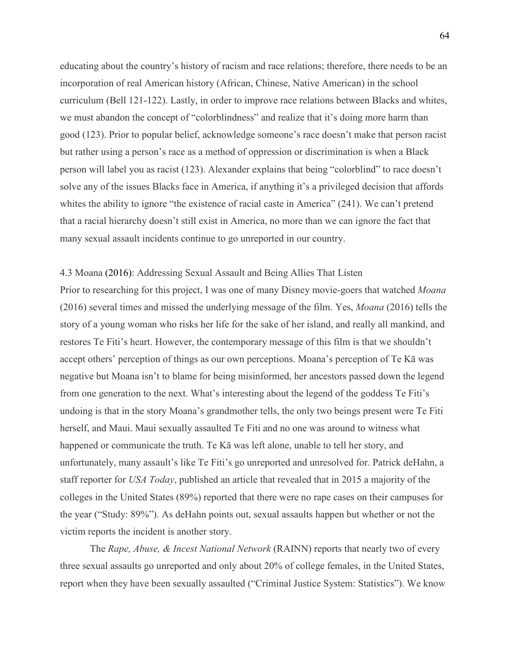educating about the country's history of racism and race relations; therefore, there needs to be an incorporation of real American history (African, Chinese, Native American) in the school curriculum (Bell 121-122). Lastly, in order to improve race relations between Blacks and whites, we must abandon the concept of "colorblindness" and realize that it's doing more harm than good (123). Prior to popular belief, acknowledge someone's race doesn't make that person racist but rather using a person's race as a method of oppression or discrimination is when a Black person will label you as racist (123). Alexander explains that being "colorblind" to race doesn't solve any of the issues Blacks face in America, if anything it's a privileged decision that affords whites the ability to ignore "the existence of racial caste in America" (241). We can't pretend that a racial hierarchy doesn't still exist in America, no more than we can ignore the fact that many sexual assault incidents continue to go unreported in our country.

## 4.3 Moana (2016): Addressing Sexual Assault and Being Allies That Listen

Prior to researching for this project, I was one of many Disney movie-goers that watched *Moana* (2016) several times and missed the underlying message of the film. Yes, *Moana* (2016) tells the story of a young woman who risks her life for the sake of her island, and really all mankind, and restores Te Fiti's heart. However, the contemporary message of this film is that we shouldn't accept others' perception of things as our own perceptions. Moana's perception of Te Kā was negative but Moana isn't to blame for being misinformed, her ancestors passed down the legend from one generation to the next. What's interesting about the legend of the goddess Te Fiti's undoing is that in the story Moana's grandmother tells, the only two beings present were Te Fiti herself, and Maui. Maui sexually assaulted Te Fiti and no one was around to witness what happened or communicate the truth. Te Kā was left alone, unable to tell her story, and unfortunately, many assault's like Te Fiti's go unreported and unresolved for. Patrick deHahn, a staff reporter for *USA Today*, published an article that revealed that in 2015 a majority of the colleges in the United States (89%) reported that there were no rape cases on their campuses for the year ("Study: 89%"). As deHahn points out, sexual assaults happen but whether or not the victim reports the incident is another story.

The *Rape, Abuse, & Incest National Network* (RAINN) reports that nearly two of every three sexual assaults go unreported and only about 20% of college females, in the United States, report when they have been sexually assaulted ("Criminal Justice System: Statistics"). We know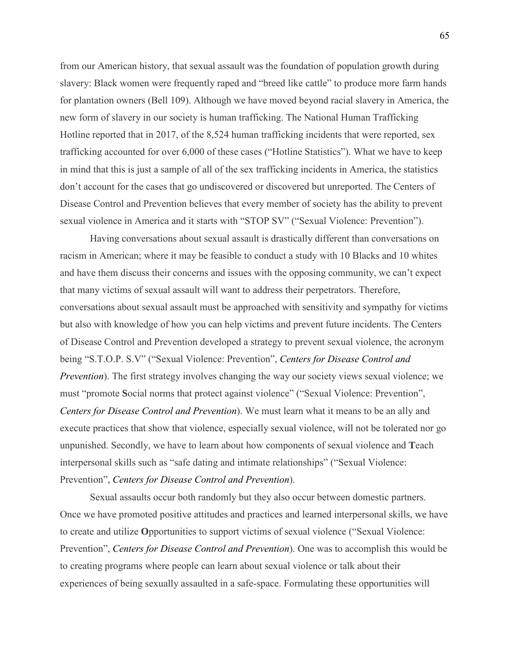from our American history, that sexual assault was the foundation of population growth during slavery: Black women were frequently raped and "breed like cattle" to produce more farm hands for plantation owners (Bell 109). Although we have moved beyond racial slavery in America, the new form of slavery in our society is human trafficking. The National Human Trafficking Hotline reported that in 2017, of the 8,524 human trafficking incidents that were reported, sex trafficking accounted for over 6,000 of these cases ("Hotline Statistics"). What we have to keep in mind that this is just a sample of all of the sex trafficking incidents in America, the statistics don't account for the cases that go undiscovered or discovered but unreported. The Centers of Disease Control and Prevention believes that every member of society has the ability to prevent sexual violence in America and it starts with "STOP SV" ("Sexual Violence: Prevention").

Having conversations about sexual assault is drastically different than conversations on racism in American; where it may be feasible to conduct a study with 10 Blacks and 10 whites and have them discuss their concerns and issues with the opposing community, we can't expect that many victims of sexual assault will want to address their perpetrators. Therefore, conversations about sexual assault must be approached with sensitivity and sympathy for victims but also with knowledge of how you can help victims and prevent future incidents. The Centers of Disease Control and Prevention developed a strategy to prevent sexual violence, the acronym being "S.T.O.P. S.V" ("Sexual Violence: Prevention", *Centers for Disease Control and Prevention*). The first strategy involves changing the way our society views sexual violence; we must "promote **S**ocial norms that protect against violence" ("Sexual Violence: Prevention", *Centers for Disease Control and Prevention*). We must learn what it means to be an ally and execute practices that show that violence, especially sexual violence, will not be tolerated nor go unpunished. Secondly, we have to learn about how components of sexual violence and **T**each interpersonal skills such as "safe dating and intimate relationships" ("Sexual Violence: Prevention", *Centers for Disease Control and Prevention*).

Sexual assaults occur both randomly but they also occur between domestic partners. Once we have promoted positive attitudes and practices and learned interpersonal skills, we have to create and utilize **O**pportunities to support victims of sexual violence ("Sexual Violence: Prevention", *Centers for Disease Control and Prevention*). One was to accomplish this would be to creating programs where people can learn about sexual violence or talk about their experiences of being sexually assaulted in a safe-space. Formulating these opportunities will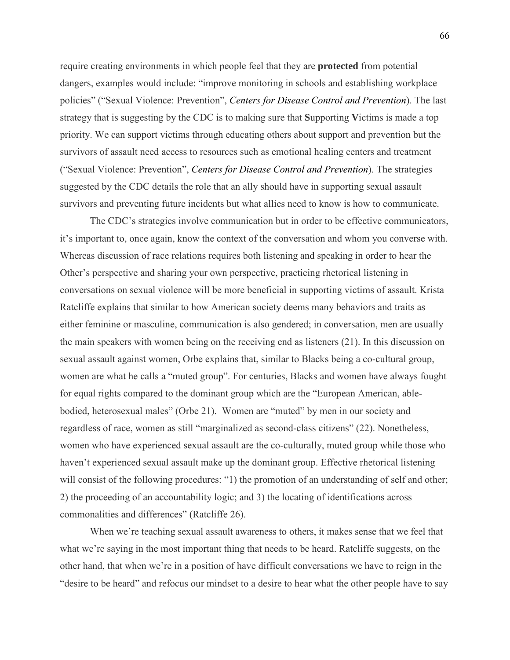require creating environments in which people feel that they are **protected** from potential dangers, examples would include: "improve monitoring in schools and establishing workplace policies" ("Sexual Violence: Prevention", *Centers for Disease Control and Prevention*). The last strategy that is suggesting by the CDC is to making sure that **S**upporting **V**ictims is made a top priority. We can support victims through educating others about support and prevention but the survivors of assault need access to resources such as emotional healing centers and treatment ("Sexual Violence: Prevention", *Centers for Disease Control and Prevention*). The strategies suggested by the CDC details the role that an ally should have in supporting sexual assault survivors and preventing future incidents but what allies need to know is how to communicate.

The CDC's strategies involve communication but in order to be effective communicators, it's important to, once again, know the context of the conversation and whom you converse with. Whereas discussion of race relations requires both listening and speaking in order to hear the Other's perspective and sharing your own perspective, practicing rhetorical listening in conversations on sexual violence will be more beneficial in supporting victims of assault. Krista Ratcliffe explains that similar to how American society deems many behaviors and traits as either feminine or masculine, communication is also gendered; in conversation, men are usually the main speakers with women being on the receiving end as listeners (21). In this discussion on sexual assault against women, Orbe explains that, similar to Blacks being a co-cultural group, women are what he calls a "muted group". For centuries, Blacks and women have always fought for equal rights compared to the dominant group which are the "European American, ablebodied, heterosexual males" (Orbe 21). Women are "muted" by men in our society and regardless of race, women as still "marginalized as second-class citizens" (22). Nonetheless, women who have experienced sexual assault are the co-culturally, muted group while those who haven't experienced sexual assault make up the dominant group. Effective rhetorical listening will consist of the following procedures: "1) the promotion of an understanding of self and other; 2) the proceeding of an accountability logic; and 3) the locating of identifications across commonalities and differences" (Ratcliffe 26).

When we're teaching sexual assault awareness to others, it makes sense that we feel that what we're saying in the most important thing that needs to be heard. Ratcliffe suggests, on the other hand, that when we're in a position of have difficult conversations we have to reign in the "desire to be heard" and refocus our mindset to a desire to hear what the other people have to say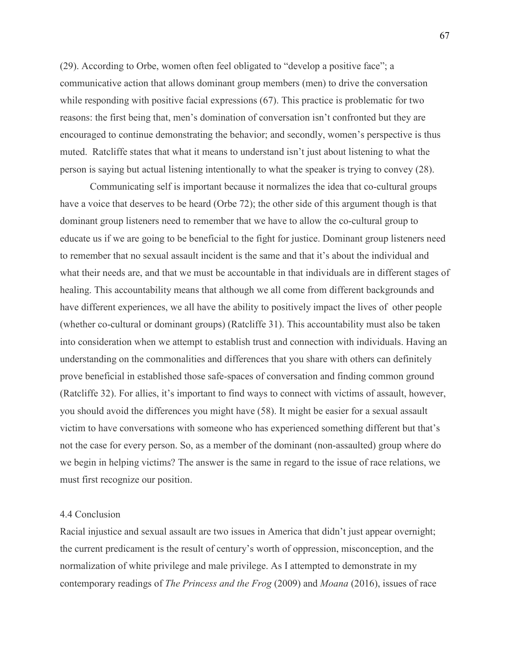(29). According to Orbe, women often feel obligated to "develop a positive face"; a communicative action that allows dominant group members (men) to drive the conversation while responding with positive facial expressions (67). This practice is problematic for two reasons: the first being that, men's domination of conversation isn't confronted but they are encouraged to continue demonstrating the behavior; and secondly, women's perspective is thus muted. Ratcliffe states that what it means to understand isn't just about listening to what the person is saying but actual listening intentionally to what the speaker is trying to convey (28).

Communicating self is important because it normalizes the idea that co-cultural groups have a voice that deserves to be heard (Orbe 72); the other side of this argument though is that dominant group listeners need to remember that we have to allow the co-cultural group to educate us if we are going to be beneficial to the fight for justice. Dominant group listeners need to remember that no sexual assault incident is the same and that it's about the individual and what their needs are, and that we must be accountable in that individuals are in different stages of healing. This accountability means that although we all come from different backgrounds and have different experiences, we all have the ability to positively impact the lives of other people (whether co-cultural or dominant groups) (Ratcliffe 31). This accountability must also be taken into consideration when we attempt to establish trust and connection with individuals. Having an understanding on the commonalities and differences that you share with others can definitely prove beneficial in established those safe-spaces of conversation and finding common ground (Ratcliffe 32). For allies, it's important to find ways to connect with victims of assault, however, you should avoid the differences you might have (58). It might be easier for a sexual assault victim to have conversations with someone who has experienced something different but that's not the case for every person. So, as a member of the dominant (non-assaulted) group where do we begin in helping victims? The answer is the same in regard to the issue of race relations, we must first recognize our position.

## 4.4 Conclusion

Racial injustice and sexual assault are two issues in America that didn't just appear overnight; the current predicament is the result of century's worth of oppression, misconception, and the normalization of white privilege and male privilege. As I attempted to demonstrate in my contemporary readings of *The Princess and the Frog* (2009) and *Moana* (2016), issues of race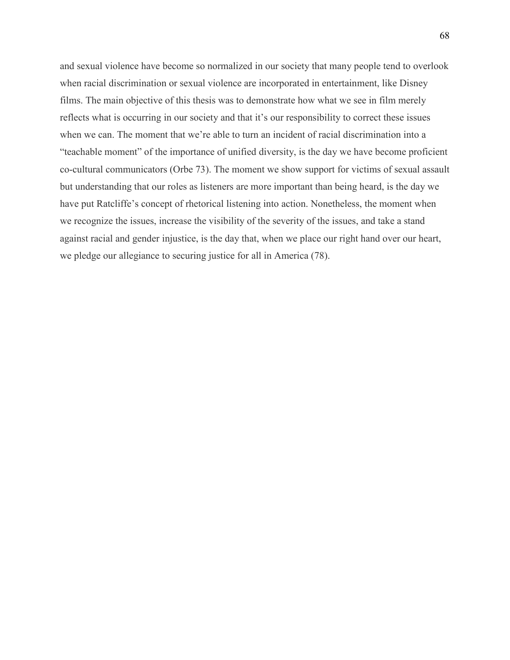and sexual violence have become so normalized in our society that many people tend to overlook when racial discrimination or sexual violence are incorporated in entertainment, like Disney films. The main objective of this thesis was to demonstrate how what we see in film merely reflects what is occurring in our society and that it's our responsibility to correct these issues when we can. The moment that we're able to turn an incident of racial discrimination into a "teachable moment" of the importance of unified diversity, is the day we have become proficient co-cultural communicators (Orbe 73). The moment we show support for victims of sexual assault but understanding that our roles as listeners are more important than being heard, is the day we have put Ratcliffe's concept of rhetorical listening into action. Nonetheless, the moment when we recognize the issues, increase the visibility of the severity of the issues, and take a stand against racial and gender injustice, is the day that, when we place our right hand over our heart, we pledge our allegiance to securing justice for all in America (78).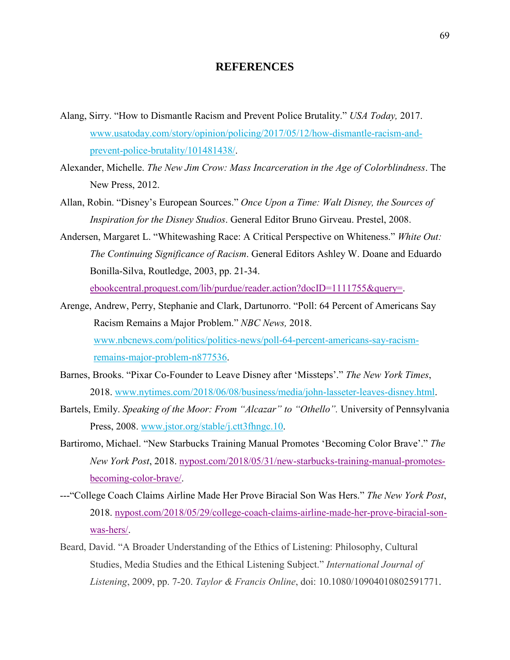## **REFERENCES**

- Alang, Sirry. "How to Dismantle Racism and Prevent Police Brutality." *USA Today,* 2017. [www.usatoday.com/story/opinion/policing/2017/05/12/how-dismantle-racism-and](http://www.usatoday.com/story/opinion/policing/2017/05/12/how-dismantle-racism-and-prevent-police-brutality/101481438/)[prevent-police-brutality/101481438/.](http://www.usatoday.com/story/opinion/policing/2017/05/12/how-dismantle-racism-and-prevent-police-brutality/101481438/)
- Alexander, Michelle. *The New Jim Crow: Mass Incarceration in the Age of Colorblindness*. The New Press, 2012.
- Allan, Robin. "Disney's European Sources." *Once Upon a Time: Walt Disney, the Sources of Inspiration for the Disney Studios*. General Editor Bruno Girveau. Prestel, 2008.
- Andersen, Margaret L. "Whitewashing Race: A Critical Perspective on Whiteness." *White Out: The Continuing Significance of Racism*. General Editors Ashley W. Doane and Eduardo Bonilla-Silva, Routledge, 2003, pp. 21-34.

[ebookcentral.proquest.com/lib/purdue/reader.action?docID=1111755&query=.](https://ebookcentral.proquest.com/lib/purdue/reader.action?docID=1111755&query=)

- Arenge, Andrew, Perry, Stephanie and Clark, Dartunorro. "Poll: 64 Percent of Americans Say Racism Remains a Major Problem." *NBC News,* 2018. [www.nbcnews.com/politics/politics-news/poll-64-percent-americans-say-racism](http://www.nbcnews.com/politics/politics-news/poll-64-percent-americans-say-racism-remains-major-problem-n877536)[remains-major-problem-n877536.](http://www.nbcnews.com/politics/politics-news/poll-64-percent-americans-say-racism-remains-major-problem-n877536)
- Barnes, Brooks. "Pixar Co-Founder to Leave Disney after 'Missteps'." *The New York Times*, 2018. [www.nytimes.com/2018/06/08/business/media/john-lasseter-leaves-disney.html.](http://www.nytimes.com/2018/06/08/business/media/john-lasseter-leaves-disney.html)
- Bartels, Emily. *Speaking of the Moor: From "Alcazar" to "Othello".* University of Pennsylvania Press, 2008. [www.jstor.org/stable/j.ctt3fhngc.10.](http://www.jstor.org/stable/j.ctt3fhngc.10)
- Bartiromo, Michael. "New Starbucks Training Manual Promotes 'Becoming Color Brave'." *The New York Post*, 2018. [nypost.com/2018/05/31/new-starbucks-training-manual-promotes](https://nypost.com/2018/05/31/new-starbucks-training-manual-promotes-becoming-color-brave/)[becoming-color-brave/.](https://nypost.com/2018/05/31/new-starbucks-training-manual-promotes-becoming-color-brave/)
- ---"College Coach Claims Airline Made Her Prove Biracial Son Was Hers." *The New York Post*, 2018. [nypost.com/2018/05/29/college-coach-claims-airline-made-her-prove-biracial-son](https://nypost.com/2018/05/29/college-coach-claims-airline-made-her-prove-biracial-son-was-hers/)[was-hers/.](https://nypost.com/2018/05/29/college-coach-claims-airline-made-her-prove-biracial-son-was-hers/)
- Beard, David. "A Broader Understanding of the Ethics of Listening: Philosophy, Cultural Studies, Media Studies and the Ethical Listening Subject." *International Journal of Listening*, 2009, pp. 7-20. *Taylor & Francis Online*, doi: 10.1080/10904010802591771.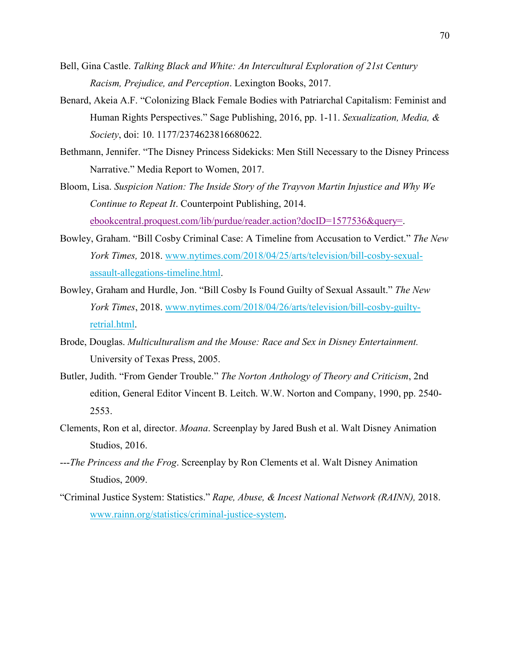- Bell, Gina Castle. *Talking Black and White: An Intercultural Exploration of 21st Century Racism, Prejudice, and Perception*. Lexington Books, 2017.
- Benard, Akeia A.F. "Colonizing Black Female Bodies with Patriarchal Capitalism: Feminist and Human Rights Perspectives." Sage Publishing, 2016, pp. 1-11. *Sexualization, Media, & Society*, doi: 10. 1177/2374623816680622.
- Bethmann, Jennifer. "The Disney Princess Sidekicks: Men Still Necessary to the Disney Princess Narrative." Media Report to Women, 2017.
- Bloom, Lisa. *Suspicion Nation: The Inside Story of the Trayvon Martin Injustice and Why We Continue to Repeat It*. Counterpoint Publishing, 2014. [ebookcentral.proquest.com/lib/purdue/reader.action?docID=1577536&query=.](https://ebookcentral.proquest.com/lib/purdue/reader.action?docID=1577536&query=)
- Bowley, Graham. "Bill Cosby Criminal Case: A Timeline from Accusation to Verdict." *The New York Times,* 2018. [www.nytimes.com/2018/04/25/arts/television/bill-cosby-sexual](http://www.nytimes.com/2018/04/25/arts/television/bill-cosby-sexual-assault-allegations-timeline.html)[assault-allegations-timeline.html.](http://www.nytimes.com/2018/04/25/arts/television/bill-cosby-sexual-assault-allegations-timeline.html)
- Bowley, Graham and Hurdle, Jon. "Bill Cosby Is Found Guilty of Sexual Assault." *The New York Times*, 2018. [www.nytimes.com/2018/04/26/arts/television/bill-cosby-guilty](http://www.nytimes.com/2018/04/26/arts/television/bill-cosby-guilty-retrial.html)[retrial.html.](http://www.nytimes.com/2018/04/26/arts/television/bill-cosby-guilty-retrial.html)
- Brode, Douglas. *Multiculturalism and the Mouse: Race and Sex in Disney Entertainment.*  University of Texas Press, 2005.
- Butler, Judith. "From Gender Trouble." *The Norton Anthology of Theory and Criticism*, 2nd edition, General Editor Vincent B. Leitch. W.W. Norton and Company, 1990, pp. 2540- 2553.
- Clements, Ron et al, director. *Moana*. Screenplay by Jared Bush et al. Walt Disney Animation Studios, 2016.
- ---*The Princess and the Frog*. Screenplay by Ron Clements et al. Walt Disney Animation Studios, 2009.
- "Criminal Justice System: Statistics." *Rape, Abuse, & Incest National Network (RAINN),* 2018. [www.rainn.org/statistics/criminal-justice-system.](http://www.rainn.org/statistics/criminal-justice-system)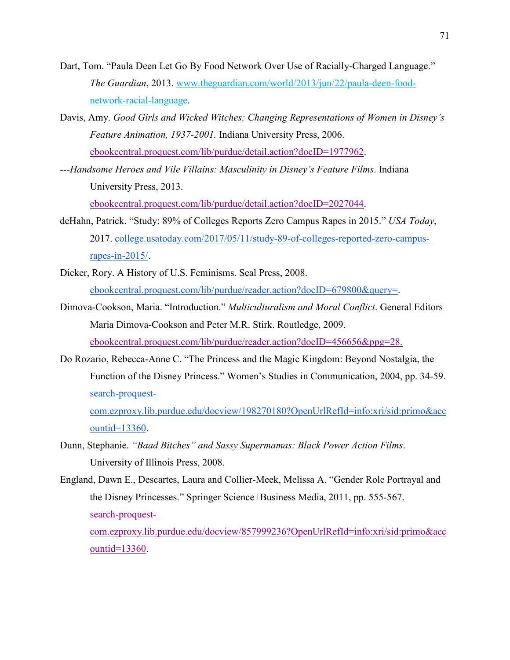- Dart, Tom. "Paula Deen Let Go By Food Network Over Use of Racially-Charged Language." *The Guardian*, 2013. [www.theguardian.com/world/2013/jun/22/paula-deen-food](http://www.theguardian.com/world/2013/jun/22/paula-deen-food-network-racial-language)[network-racial-language.](http://www.theguardian.com/world/2013/jun/22/paula-deen-food-network-racial-language)
- Davis, Amy. *Good Girls and Wicked Witches: Changing Representations of Women in Disney's Feature Animation, 1937-2001.* Indiana University Press, 2006. [ebookcentral.proquest.com/lib/purdue/detail.action?docID=1977962.](https://ebookcentral.proquest.com/lib/purdue/detail.action?docID=1977962)
- ---*Handsome Heroes and Vile Villains: Masculinity in Disney's Feature Films*. Indiana University Press, 2013.

[ebookcentral.proquest.com/lib/purdue/detail.action?docID=2027044.](https://ebookcentral.proquest.com/lib/purdue/detail.action?docID=2027044)

- deHahn, Patrick. "Study: 89% of Colleges Reports Zero Campus Rapes in 2015." *USA Today*, 2017. [college.usatoday.com/2017/05/11/study-89-of-colleges-reported-zero-campus](http://college.usatoday.com/2017/05/11/study-89-of-colleges-reported-zero-campus-rapes-in-2015/)[rapes-in-2015/.](http://college.usatoday.com/2017/05/11/study-89-of-colleges-reported-zero-campus-rapes-in-2015/)
- Dicker, Rory. A History of U.S. Feminisms. Seal Press, 2008. [ebookcentral.proquest.com/lib/purdue/reader.action?docID=679800&query=.](https://ebookcentral.proquest.com/lib/purdue/reader.action?docID=679800&query=)
- Dimova-Cookson, Maria. "Introduction." *Multiculturalism and Moral Conflict*. General Editors Maria Dimova-Cookson and Peter M.R. Stirk. Routledge, 2009. [ebookcentral.proquest.com/lib/purdue/reader.action?docID=456656&ppg=28.](https://ebookcentral.proquest.com/lib/purdue/reader.action?docID=456656&ppg=28)
- Do Rozario, Rebecca-Anne C. "The Princess and the Magic Kingdom: Beyond Nostalgia, the Function of the Disney Princess." Women's Studies in Communication, 2004, pp. 34-59. [search-proquest-](https://search-proquest-com.ezproxy.lib.purdue.edu/docview/198270180?OpenUrlRefId=info:xri/sid:primo&accountid=13360)

[com.ezproxy.lib.purdue.edu/docview/198270180?OpenUrlRefId=info:xri/sid:primo&acc](https://search-proquest-com.ezproxy.lib.purdue.edu/docview/198270180?OpenUrlRefId=info:xri/sid:primo&accountid=13360) [ountid=13360.](https://search-proquest-com.ezproxy.lib.purdue.edu/docview/198270180?OpenUrlRefId=info:xri/sid:primo&accountid=13360)

- Dunn, Stephanie. *"Baad Bitches" and Sassy Supermamas: Black Power Action Films*. University of Illinois Press, 2008.
- England, Dawn E., Descartes, Laura and Collier-Meek, Melissa A. "Gender Role Portrayal and the Disney Princesses." Springer Science+Business Media, 2011, pp. 555-567. [search-proquest](https://search-proquest-com.ezproxy.lib.purdue.edu/docview/857999236?OpenUrlRefId=info:xri/sid:primo&accountid=13360)[com.ezproxy.lib.purdue.edu/docview/857999236?OpenUrlRefId=info:xri/sid:primo&acc](https://search-proquest-com.ezproxy.lib.purdue.edu/docview/857999236?OpenUrlRefId=info:xri/sid:primo&accountid=13360) [ountid=13360.](https://search-proquest-com.ezproxy.lib.purdue.edu/docview/857999236?OpenUrlRefId=info:xri/sid:primo&accountid=13360)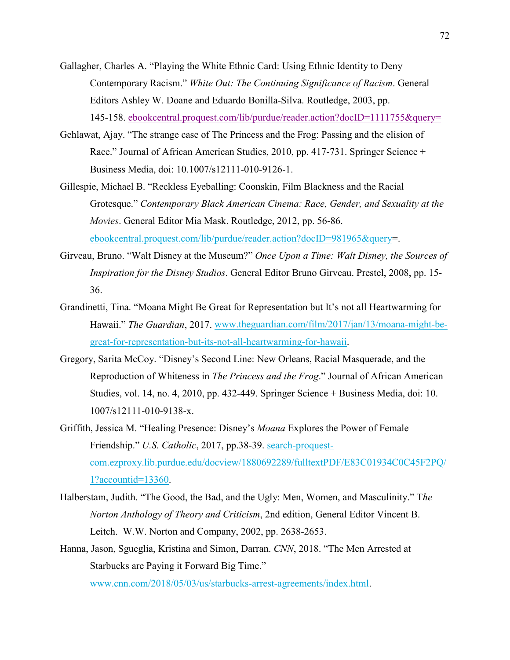- Gallagher, Charles A. "Playing the White Ethnic Card: Using Ethnic Identity to Deny Contemporary Racism." *White Out: The Continuing Significance of Racism*. General Editors Ashley W. Doane and Eduardo Bonilla-Silva. Routledge, 2003, pp. 145-158. [ebookcentral.proquest.com/lib/purdue/reader.action?docID=1111755&query=](https://ebookcentral.proquest.com/lib/purdue/reader.action?docID=1111755&query=)
- Gehlawat, Ajay. "The strange case of The Princess and the Frog: Passing and the elision of Race." Journal of African American Studies, 2010, pp. 417-731. Springer Science + Business Media, doi: 10.1007/s12111-010-9126-1.
- Gillespie, Michael B. "Reckless Eyeballing: Coonskin, Film Blackness and the Racial Grotesque." *Contemporary Black American Cinema: Race, Gender, and Sexuality at the Movies*. General Editor Mia Mask. Routledge, 2012, pp. 56-86. [ebookcentral.proquest.com/lib/purdue/reader.action?docID=981965&query=](https://ebookcentral.proquest.com/lib/purdue/reader.action?docID=981965&query).
- Girveau, Bruno. "Walt Disney at the Museum?" *Once Upon a Time: Walt Disney, the Sources of Inspiration for the Disney Studios*. General Editor Bruno Girveau. Prestel, 2008, pp. 15- 36.
- Grandinetti, Tina. "Moana Might Be Great for Representation but It's not all Heartwarming for Hawaii." *The Guardian*, 2017. [www.theguardian.com/film/2017/jan/13/moana-might-be](http://www.theguardian.com/film/2017/jan/13/moana-might-be-great-for-representation-but-its-not-all-heartwarming-for-hawaii)[great-for-representation-but-its-not-all-heartwarming-for-hawaii.](http://www.theguardian.com/film/2017/jan/13/moana-might-be-great-for-representation-but-its-not-all-heartwarming-for-hawaii)
- Gregory, Sarita McCoy. "Disney's Second Line: New Orleans, Racial Masquerade, and the Reproduction of Whiteness in *The Princess and the Frog*." Journal of African American Studies, vol. 14, no. 4, 2010, pp. 432-449. Springer Science + Business Media, doi: 10. 1007/s12111-010-9138-x.
- Griffith, Jessica M. "Healing Presence: Disney's *Moana* Explores the Power of Female Friendship." *U.S. Catholic*, 2017, pp.38-39. [search-proquest](https://search-proquest-com.ezproxy.lib.purdue.edu/docview/1880692289/fulltextPDF/E83C01934C0C45F2PQ/1?accountid=13360)[com.ezproxy.lib.purdue.edu/docview/1880692289/fulltextPDF/E83C01934C0C45F2PQ/](https://search-proquest-com.ezproxy.lib.purdue.edu/docview/1880692289/fulltextPDF/E83C01934C0C45F2PQ/1?accountid=13360) [1?accountid=13360.](https://search-proquest-com.ezproxy.lib.purdue.edu/docview/1880692289/fulltextPDF/E83C01934C0C45F2PQ/1?accountid=13360)
- Halberstam, Judith. "The Good, the Bad, and the Ugly: Men, Women, and Masculinity." T*he Norton Anthology of Theory and Criticism*, 2nd edition, General Editor Vincent B. Leitch. W.W. Norton and Company, 2002, pp. 2638-2653.
- Hanna, Jason, Sgueglia, Kristina and Simon, Darran. *CNN*, 2018. "The Men Arrested at Starbucks are Paying it Forward Big Time."

[www.cnn.com/2018/05/03/us/starbucks-arrest-agreements/index.html.](http://www.cnn.com/2018/05/03/us/starbucks-arrest-agreements/index.html)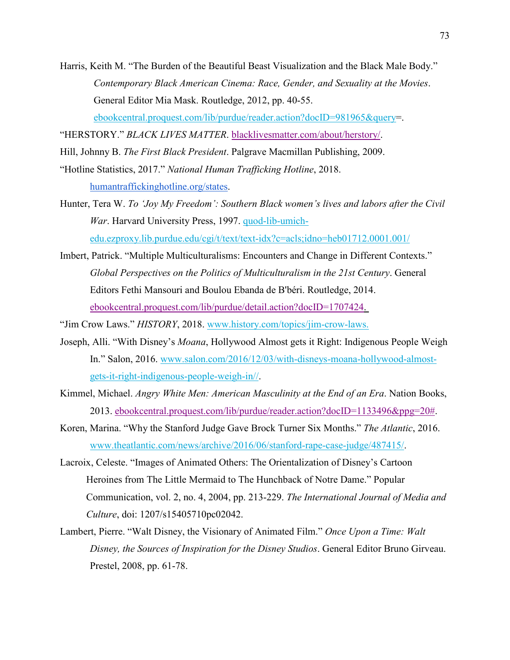Harris, Keith M. "The Burden of the Beautiful Beast Visualization and the Black Male Body." *Contemporary Black American Cinema: Race, Gender, and Sexuality at the Movies*. General Editor Mia Mask. Routledge, 2012, pp. 40-55. [ebookcentral.proquest.com/lib/purdue/reader.action?docID=981965&query=](https://ebookcentral.proquest.com/lib/purdue/reader.action?docID=981965&query).

"HERSTORY." *BLACK LIVES MATTER*. [blacklivesmatter.com/about/herstory/.](https://blacklivesmatter.com/about/herstory/)

Hill, Johnny B. *The First Black President*. Palgrave Macmillan Publishing, 2009.

- "Hotline Statistics, 2017." *National Human Trafficking Hotline*, 2018. [humantraffickinghotline.org/states.](https://humantraffickinghotline.org/states)
- Hunter, Tera W. *To 'Joy My Freedom': Southern Black women's lives and labors after the Civil War*. Harvard University Press, 1997. [quod-lib-umich](https://quod-lib-umich-edu.ezproxy.lib.purdue.edu/cgi/t/text/text-idx?c=acls;idno=heb01712.0001.001/)[edu.ezproxy.lib.purdue.edu/cgi/t/text/text-idx?c=acls;idno=heb01712.0001.001/](https://quod-lib-umich-edu.ezproxy.lib.purdue.edu/cgi/t/text/text-idx?c=acls;idno=heb01712.0001.001/)
- Imbert, Patrick. "Multiple Multiculturalisms: Encounters and Change in Different Contexts." *Global Perspectives on the Politics of Multiculturalism in the 21st Century*. General Editors Fethi Mansouri and Boulou Ebanda de B'béri. Routledge, 2014. [ebookcentral.proquest.com/lib/purdue/detail.action?docID=1707424.](https://ebookcentral.proquest.com/lib/purdue/detail.action?docID=1707424)
- "Jim Crow Laws." *HISTORY*, 2018. [www.history.com/topics/jim-crow-laws.](http://www.history.com/topics/jim-crow-laws)
- Joseph, Alli. "With Disney's *Moana*, Hollywood Almost gets it Right: Indigenous People Weigh In." Salon, 2016. [www.salon.com/2016/12/03/with-disneys-moana-hollywood-almost](http://www.salon.com/2016/12/03/with-disneys-moana-hollywood-almost-gets-it-right-indigenous-people-weigh-in/)[gets-it-right-indigenous-people-weigh-in//.](http://www.salon.com/2016/12/03/with-disneys-moana-hollywood-almost-gets-it-right-indigenous-people-weigh-in/)
- Kimmel, Michael. *Angry White Men: American Masculinity at the End of an Era*. Nation Books, 2013. [ebookcentral.proquest.com/lib/purdue/reader.action?docID=1133496&ppg=20#.](https://ebookcentral.proquest.com/lib/purdue/reader.action?docID=1133496&ppg=20)
- Koren, Marina. "Why the Stanford Judge Gave Brock Turner Six Months." *The Atlantic*, 2016. [www.theatlantic.com/news/archive/2016/06/stanford-rape-case-judge/487415/.](http://www.theatlantic.com/news/archive/2016/06/stanford-rape-case-judge/487415/)
- Lacroix, Celeste. "Images of Animated Others: The Orientalization of Disney's Cartoon Heroines from The Little Mermaid to The Hunchback of Notre Dame." Popular Communication, vol. 2, no. 4, 2004, pp. 213-229. *The International Journal of Media and Culture*, doi: 1207/s15405710pc02042.
- Lambert, Pierre. "Walt Disney, the Visionary of Animated Film." *Once Upon a Time: Walt Disney, the Sources of Inspiration for the Disney Studios*. General Editor Bruno Girveau. Prestel, 2008, pp. 61-78.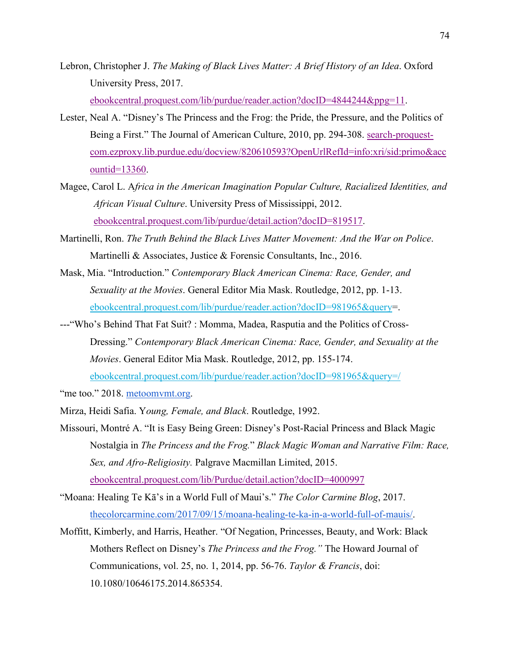Lebron, Christopher J. *The Making of Black Lives Matter: A Brief History of an Idea*. Oxford University Press, 2017.

[ebookcentral.proquest.com/lib/purdue/reader.action?docID=4844244&ppg=11.](https://ebookcentral.proquest.com/lib/purdue/reader.action?docID=4844244&ppg=11)

- Lester, Neal A. "Disney's The Princess and the Frog: the Pride, the Pressure, and the Politics of Being a First." The Journal of American Culture, 2010, pp. 294-308. [search-proquest](https://search-proquest-com.ezproxy.lib.purdue.edu/docview/820610593?OpenUrlRefId=info:xri/sid:primo&accountid=13360)[com.ezproxy.lib.purdue.edu/docview/820610593?OpenUrlRefId=info:xri/sid:primo&acc](https://search-proquest-com.ezproxy.lib.purdue.edu/docview/820610593?OpenUrlRefId=info:xri/sid:primo&accountid=13360) [ountid=13360.](https://search-proquest-com.ezproxy.lib.purdue.edu/docview/820610593?OpenUrlRefId=info:xri/sid:primo&accountid=13360)
- Magee, Carol L. A*frica in the American Imagination Popular Culture, Racialized Identities, and African Visual Culture*. University Press of Mississippi, 2012. [ebookcentral.proquest.com/lib/purdue/detail.action?docID=819517.](https://ebookcentral.proquest.com/lib/purdue/detail.action?docID=819517)
- Martinelli, Ron. *The Truth Behind the Black Lives Matter Movement: And the War on Police*. Martinelli & Associates, Justice & Forensic Consultants, Inc., 2016.
- Mask, Mia. "Introduction." *Contemporary Black American Cinema: Race, Gender, and Sexuality at the Movies*. General Editor Mia Mask. Routledge, 2012, pp. 1-13. [ebookcentral.proquest.com/lib/purdue/reader.action?docID=981965&query=](https://ebookcentral.proquest.com/lib/purdue/reader.action?docID=981965&query).
- ---"Who's Behind That Fat Suit? : Momma, Madea, Rasputia and the Politics of Cross-Dressing." *Contemporary Black American Cinema: Race, Gender, and Sexuality at the Movies*. General Editor Mia Mask. Routledge, 2012, pp. 155-174. [ebookcentral.proquest.com/lib/purdue/reader.action?docID=981965&query=/](https://ebookcentral.proquest.com/lib/purdue/reader.action?docID=981965&query=/)

"me too." 2018. [metoomvmt.org.](https://metoomvmt.org/)

Mirza, Heidi Safia. Y*oung, Female, and Black*. Routledge, 1992.

- Missouri, Montré A. "It is Easy Being Green: Disney's Post-Racial Princess and Black Magic Nostalgia in *The Princess and the Frog.*" *Black Magic Woman and Narrative Film: Race, Sex, and Afro-Religiosity.* Palgrave Macmillan Limited, 2015. [ebookcentral.proquest.com/lib/Purdue/detail.action?docID=4000997](https://ebookcentral.proquest.com/lib/Purdue/detail.action?docID=4000997)
- "Moana: Healing Te Kā's in a World Full of Maui's." *The Color Carmine Blog*, 2017. [thecolorcarmine.com/2017/09/15/moana-healing-te-ka-in-a-world-full-of-mauis/.](https://thecolorcarmine.com/2017/09/15/moana-healing-te-ka-in-a-world-full-of-mauis/)
- Moffitt, Kimberly, and Harris, Heather. "Of Negation, Princesses, Beauty, and Work: Black Mothers Reflect on Disney's *The Princess and the Frog."* The Howard Journal of Communications, vol. 25, no. 1, 2014, pp. 56-76. *Taylor & Francis*, doi: 10.1080/10646175.2014.865354.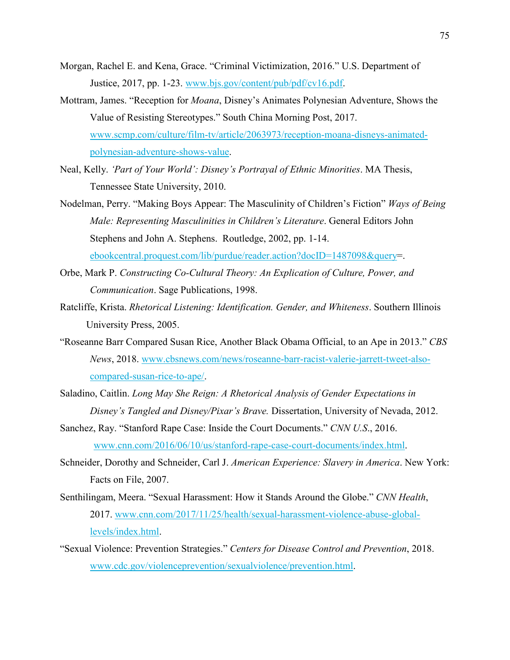- Morgan, Rachel E. and Kena, Grace. "Criminal Victimization, 2016." U.S. Department of Justice, 2017, pp. 1-23. [www.bjs.gov/content/pub/pdf/cv16.pdf.](http://www.bjs.gov/content/pub/pdf/cv16.pdf)
- Mottram, James. "Reception for *Moana*, Disney's Animates Polynesian Adventure, Shows the Value of Resisting Stereotypes." South China Morning Post, 2017. [www.scmp.com/culture/film-tv/article/2063973/reception-moana-disneys-animated](http://www.scmp.com/culture/film-tv/article/2063973/reception-moana-disneys-animated-polynesian-adventure-shows-value)[polynesian-adventure-shows-value.](http://www.scmp.com/culture/film-tv/article/2063973/reception-moana-disneys-animated-polynesian-adventure-shows-value)
- Neal, Kelly. *'Part of Your World': Disney's Portrayal of Ethnic Minorities*. MA Thesis, Tennessee State University, 2010.
- Nodelman, Perry. "Making Boys Appear: The Masculinity of Children's Fiction" *Ways of Being Male: Representing Masculinities in Children's Literature*. General Editors John Stephens and John A. Stephens. Routledge, 2002, pp. 1-14. [ebookcentral.proquest.com/lib/purdue/reader.action?docID=1487098&query=](https://ebookcentral.proquest.com/lib/purdue/reader.action?docID=1487098&query).
- Orbe, Mark P. *Constructing Co-Cultural Theory: An Explication of Culture, Power, and Communication*. Sage Publications, 1998.
- Ratcliffe, Krista. *Rhetorical Listening: Identification. Gender, and Whiteness*. Southern Illinois University Press, 2005.
- "Roseanne Barr Compared Susan Rice, Another Black Obama Official, to an Ape in 2013." *CBS News*, 2018. [www.cbsnews.com/news/roseanne-barr-racist-valerie-jarrett-tweet-also](http://www.cbsnews.com/news/roseanne-barr-racist-valerie-jarrett-tweet-also-compared-susan-rice-to-ape/)[compared-susan-rice-to-ape/.](http://www.cbsnews.com/news/roseanne-barr-racist-valerie-jarrett-tweet-also-compared-susan-rice-to-ape/)
- Saladino, Caitlin. *Long May She Reign: A Rhetorical Analysis of Gender Expectations in Disney's Tangled and Disney/Pixar's Brave.* Dissertation, University of Nevada, 2012.
- Sanchez, Ray. "Stanford Rape Case: Inside the Court Documents." *CNN U.S*., 2016. [www.cnn.com/2016/06/10/us/stanford-rape-case-court-documents/index.html.](http://www.cnn.com/2016/06/10/us/stanford-rape-case-court-documents/index.html)
- Schneider, Dorothy and Schneider, Carl J. *American Experience: Slavery in America*. New York: Facts on File, 2007.
- Senthilingam, Meera. "Sexual Harassment: How it Stands Around the Globe." *CNN Health*, 2017. [www.cnn.com/2017/11/25/health/sexual-harassment-violence-abuse-global](http://www.cnn.com/2017/11/25/health/sexual-harassment-violence-abuse-global-levels/index.html)[levels/index.html.](http://www.cnn.com/2017/11/25/health/sexual-harassment-violence-abuse-global-levels/index.html)
- "Sexual Violence: Prevention Strategies." *Centers for Disease Control and Prevention*, 2018. [www.cdc.gov/violenceprevention/sexualviolence/prevention.html.](http://www.cdc.gov/violenceprevention/sexualviolence/prevention.html)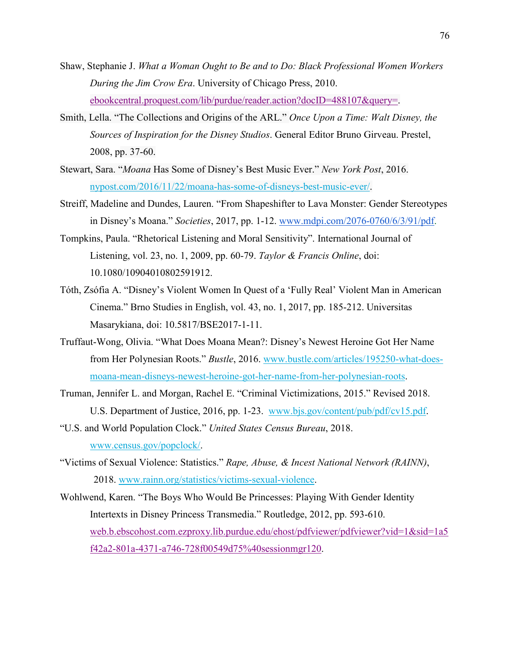- Shaw, Stephanie J. *What a Woman Ought to Be and to Do: Black Professional Women Workers During the Jim Crow Era*. University of Chicago Press, 2010. [ebookcentral.proquest.com/lib/purdue/reader.action?docID=488107&query=.](https://ebookcentral.proquest.com/lib/purdue/reader.action?docID=488107&query=)
- Smith, Lella. "The Collections and Origins of the ARL." *Once Upon a Time: Walt Disney, the Sources of Inspiration for the Disney Studios*. General Editor Bruno Girveau. Prestel, 2008, pp. 37-60.
- Stewart, Sara. "*Moana* Has Some of Disney's Best Music Ever." *New York Post*, 2016. [nypost.com/2016/11/22/moana-has-some-of-disneys-best-music-ever/.](https://nypost.com/2016/11/22/moana-has-some-of-disneys-best-music-ever/)
- Streiff, Madeline and Dundes, Lauren. "From Shapeshifter to Lava Monster: Gender Stereotypes in Disney's Moana." *Societies*, 2017, pp. 1-12. [www.mdpi.com/2076-0760/6/3/91/pdf.](http://www.mdpi.com/2076-0760/6/3/91/pdf)
- Tompkins, Paula. "Rhetorical Listening and Moral Sensitivity". International Journal of Listening, vol. 23, no. 1, 2009, pp. 60-79. *Taylor & Francis Online*, doi: 10.1080/10904010802591912.
- Tóth, Zsófia A. "Disney's Violent Women In Quest of a 'Fully Real' Violent Man in American Cinema." Brno Studies in English, vol. 43, no. 1, 2017, pp. 185-212. Universitas Masarykiana, doi: 10.5817/BSE2017-1-11.
- Truffaut-Wong, Olivia. "What Does Moana Mean?: Disney's Newest Heroine Got Her Name from Her Polynesian Roots." *Bustle*, 2016. [www.bustle.com/articles/195250-what-does](http://www.bustle.com/articles/195250-what-does-moana-mean-disneys-newest-heroine-got-her-name-from-her-polynesian-roots)[moana-mean-disneys-newest-heroine-got-her-name-from-her-polynesian-roots.](http://www.bustle.com/articles/195250-what-does-moana-mean-disneys-newest-heroine-got-her-name-from-her-polynesian-roots)
- Truman, Jennifer L. and Morgan, Rachel E. "Criminal Victimizations, 2015." Revised 2018. U.S. Department of Justice, 2016, pp. 1-23. [www.bjs.gov/content/pub/pdf/cv15.pdf.](http://www.bjs.gov/content/pub/pdf/cv15.pdf)
- "U.S. and World Population Clock." *United States Census Bureau*, 2018. [www.census.gov/popclock/.](http://www.census.gov/popclock/)
- "Victims of Sexual Violence: Statistics." *Rape, Abuse, & Incest National Network (RAINN)*, 2018. [www.rainn.org/statistics/victims-sexual-violence.](http://www.rainn.org/statistics/victims-sexual-violence)
- Wohlwend, Karen. "The Boys Who Would Be Princesses: Playing With Gender Identity Intertexts in Disney Princess Transmedia." Routledge, 2012, pp. 593-610. [web.b.ebscohost.com.ezproxy.lib.purdue.edu/ehost/pdfviewer/pdfviewer?vid=1&sid=1a5](http://web.b.ebscohost.com.ezproxy.lib.purdue.edu/ehost/pdfviewer/pdfviewer?vid=1&sid=1a5f42a2-801a-4371-a746-728f00549d75%40sessionmgr120) [f42a2-801a-4371-a746-728f00549d75%40sessionmgr120.](http://web.b.ebscohost.com.ezproxy.lib.purdue.edu/ehost/pdfviewer/pdfviewer?vid=1&sid=1a5f42a2-801a-4371-a746-728f00549d75%40sessionmgr120)